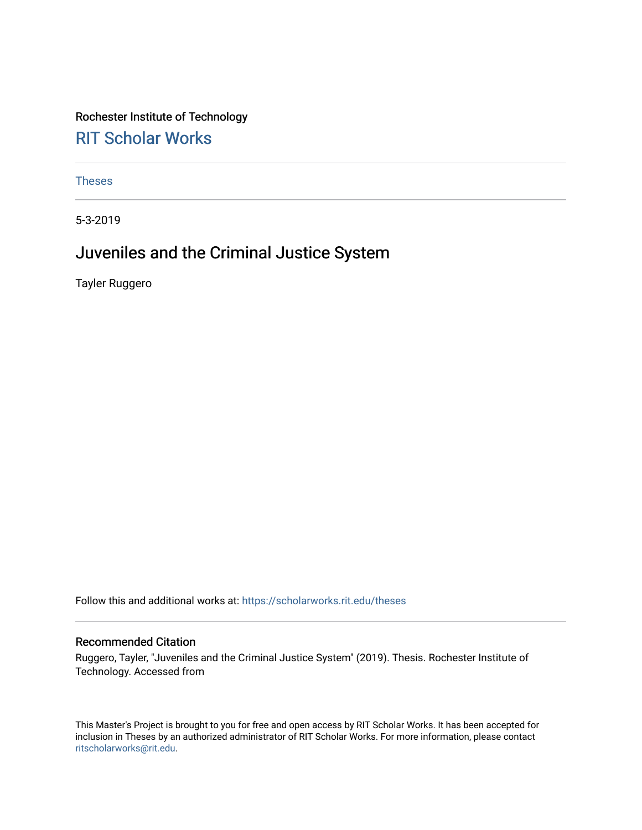Rochester Institute of Technology [RIT Scholar Works](https://scholarworks.rit.edu/)

[Theses](https://scholarworks.rit.edu/theses) 

5-3-2019

### Juveniles and the Criminal Justice System

Tayler Ruggero

Follow this and additional works at: [https://scholarworks.rit.edu/theses](https://scholarworks.rit.edu/theses?utm_source=scholarworks.rit.edu%2Ftheses%2F10837&utm_medium=PDF&utm_campaign=PDFCoverPages) 

#### Recommended Citation

Ruggero, Tayler, "Juveniles and the Criminal Justice System" (2019). Thesis. Rochester Institute of Technology. Accessed from

This Master's Project is brought to you for free and open access by RIT Scholar Works. It has been accepted for inclusion in Theses by an authorized administrator of RIT Scholar Works. For more information, please contact [ritscholarworks@rit.edu](mailto:ritscholarworks@rit.edu).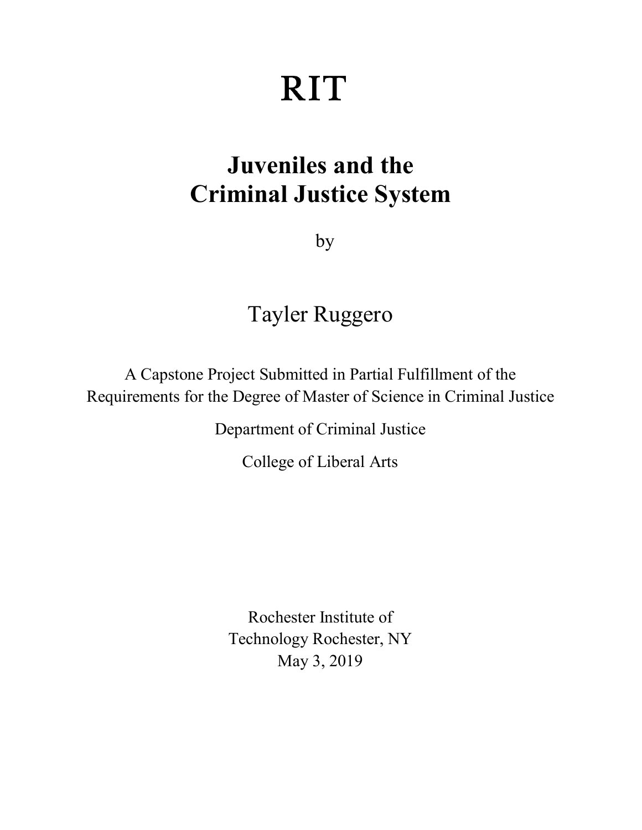# **RIT**

## **Juveniles and the Criminal Justice System**

by

## Tayler Ruggero

A Capstone Project Submitted in Partial Fulfillment of the Requirements for the Degree of Master of Science in Criminal Justice

Department of Criminal Justice

College of Liberal Arts

Rochester Institute of Technology Rochester, NY May 3, 2019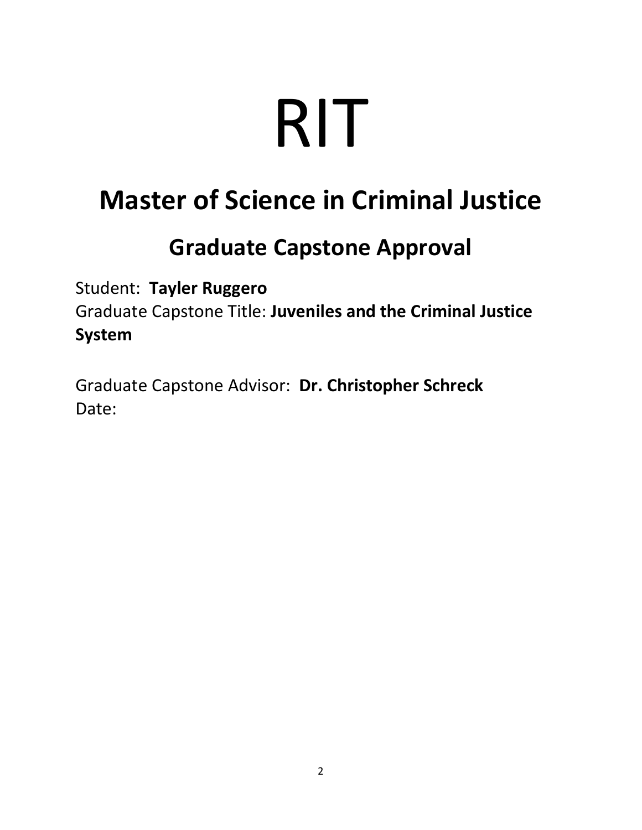# RIT

# **Master of Science in Criminal Justice**

## **Graduate Capstone Approval**

Student: **Tayler Ruggero** Graduate Capstone Title: **Juveniles and the Criminal Justice System**

Graduate Capstone Advisor: **Dr. Christopher Schreck** Date: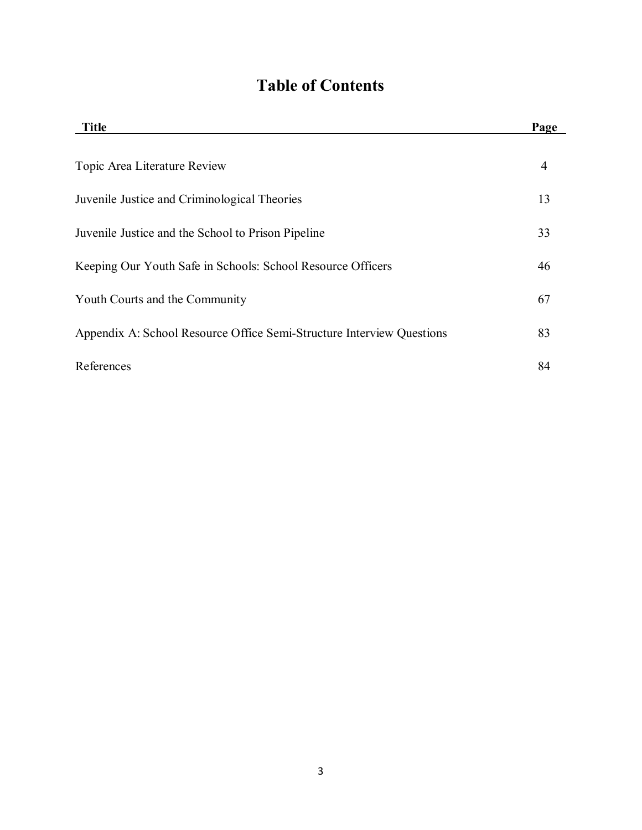## **Table of Contents**

| <b>Title</b>                                                          | Page |
|-----------------------------------------------------------------------|------|
| Topic Area Literature Review                                          | 4    |
| Juvenile Justice and Criminological Theories                          | 13   |
| Juvenile Justice and the School to Prison Pipeline                    | 33   |
| Keeping Our Youth Safe in Schools: School Resource Officers           | 46   |
| Youth Courts and the Community                                        | 67   |
| Appendix A: School Resource Office Semi-Structure Interview Questions | 83   |
| References                                                            | 84   |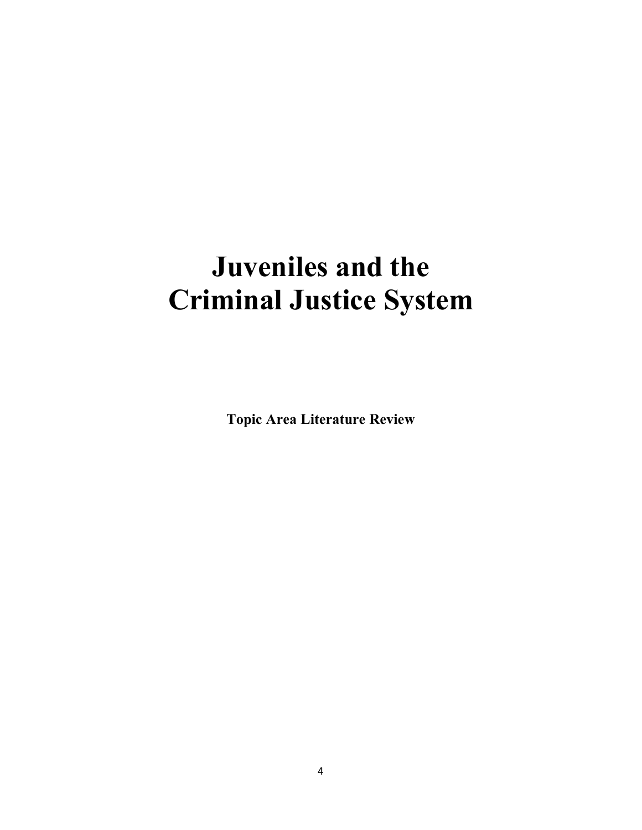## **Juveniles and the Criminal Justice System**

**Topic Area Literature Review**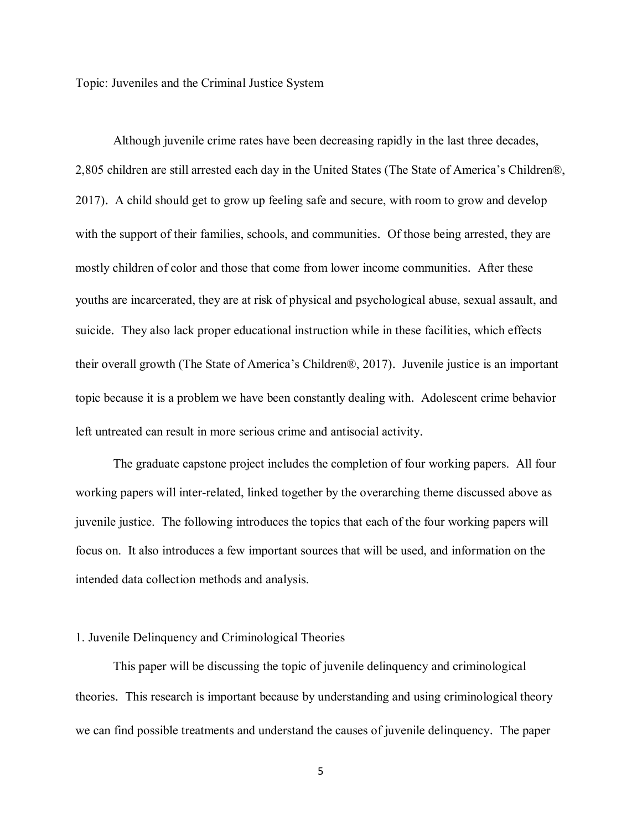Topic: Juveniles and the Criminal Justice System

Although juvenile crime rates have been decreasing rapidly in the last three decades, 2,805 children are still arrested each day in the United States (The State of America's Children®, 2017). A child should get to grow up feeling safe and secure, with room to grow and develop with the support of their families, schools, and communities. Of those being arrested, they are mostly children of color and those that come from lower income communities. After these youths are incarcerated, they are at risk of physical and psychological abuse, sexual assault, and suicide. They also lack proper educational instruction while in these facilities, which effects their overall growth (The State of America's Children®, 2017). Juvenile justice is an important topic because it is a problem we have been constantly dealing with. Adolescent crime behavior left untreated can result in more serious crime and antisocial activity.

The graduate capstone project includes the completion of four working papers. All four working papers will inter-related, linked together by the overarching theme discussed above as juvenile justice. The following introduces the topics that each of the four working papers will focus on. It also introduces a few important sources that will be used, and information on the intended data collection methods and analysis.

#### 1. Juvenile Delinquency and Criminological Theories

This paper will be discussing the topic of juvenile delinquency and criminological theories. This research is important because by understanding and using criminological theory we can find possible treatments and understand the causes of juvenile delinquency. The paper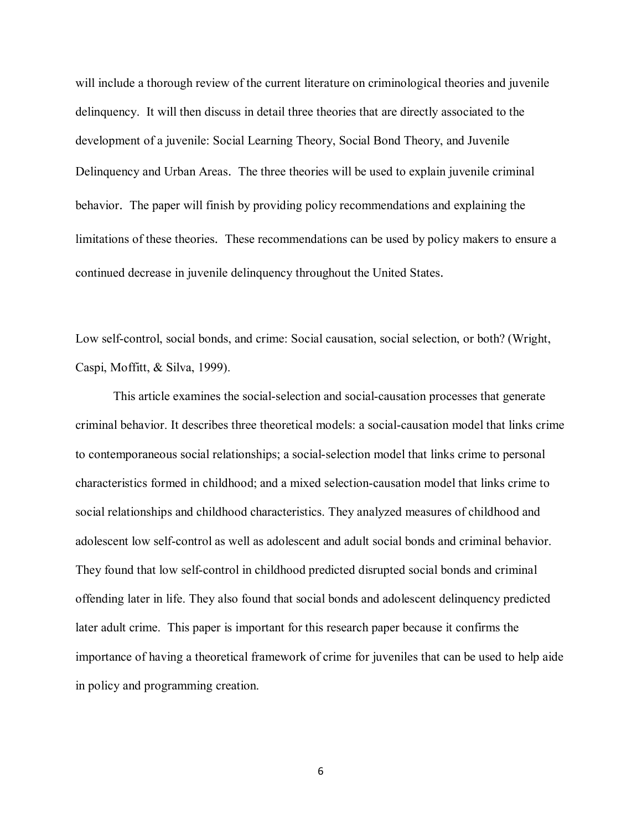will include a thorough review of the current literature on criminological theories and juvenile delinquency. It will then discuss in detail three theories that are directly associated to the development of a juvenile: Social Learning Theory, Social Bond Theory, and Juvenile Delinquency and Urban Areas. The three theories will be used to explain juvenile criminal behavior. The paper will finish by providing policy recommendations and explaining the limitations of these theories. These recommendations can be used by policy makers to ensure a continued decrease in juvenile delinquency throughout the United States.

Low self-control, social bonds, and crime: Social causation, social selection, or both? (Wright, Caspi, Moffitt, & Silva, 1999).

This article examines the social-selection and social-causation processes that generate criminal behavior. It describes three theoretical models: a social-causation model that links crime to contemporaneous social relationships; a social-selection model that links crime to personal characteristics formed in childhood; and a mixed selection-causation model that links crime to social relationships and childhood characteristics. They analyzed measures of childhood and adolescent low self-control as well as adolescent and adult social bonds and criminal behavior. They found that low self-control in childhood predicted disrupted social bonds and criminal offending later in life. They also found that social bonds and adolescent delinquency predicted later adult crime. This paper is important for this research paper because it confirms the importance of having a theoretical framework of crime for juveniles that can be used to help aide in policy and programming creation.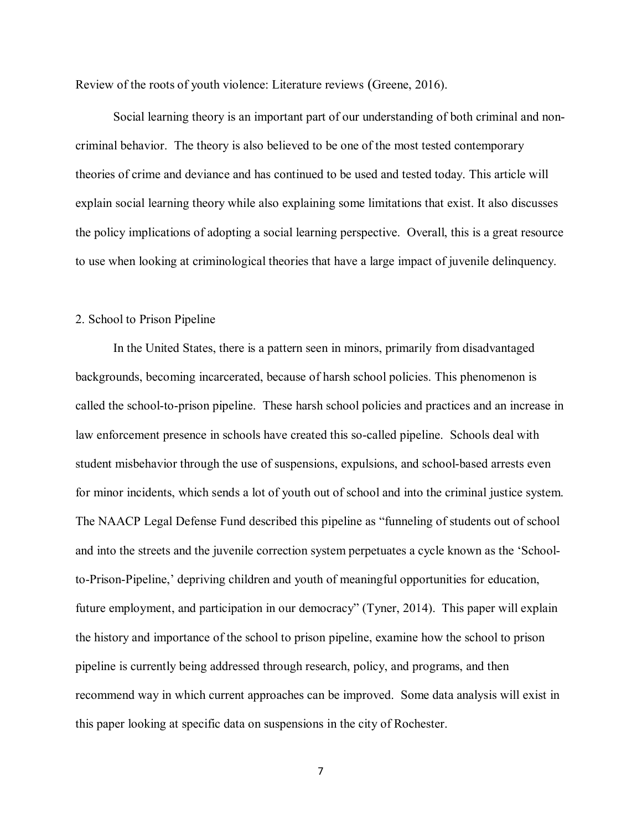Review of the roots of youth violence: Literature reviews (Greene, 2016).

Social learning theory is an important part of our understanding of both criminal and noncriminal behavior. The theory is also believed to be one of the most tested contemporary theories of crime and deviance and has continued to be used and tested today. This article will explain social learning theory while also explaining some limitations that exist. It also discusses the policy implications of adopting a social learning perspective. Overall, this is a great resource to use when looking at criminological theories that have a large impact of juvenile delinquency.

#### 2. School to Prison Pipeline

In the United States, there is a pattern seen in minors, primarily from disadvantaged backgrounds, becoming incarcerated, because of harsh school policies. This phenomenon is called the school-to-prison pipeline. These harsh school policies and practices and an increase in law enforcement presence in schools have created this so-called pipeline. Schools deal with student misbehavior through the use of suspensions, expulsions, and school-based arrests even for minor incidents, which sends a lot of youth out of school and into the criminal justice system. The NAACP Legal Defense Fund described this pipeline as "funneling of students out of school and into the streets and the juvenile correction system perpetuates a cycle known as the 'Schoolto-Prison-Pipeline,' depriving children and youth of meaningful opportunities for education, future employment, and participation in our democracy" (Tyner, 2014). This paper will explain the history and importance of the school to prison pipeline, examine how the school to prison pipeline is currently being addressed through research, policy, and programs, and then recommend way in which current approaches can be improved. Some data analysis will exist in this paper looking at specific data on suspensions in the city of Rochester.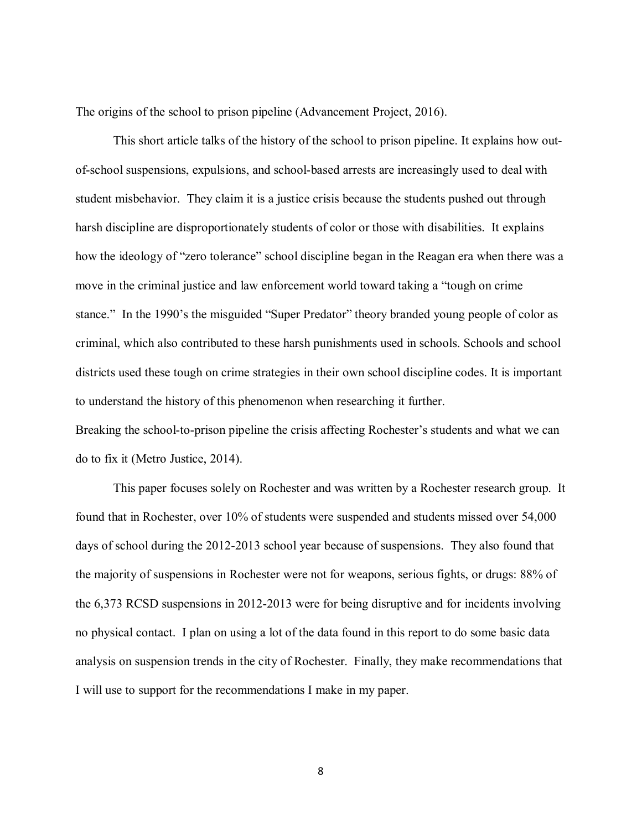The origins of the school to prison pipeline (Advancement Project, 2016).

This short article talks of the history of the school to prison pipeline. It explains how outof-school suspensions, expulsions, and school-based arrests are increasingly used to deal with student misbehavior. They claim it is a justice crisis because the students pushed out through harsh discipline are disproportionately students of color or those with disabilities. It explains how the ideology of "zero tolerance" school discipline began in the Reagan era when there was a move in the criminal justice and law enforcement world toward taking a "tough on crime stance." In the 1990's the misguided "Super Predator" theory branded young people of color as criminal, which also contributed to these harsh punishments used in schools. Schools and school districts used these tough on crime strategies in their own school discipline codes. It is important to understand the history of this phenomenon when researching it further. Breaking the school-to-prison pipeline the crisis affecting Rochester's students and what we can do to fix it (Metro Justice, 2014).

This paper focuses solely on Rochester and was written by a Rochester research group. It found that in Rochester, over 10% of students were suspended and students missed over 54,000 days of school during the 2012-2013 school year because of suspensions. They also found that the majority of suspensions in Rochester were not for weapons, serious fights, or drugs: 88% of the 6,373 RCSD suspensions in 2012-2013 were for being disruptive and for incidents involving no physical contact. I plan on using a lot of the data found in this report to do some basic data analysis on suspension trends in the city of Rochester. Finally, they make recommendations that I will use to support for the recommendations I make in my paper.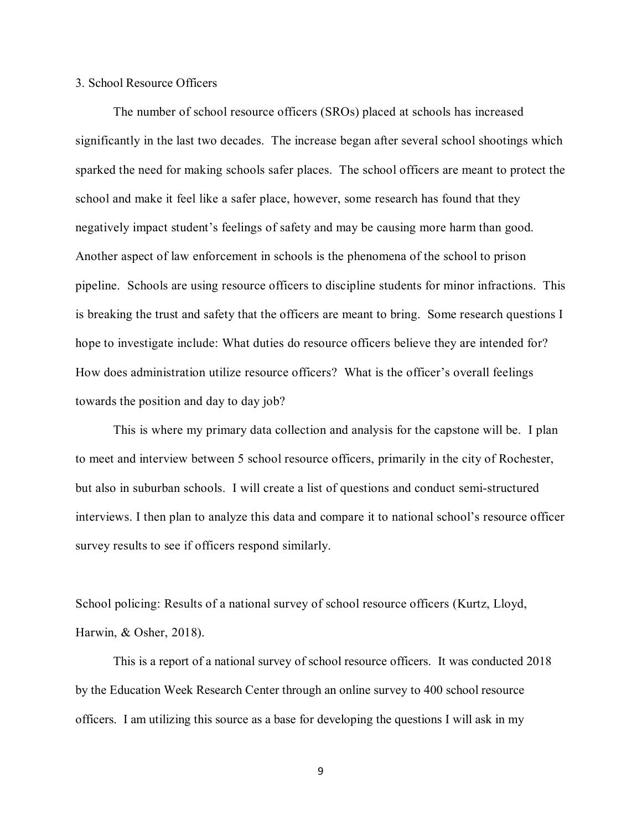#### 3. School Resource Officers

The number of school resource officers (SROs) placed at schools has increased significantly in the last two decades. The increase began after several school shootings which sparked the need for making schools safer places. The school officers are meant to protect the school and make it feel like a safer place, however, some research has found that they negatively impact student's feelings of safety and may be causing more harm than good. Another aspect of law enforcement in schools is the phenomena of the school to prison pipeline. Schools are using resource officers to discipline students for minor infractions. This is breaking the trust and safety that the officers are meant to bring. Some research questions I hope to investigate include: What duties do resource officers believe they are intended for? How does administration utilize resource officers? What is the officer's overall feelings towards the position and day to day job?

This is where my primary data collection and analysis for the capstone will be. I plan to meet and interview between 5 school resource officers, primarily in the city of Rochester, but also in suburban schools. I will create a list of questions and conduct semi-structured interviews. I then plan to analyze this data and compare it to national school's resource officer survey results to see if officers respond similarly.

School policing: Results of a national survey of school resource officers (Kurtz, Lloyd, Harwin, & Osher, 2018).

This is a report of a national survey of school resource officers. It was conducted 2018 by the Education Week Research Center through an online survey to 400 school resource officers. I am utilizing this source as a base for developing the questions I will ask in my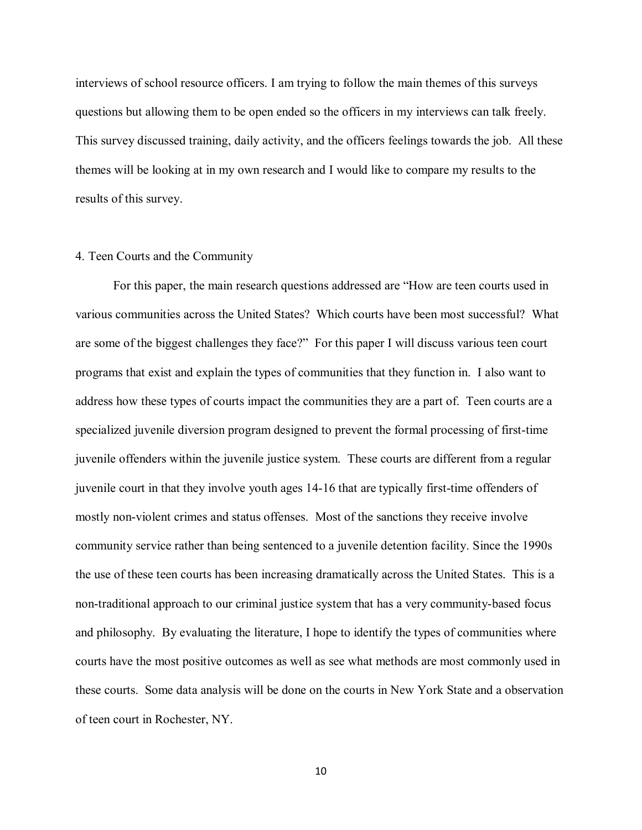interviews of school resource officers. I am trying to follow the main themes of this surveys questions but allowing them to be open ended so the officers in my interviews can talk freely. This survey discussed training, daily activity, and the officers feelings towards the job. All these themes will be looking at in my own research and I would like to compare my results to the results of this survey.

#### 4. Teen Courts and the Community

For this paper, the main research questions addressed are "How are teen courts used in various communities across the United States? Which courts have been most successful? What are some of the biggest challenges they face?" For this paper I will discuss various teen court programs that exist and explain the types of communities that they function in. I also want to address how these types of courts impact the communities they are a part of. Teen courts are a specialized juvenile diversion program designed to prevent the formal processing of first-time juvenile offenders within the juvenile justice system. These courts are different from a regular juvenile court in that they involve youth ages 14-16 that are typically first-time offenders of mostly non-violent crimes and status offenses. Most of the sanctions they receive involve community service rather than being sentenced to a juvenile detention facility. Since the 1990s the use of these teen courts has been increasing dramatically across the United States. This is a non-traditional approach to our criminal justice system that has a very community-based focus and philosophy. By evaluating the literature, I hope to identify the types of communities where courts have the most positive outcomes as well as see what methods are most commonly used in these courts. Some data analysis will be done on the courts in New York State and a observation of teen court in Rochester, NY.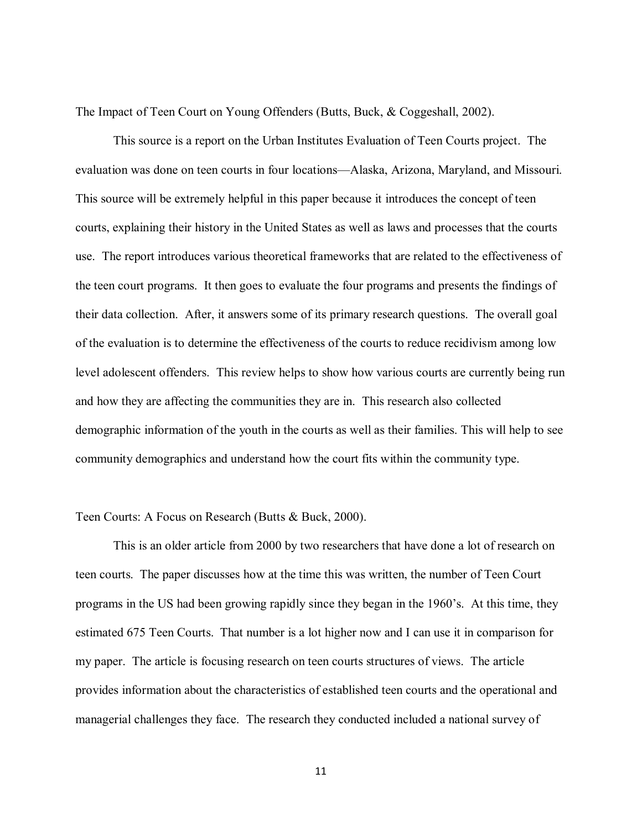The Impact of Teen Court on Young Offenders (Butts, Buck, & Coggeshall, 2002).

This source is a report on the Urban Institutes Evaluation of Teen Courts project. The evaluation was done on teen courts in four locations—Alaska, Arizona, Maryland, and Missouri. This source will be extremely helpful in this paper because it introduces the concept of teen courts, explaining their history in the United States as well as laws and processes that the courts use. The report introduces various theoretical frameworks that are related to the effectiveness of the teen court programs. It then goes to evaluate the four programs and presents the findings of their data collection. After, it answers some of its primary research questions. The overall goal of the evaluation is to determine the effectiveness of the courts to reduce recidivism among low level adolescent offenders. This review helps to show how various courts are currently being run and how they are affecting the communities they are in. This research also collected demographic information of the youth in the courts as well as their families. This will help to see community demographics and understand how the court fits within the community type.

#### Teen Courts: A Focus on Research (Butts & Buck, 2000).

This is an older article from 2000 by two researchers that have done a lot of research on teen courts. The paper discusses how at the time this was written, the number of Teen Court programs in the US had been growing rapidly since they began in the 1960's. At this time, they estimated 675 Teen Courts. That number is a lot higher now and I can use it in comparison for my paper. The article is focusing research on teen courts structures of views. The article provides information about the characteristics of established teen courts and the operational and managerial challenges they face. The research they conducted included a national survey of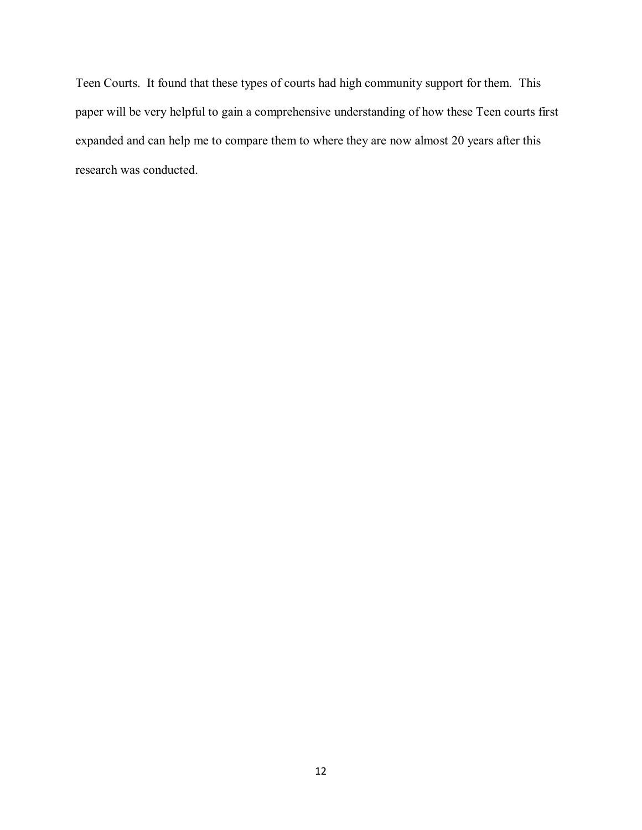Teen Courts. It found that these types of courts had high community support for them. This paper will be very helpful to gain a comprehensive understanding of how these Teen courts first expanded and can help me to compare them to where they are now almost 20 years after this research was conducted.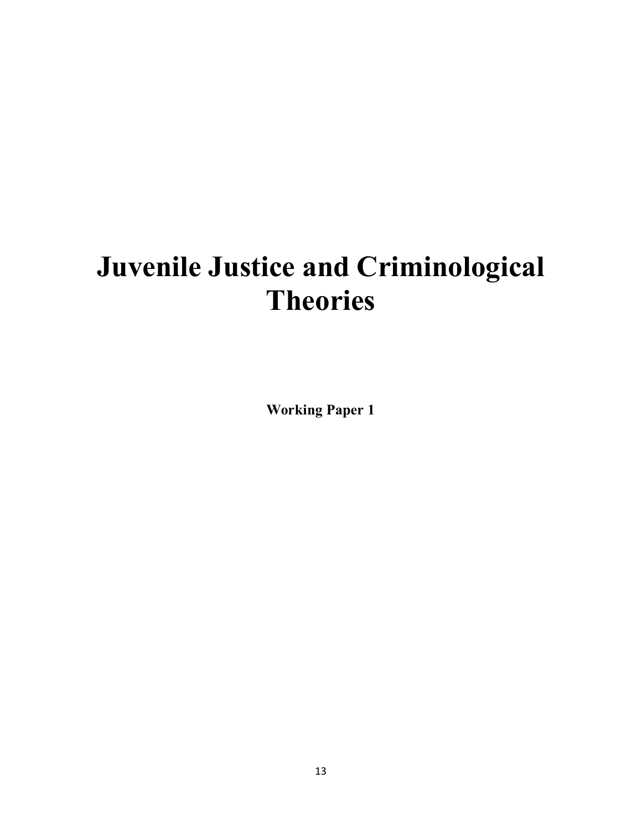# **Juvenile Justice and Criminological Theories**

**Working Paper 1**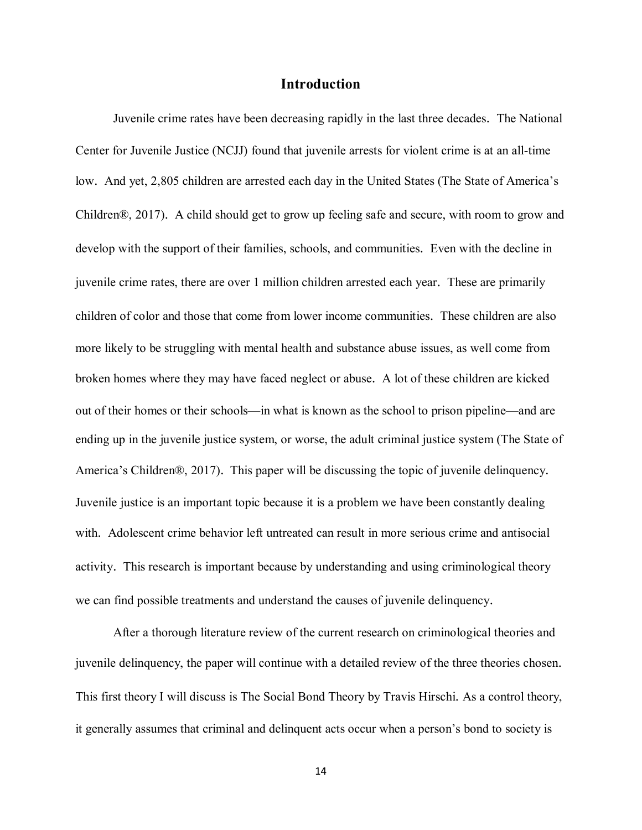#### **Introduction**

Juvenile crime rates have been decreasing rapidly in the last three decades. The National Center for Juvenile Justice (NCJJ) found that juvenile arrests for violent crime is at an all-time low. And yet, 2,805 children are arrested each day in the United States (The State of America's Children®, 2017). A child should get to grow up feeling safe and secure, with room to grow and develop with the support of their families, schools, and communities. Even with the decline in juvenile crime rates, there are over 1 million children arrested each year. These are primarily children of color and those that come from lower income communities. These children are also more likely to be struggling with mental health and substance abuse issues, as well come from broken homes where they may have faced neglect or abuse. A lot of these children are kicked out of their homes or their schools—in what is known as the school to prison pipeline—and are ending up in the juvenile justice system, or worse, the adult criminal justice system (The State of America's Children®, 2017). This paper will be discussing the topic of juvenile delinquency. Juvenile justice is an important topic because it is a problem we have been constantly dealing with. Adolescent crime behavior left untreated can result in more serious crime and antisocial activity. This research is important because by understanding and using criminological theory we can find possible treatments and understand the causes of juvenile delinquency.

After a thorough literature review of the current research on criminological theories and juvenile delinquency, the paper will continue with a detailed review of the three theories chosen. This first theory I will discuss is The Social Bond Theory by Travis Hirschi. As a control theory, it generally assumes that criminal and delinquent acts occur when a person's bond to society is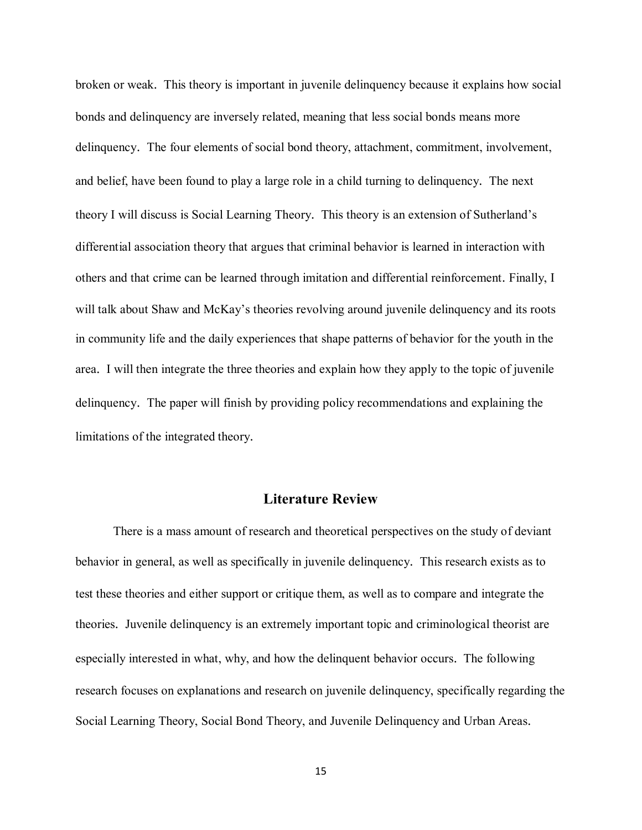broken or weak. This theory is important in juvenile delinquency because it explains how social bonds and delinquency are inversely related, meaning that less social bonds means more delinquency. The four elements of social bond theory, attachment, commitment, involvement, and belief, have been found to play a large role in a child turning to delinquency. The next theory I will discuss is Social Learning Theory. This theory is an extension of Sutherland's differential association theory that argues that criminal behavior is learned in interaction with others and that crime can be learned through imitation and differential reinforcement. Finally, I will talk about Shaw and McKay's theories revolving around juvenile delinquency and its roots in community life and the daily experiences that shape patterns of behavior for the youth in the area. I will then integrate the three theories and explain how they apply to the topic of juvenile delinquency. The paper will finish by providing policy recommendations and explaining the limitations of the integrated theory.

#### **Literature Review**

There is a mass amount of research and theoretical perspectives on the study of deviant behavior in general, as well as specifically in juvenile delinquency. This research exists as to test these theories and either support or critique them, as well as to compare and integrate the theories. Juvenile delinquency is an extremely important topic and criminological theorist are especially interested in what, why, and how the delinquent behavior occurs. The following research focuses on explanations and research on juvenile delinquency, specifically regarding the Social Learning Theory, Social Bond Theory, and Juvenile Delinquency and Urban Areas.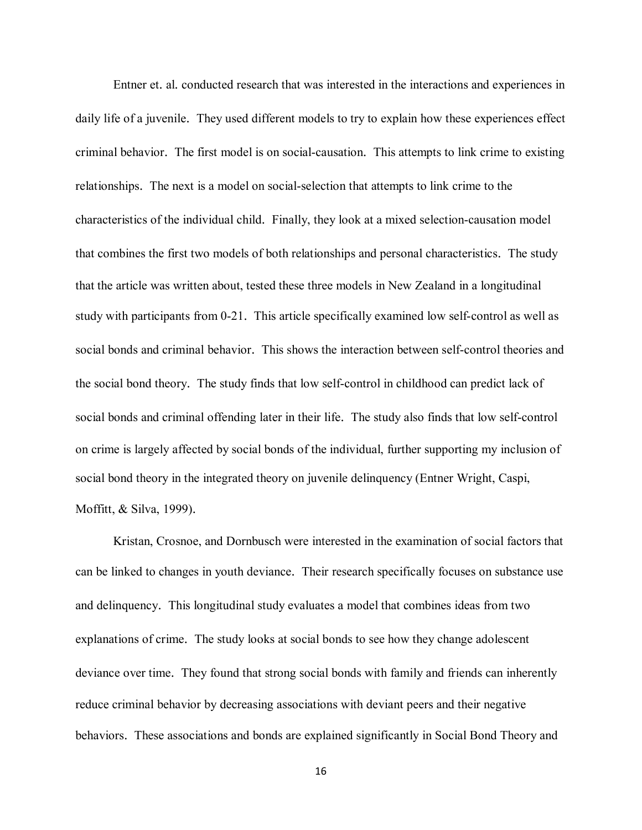Entner et. al. conducted research that was interested in the interactions and experiences in daily life of a juvenile. They used different models to try to explain how these experiences effect criminal behavior. The first model is on social-causation. This attempts to link crime to existing relationships. The next is a model on social-selection that attempts to link crime to the characteristics of the individual child. Finally, they look at a mixed selection-causation model that combines the first two models of both relationships and personal characteristics. The study that the article was written about, tested these three models in New Zealand in a longitudinal study with participants from 0-21. This article specifically examined low self-control as well as social bonds and criminal behavior. This shows the interaction between self-control theories and the social bond theory. The study finds that low self-control in childhood can predict lack of social bonds and criminal offending later in their life. The study also finds that low self-control on crime is largely affected by social bonds of the individual, further supporting my inclusion of social bond theory in the integrated theory on juvenile delinquency (Entner Wright, Caspi, Moffitt, & Silva, 1999).

Kristan, Crosnoe, and Dornbusch were interested in the examination of social factors that can be linked to changes in youth deviance. Their research specifically focuses on substance use and delinquency. This longitudinal study evaluates a model that combines ideas from two explanations of crime. The study looks at social bonds to see how they change adolescent deviance over time. They found that strong social bonds with family and friends can inherently reduce criminal behavior by decreasing associations with deviant peers and their negative behaviors. These associations and bonds are explained significantly in Social Bond Theory and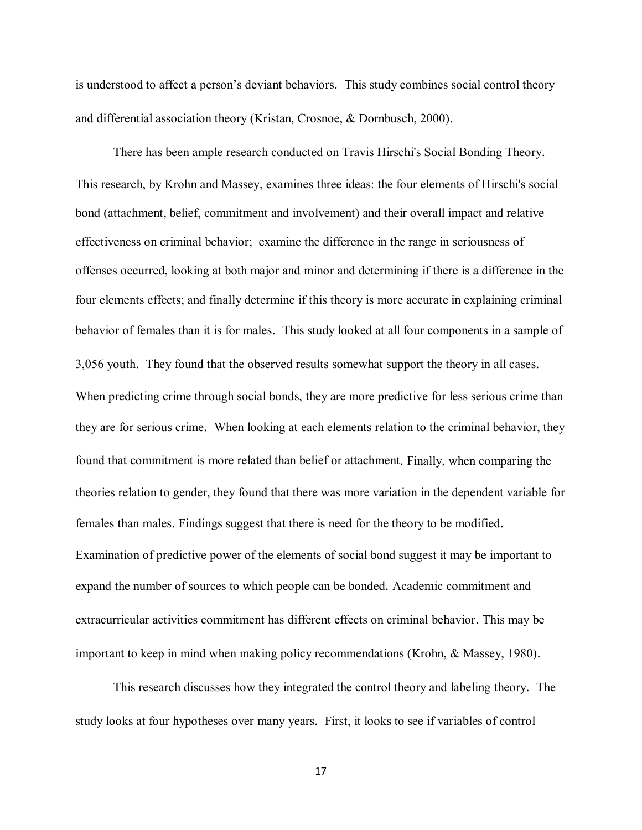is understood to affect a person's deviant behaviors. This study combines social control theory and differential association theory (Kristan, Crosnoe, & Dornbusch, 2000).

There has been ample research conducted on Travis Hirschi's Social Bonding Theory. This research, by Krohn and Massey, examines three ideas: the four elements of Hirschi's social bond (attachment, belief, commitment and involvement) and their overall impact and relative effectiveness on criminal behavior; examine the difference in the range in seriousness of offenses occurred, looking at both major and minor and determining if there is a difference in the four elements effects; and finally determine if this theory is more accurate in explaining criminal behavior of females than it is for males. This study looked at all four components in a sample of 3,056 youth. They found that the observed results somewhat support the theory in all cases. When predicting crime through social bonds, they are more predictive for less serious crime than they are for serious crime. When looking at each elements relation to the criminal behavior, they found that commitment is more related than belief or attachment. Finally, when comparing the theories relation to gender, they found that there was more variation in the dependent variable for females than males. Findings suggest that there is need for the theory to be modified. Examination of predictive power of the elements of social bond suggest it may be important to expand the number of sources to which people can be bonded. Academic commitment and extracurricular activities commitment has different effects on criminal behavior. This may be important to keep in mind when making policy recommendations (Krohn, & Massey, 1980).

This research discusses how they integrated the control theory and labeling theory. The study looks at four hypotheses over many years. First, it looks to see if variables of control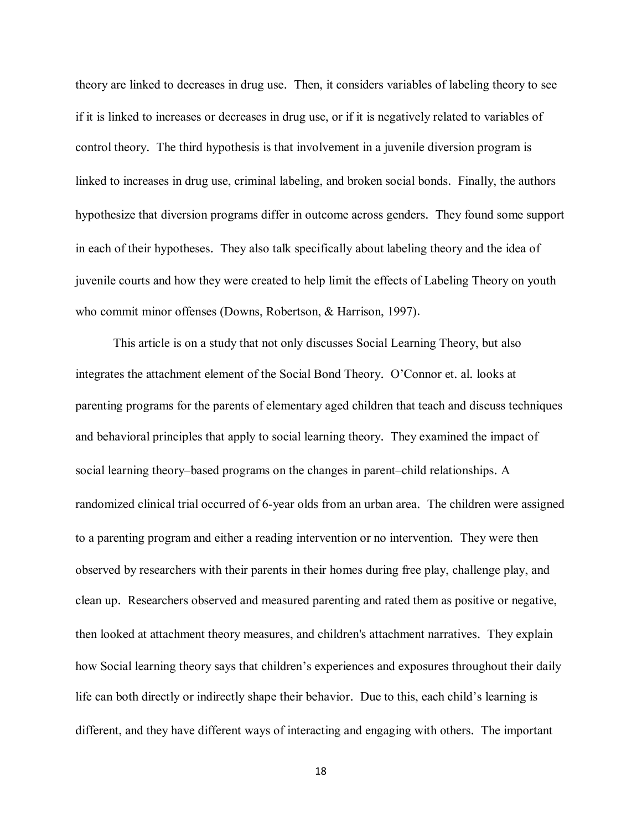theory are linked to decreases in drug use. Then, it considers variables of labeling theory to see if it is linked to increases or decreases in drug use, or if it is negatively related to variables of control theory. The third hypothesis is that involvement in a juvenile diversion program is linked to increases in drug use, criminal labeling, and broken social bonds. Finally, the authors hypothesize that diversion programs differ in outcome across genders. They found some support in each of their hypotheses. They also talk specifically about labeling theory and the idea of juvenile courts and how they were created to help limit the effects of Labeling Theory on youth who commit minor offenses (Downs, Robertson, & Harrison, 1997).

This article is on a study that not only discusses Social Learning Theory, but also integrates the attachment element of the Social Bond Theory. O'Connor et. al. looks at parenting programs for the parents of elementary aged children that teach and discuss techniques and behavioral principles that apply to social learning theory. They examined the impact of social learning theory–based programs on the changes in parent–child relationships. A randomized clinical trial occurred of 6-year olds from an urban area. The children were assigned to a parenting program and either a reading intervention or no intervention. They were then observed by researchers with their parents in their homes during free play, challenge play, and clean up. Researchers observed and measured parenting and rated them as positive or negative, then looked at attachment theory measures, and children's attachment narratives. They explain how Social learning theory says that children's experiences and exposures throughout their daily life can both directly or indirectly shape their behavior. Due to this, each child's learning is different, and they have different ways of interacting and engaging with others. The important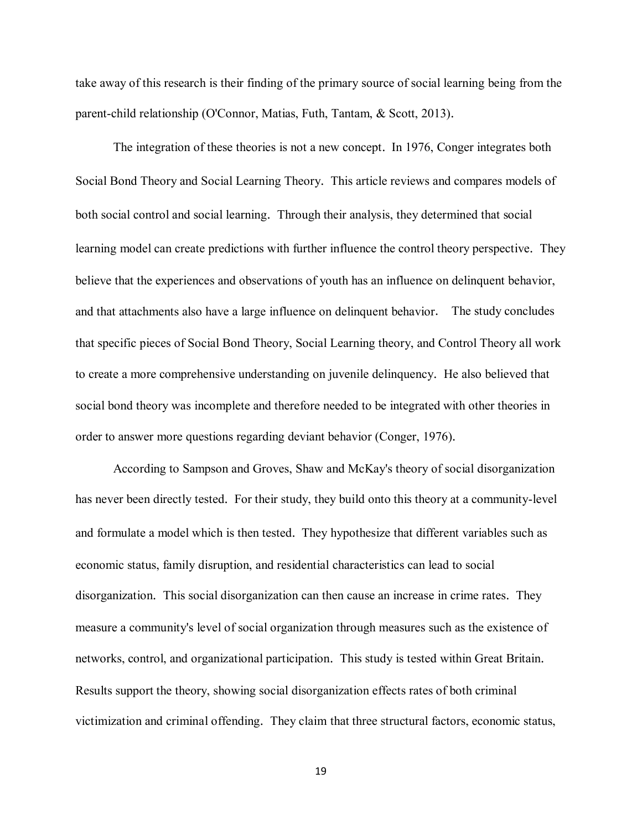take away of this research is their finding of the primary source of social learning being from the parent-child relationship (O'Connor, Matias, Futh, Tantam, & Scott, 2013).

The integration of these theories is not a new concept. In 1976, Conger integrates both Social Bond Theory and Social Learning Theory. This article reviews and compares models of both social control and social learning. Through their analysis, they determined that social learning model can create predictions with further influence the control theory perspective. They believe that the experiences and observations of youth has an influence on delinquent behavior, and that attachments also have a large influence on delinquent behavior. The study concludes that specific pieces of Social Bond Theory, Social Learning theory, and Control Theory all work to create a more comprehensive understanding on juvenile delinquency. He also believed that social bond theory was incomplete and therefore needed to be integrated with other theories in order to answer more questions regarding deviant behavior (Conger, 1976).

According to Sampson and Groves, Shaw and McKay's theory of social disorganization has never been directly tested. For their study, they build onto this theory at a community-level and formulate a model which is then tested. They hypothesize that different variables such as economic status, family disruption, and residential characteristics can lead to social disorganization. This social disorganization can then cause an increase in crime rates. They measure a community's level of social organization through measures such as the existence of networks, control, and organizational participation. This study is tested within Great Britain. Results support the theory, showing social disorganization effects rates of both criminal victimization and criminal offending. They claim that three structural factors, economic status,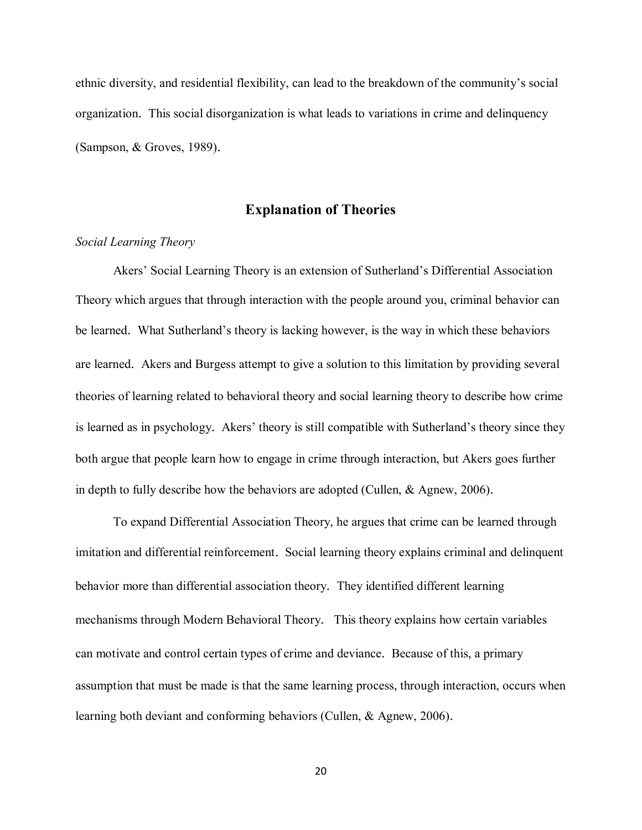ethnic diversity, and residential flexibility, can lead to the breakdown of the community's social organization. This social disorganization is what leads to variations in crime and delinquency (Sampson, & Groves, 1989).

#### **Explanation of Theories**

#### *Social Learning Theory*

Akers' Social Learning Theory is an extension of Sutherland's Differential Association Theory which argues that through interaction with the people around you, criminal behavior can be learned. What Sutherland's theory is lacking however, is the way in which these behaviors are learned. Akers and Burgess attempt to give a solution to this limitation by providing several theories of learning related to behavioral theory and social learning theory to describe how crime is learned as in psychology. Akers' theory is still compatible with Sutherland's theory since they both argue that people learn how to engage in crime through interaction, but Akers goes further in depth to fully describe how the behaviors are adopted (Cullen, & Agnew, 2006).

To expand Differential Association Theory, he argues that crime can be learned through imitation and differential reinforcement. Social learning theory explains criminal and delinquent behavior more than differential association theory. They identified different learning mechanisms through Modern Behavioral Theory. This theory explains how certain variables can motivate and control certain types of crime and deviance. Because of this, a primary assumption that must be made is that the same learning process, through interaction, occurs when learning both deviant and conforming behaviors (Cullen, & Agnew, 2006).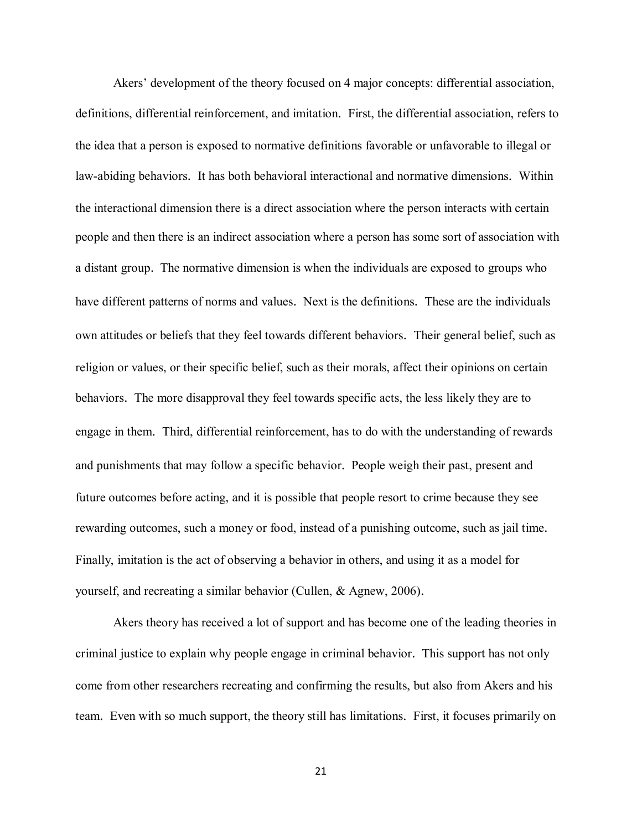Akers' development of the theory focused on 4 major concepts: differential association, definitions, differential reinforcement, and imitation. First, the differential association, refers to the idea that a person is exposed to normative definitions favorable or unfavorable to illegal or law-abiding behaviors. It has both behavioral interactional and normative dimensions. Within the interactional dimension there is a direct association where the person interacts with certain people and then there is an indirect association where a person has some sort of association with a distant group. The normative dimension is when the individuals are exposed to groups who have different patterns of norms and values. Next is the definitions. These are the individuals own attitudes or beliefs that they feel towards different behaviors. Their general belief, such as religion or values, or their specific belief, such as their morals, affect their opinions on certain behaviors. The more disapproval they feel towards specific acts, the less likely they are to engage in them. Third, differential reinforcement, has to do with the understanding of rewards and punishments that may follow a specific behavior. People weigh their past, present and future outcomes before acting, and it is possible that people resort to crime because they see rewarding outcomes, such a money or food, instead of a punishing outcome, such as jail time. Finally, imitation is the act of observing a behavior in others, and using it as a model for yourself, and recreating a similar behavior (Cullen, & Agnew, 2006).

Akers theory has received a lot of support and has become one of the leading theories in criminal justice to explain why people engage in criminal behavior. This support has not only come from other researchers recreating and confirming the results, but also from Akers and his team. Even with so much support, the theory still has limitations. First, it focuses primarily on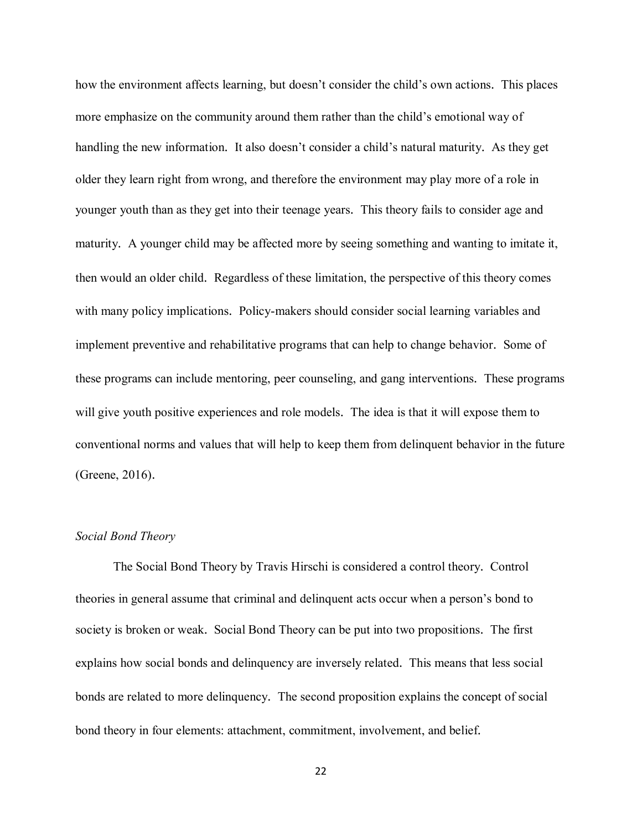how the environment affects learning, but doesn't consider the child's own actions. This places more emphasize on the community around them rather than the child's emotional way of handling the new information. It also doesn't consider a child's natural maturity. As they get older they learn right from wrong, and therefore the environment may play more of a role in younger youth than as they get into their teenage years. This theory fails to consider age and maturity. A younger child may be affected more by seeing something and wanting to imitate it, then would an older child. Regardless of these limitation, the perspective of this theory comes with many policy implications. Policy-makers should consider social learning variables and implement preventive and rehabilitative programs that can help to change behavior. Some of these programs can include mentoring, peer counseling, and gang interventions. These programs will give youth positive experiences and role models. The idea is that it will expose them to conventional norms and values that will help to keep them from delinquent behavior in the future (Greene, 2016).

#### *Social Bond Theory*

The Social Bond Theory by Travis Hirschi is considered a control theory. Control theories in general assume that criminal and delinquent acts occur when a person's bond to society is broken or weak. Social Bond Theory can be put into two propositions. The first explains how social bonds and delinquency are inversely related. This means that less social bonds are related to more delinquency. The second proposition explains the concept of social bond theory in four elements: attachment, commitment, involvement, and belief.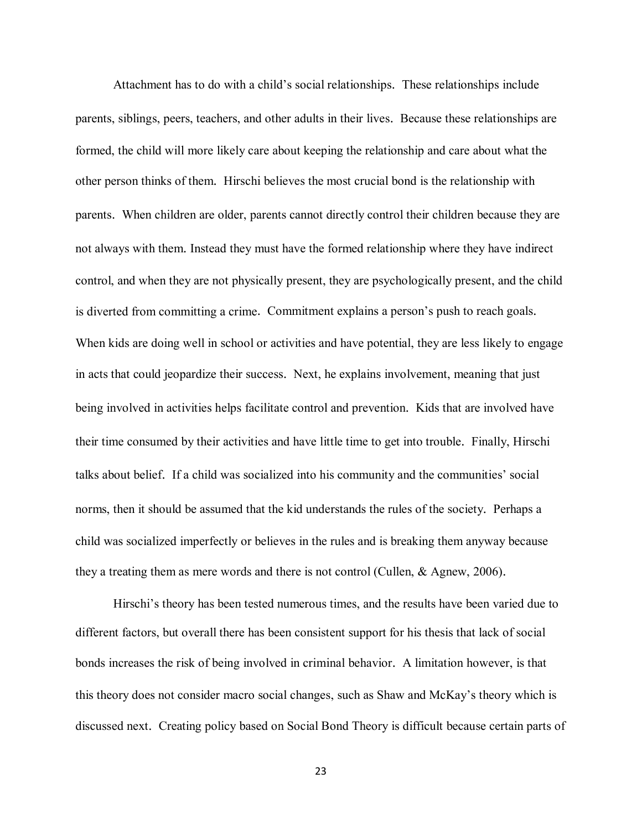Attachment has to do with a child's social relationships. These relationships include parents, siblings, peers, teachers, and other adults in their lives. Because these relationships are formed, the child will more likely care about keeping the relationship and care about what the other person thinks of them. Hirschi believes the most crucial bond is the relationship with parents. When children are older, parents cannot directly control their children because they are not always with them. Instead they must have the formed relationship where they have indirect control, and when they are not physically present, they are psychologically present, and the child is diverted from committing a crime. Commitment explains a person's push to reach goals. When kids are doing well in school or activities and have potential, they are less likely to engage in acts that could jeopardize their success. Next, he explains involvement, meaning that just being involved in activities helps facilitate control and prevention. Kids that are involved have their time consumed by their activities and have little time to get into trouble. Finally, Hirschi talks about belief. If a child was socialized into his community and the communities' social norms, then it should be assumed that the kid understands the rules of the society. Perhaps a child was socialized imperfectly or believes in the rules and is breaking them anyway because they a treating them as mere words and there is not control (Cullen, & Agnew, 2006).

Hirschi's theory has been tested numerous times, and the results have been varied due to different factors, but overall there has been consistent support for his thesis that lack of social bonds increases the risk of being involved in criminal behavior. A limitation however, is that this theory does not consider macro social changes, such as Shaw and McKay's theory which is discussed next. Creating policy based on Social Bond Theory is difficult because certain parts of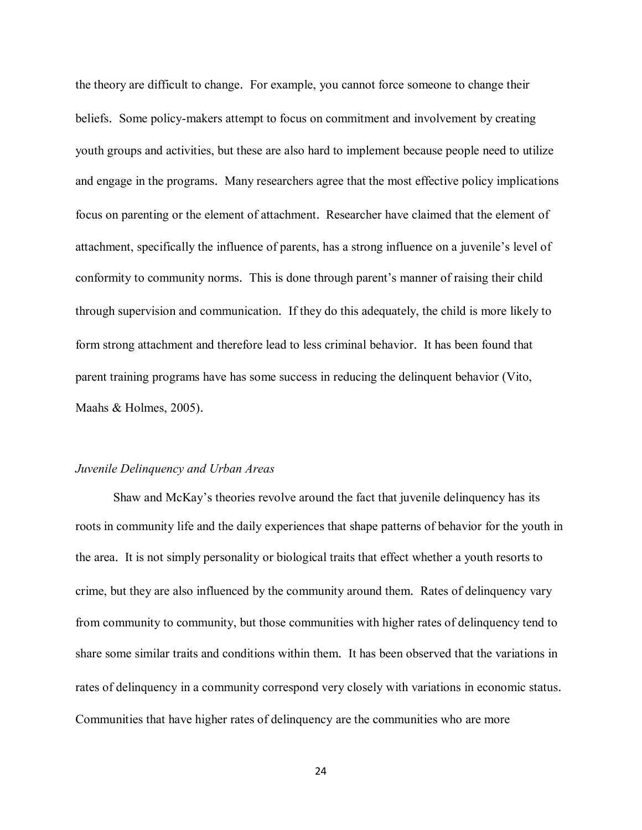the theory are difficult to change. For example, you cannot force someone to change their beliefs. Some policy-makers attempt to focus on commitment and involvement by creating youth groups and activities, but these are also hard to implement because people need to utilize and engage in the programs. Many researchers agree that the most effective policy implications focus on parenting or the element of attachment. Researcher have claimed that the element of attachment, specifically the influence of parents, has a strong influence on a juvenile's level of conformity to community norms. This is done through parent's manner of raising their child through supervision and communication. If they do this adequately, the child is more likely to form strong attachment and therefore lead to less criminal behavior. It has been found that parent training programs have has some success in reducing the delinquent behavior (Vito, Maahs & Holmes, 2005).

#### *Juvenile Delinquency and Urban Areas*

Shaw and McKay's theories revolve around the fact that juvenile delinquency has its roots in community life and the daily experiences that shape patterns of behavior for the youth in the area. It is not simply personality or biological traits that effect whether a youth resorts to crime, but they are also influenced by the community around them. Rates of delinquency vary from community to community, but those communities with higher rates of delinquency tend to share some similar traits and conditions within them. It has been observed that the variations in rates of delinquency in a community correspond very closely with variations in economic status. Communities that have higher rates of delinquency are the communities who are more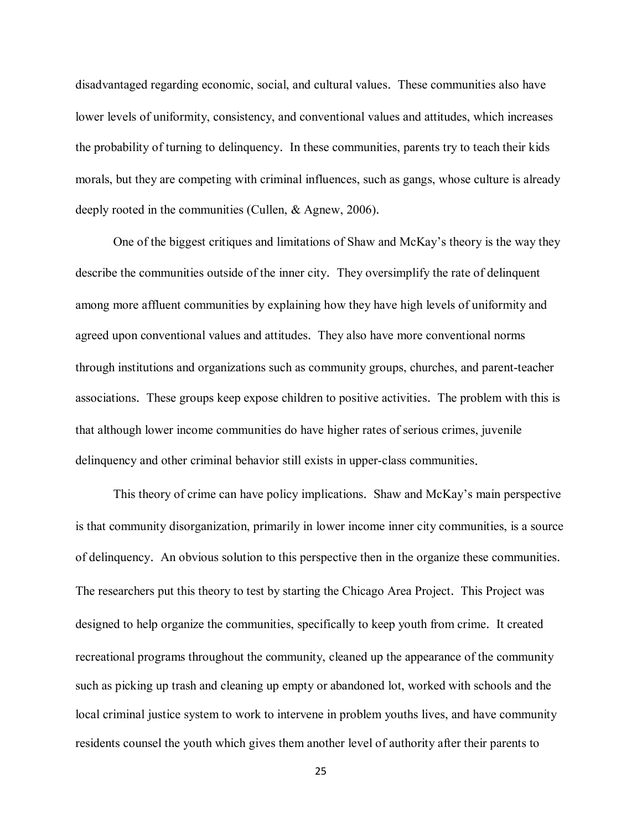disadvantaged regarding economic, social, and cultural values. These communities also have lower levels of uniformity, consistency, and conventional values and attitudes, which increases the probability of turning to delinquency. In these communities, parents try to teach their kids morals, but they are competing with criminal influences, such as gangs, whose culture is already deeply rooted in the communities (Cullen, & Agnew, 2006).

One of the biggest critiques and limitations of Shaw and McKay's theory is the way they describe the communities outside of the inner city. They oversimplify the rate of delinquent among more affluent communities by explaining how they have high levels of uniformity and agreed upon conventional values and attitudes. They also have more conventional norms through institutions and organizations such as community groups, churches, and parent-teacher associations. These groups keep expose children to positive activities. The problem with this is that although lower income communities do have higher rates of serious crimes, juvenile delinquency and other criminal behavior still exists in upper-class communities.

This theory of crime can have policy implications. Shaw and McKay's main perspective is that community disorganization, primarily in lower income inner city communities, is a source of delinquency. An obvious solution to this perspective then in the organize these communities. The researchers put this theory to test by starting the Chicago Area Project. This Project was designed to help organize the communities, specifically to keep youth from crime. It created recreational programs throughout the community, cleaned up the appearance of the community such as picking up trash and cleaning up empty or abandoned lot, worked with schools and the local criminal justice system to work to intervene in problem youths lives, and have community residents counsel the youth which gives them another level of authority after their parents to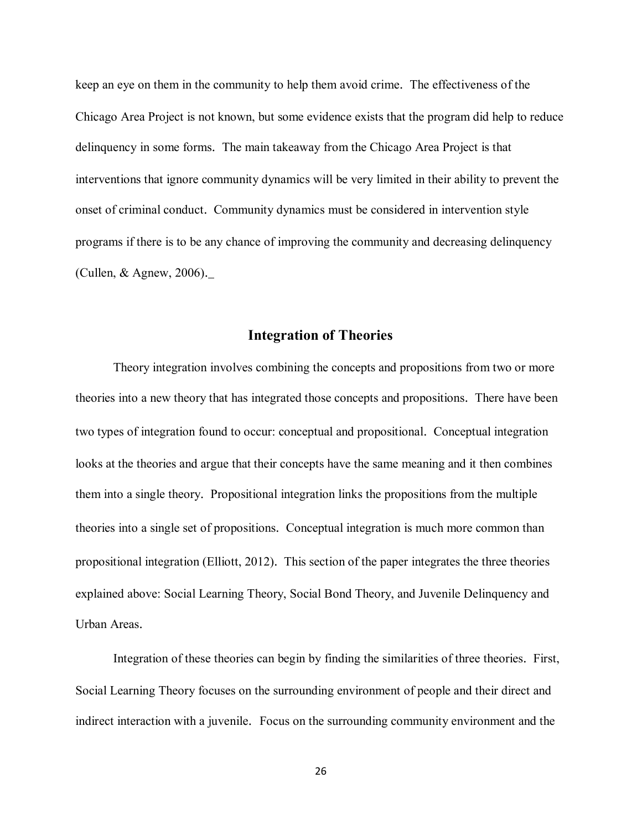keep an eye on them in the community to help them avoid crime. The effectiveness of the Chicago Area Project is not known, but some evidence exists that the program did help to reduce delinquency in some forms. The main takeaway from the Chicago Area Project is that interventions that ignore community dynamics will be very limited in their ability to prevent the onset of criminal conduct. Community dynamics must be considered in intervention style programs if there is to be any chance of improving the community and decreasing delinquency (Cullen, & Agnew, 2006).

#### **Integration of Theories**

Theory integration involves combining the concepts and propositions from two or more theories into a new theory that has integrated those concepts and propositions. There have been two types of integration found to occur: conceptual and propositional. Conceptual integration looks at the theories and argue that their concepts have the same meaning and it then combines them into a single theory. Propositional integration links the propositions from the multiple theories into a single set of propositions. Conceptual integration is much more common than propositional integration (Elliott, 2012). This section of the paper integrates the three theories explained above: Social Learning Theory, Social Bond Theory, and Juvenile Delinquency and Urban Areas.

Integration of these theories can begin by finding the similarities of three theories. First, Social Learning Theory focuses on the surrounding environment of people and their direct and indirect interaction with a juvenile. Focus on the surrounding community environment and the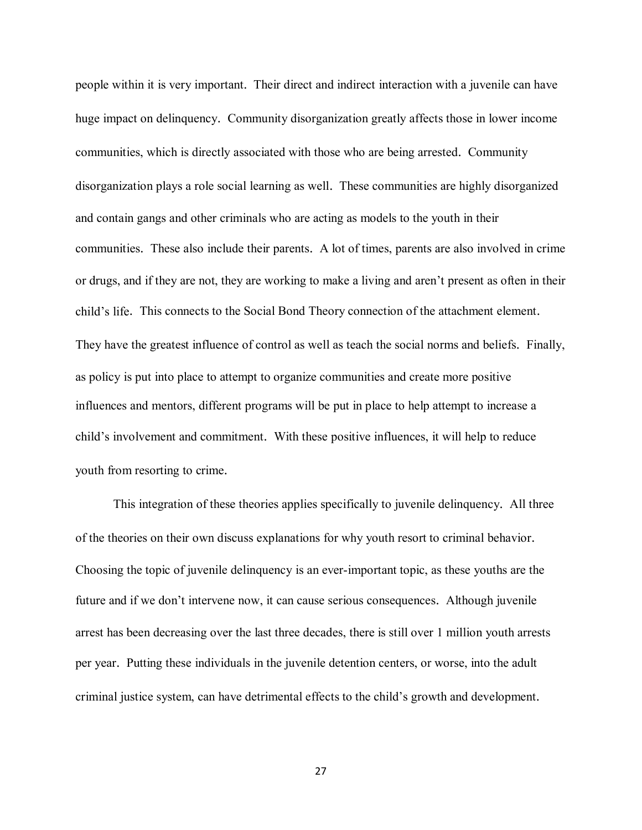people within it is very important. Their direct and indirect interaction with a juvenile can have huge impact on delinquency. Community disorganization greatly affects those in lower income communities, which is directly associated with those who are being arrested. Community disorganization plays a role social learning as well. These communities are highly disorganized and contain gangs and other criminals who are acting as models to the youth in their communities. These also include their parents. A lot of times, parents are also involved in crime or drugs, and if they are not, they are working to make a living and aren't present as often in their child's life. This connects to the Social Bond Theory connection of the attachment element. They have the greatest influence of control as well as teach the social norms and beliefs. Finally, as policy is put into place to attempt to organize communities and create more positive influences and mentors, different programs will be put in place to help attempt to increase a child's involvement and commitment. With these positive influences, it will help to reduce youth from resorting to crime.

This integration of these theories applies specifically to juvenile delinquency. All three of the theories on their own discuss explanations for why youth resort to criminal behavior. Choosing the topic of juvenile delinquency is an ever-important topic, as these youths are the future and if we don't intervene now, it can cause serious consequences. Although juvenile arrest has been decreasing over the last three decades, there is still over 1 million youth arrests per year. Putting these individuals in the juvenile detention centers, or worse, into the adult criminal justice system, can have detrimental effects to the child's growth and development.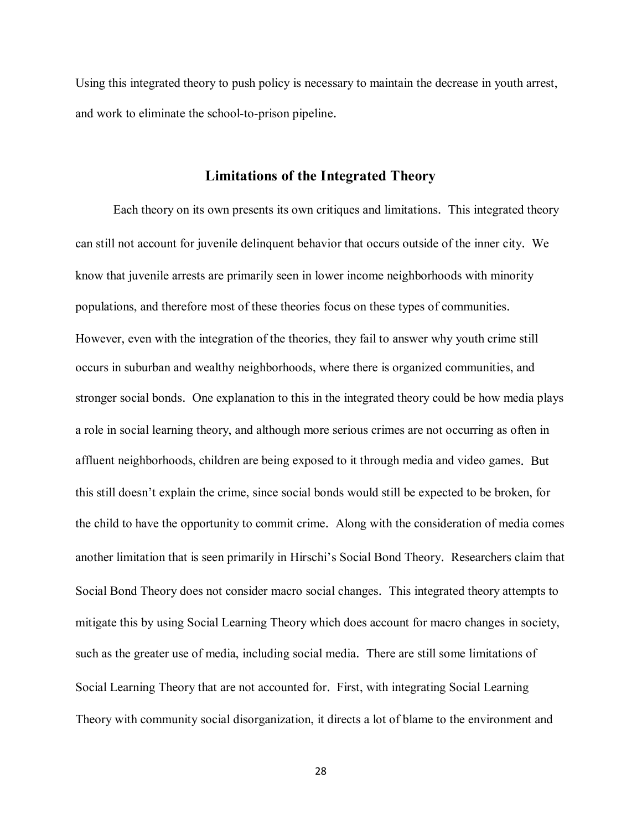Using this integrated theory to push policy is necessary to maintain the decrease in youth arrest, and work to eliminate the school-to-prison pipeline.

#### **Limitations of the Integrated Theory**

Each theory on its own presents its own critiques and limitations. This integrated theory can still not account for juvenile delinquent behavior that occurs outside of the inner city. We know that juvenile arrests are primarily seen in lower income neighborhoods with minority populations, and therefore most of these theories focus on these types of communities. However, even with the integration of the theories, they fail to answer why youth crime still occurs in suburban and wealthy neighborhoods, where there is organized communities, and stronger social bonds. One explanation to this in the integrated theory could be how media plays a role in social learning theory, and although more serious crimes are not occurring as often in affluent neighborhoods, children are being exposed to it through media and video games. But this still doesn't explain the crime, since social bonds would still be expected to be broken, for the child to have the opportunity to commit crime. Along with the consideration of media comes another limitation that is seen primarily in Hirschi's Social Bond Theory. Researchers claim that Social Bond Theory does not consider macro social changes. This integrated theory attempts to mitigate this by using Social Learning Theory which does account for macro changes in society, such as the greater use of media, including social media. There are still some limitations of Social Learning Theory that are not accounted for. First, with integrating Social Learning Theory with community social disorganization, it directs a lot of blame to the environment and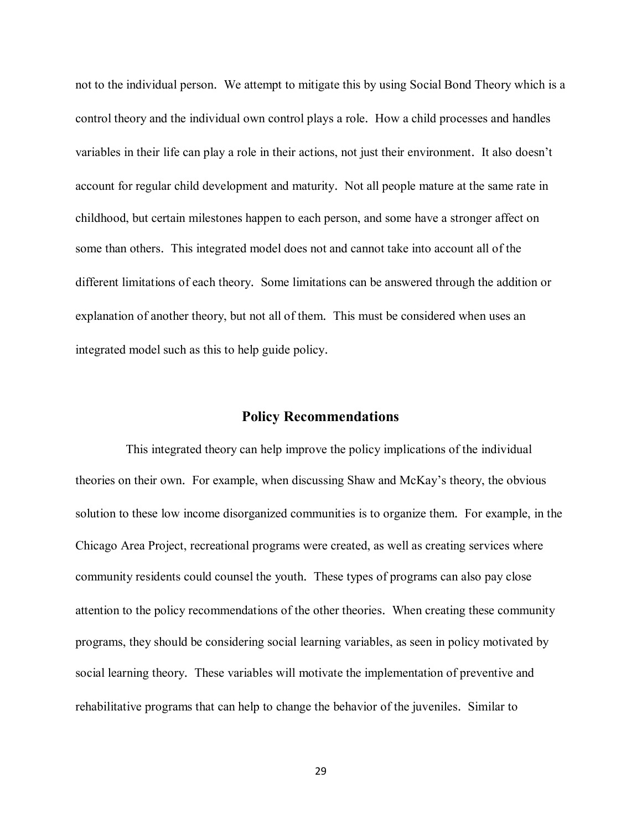not to the individual person. We attempt to mitigate this by using Social Bond Theory which is a control theory and the individual own control plays a role. How a child processes and handles variables in their life can play a role in their actions, not just their environment. It also doesn't account for regular child development and maturity. Not all people mature at the same rate in childhood, but certain milestones happen to each person, and some have a stronger affect on some than others. This integrated model does not and cannot take into account all of the different limitations of each theory. Some limitations can be answered through the addition or explanation of another theory, but not all of them. This must be considered when uses an integrated model such as this to help guide policy.

#### **Policy Recommendations**

This integrated theory can help improve the policy implications of the individual theories on their own. For example, when discussing Shaw and McKay's theory, the obvious solution to these low income disorganized communities is to organize them. For example, in the Chicago Area Project, recreational programs were created, as well as creating services where community residents could counsel the youth. These types of programs can also pay close attention to the policy recommendations of the other theories. When creating these community programs, they should be considering social learning variables, as seen in policy motivated by social learning theory. These variables will motivate the implementation of preventive and rehabilitative programs that can help to change the behavior of the juveniles. Similar to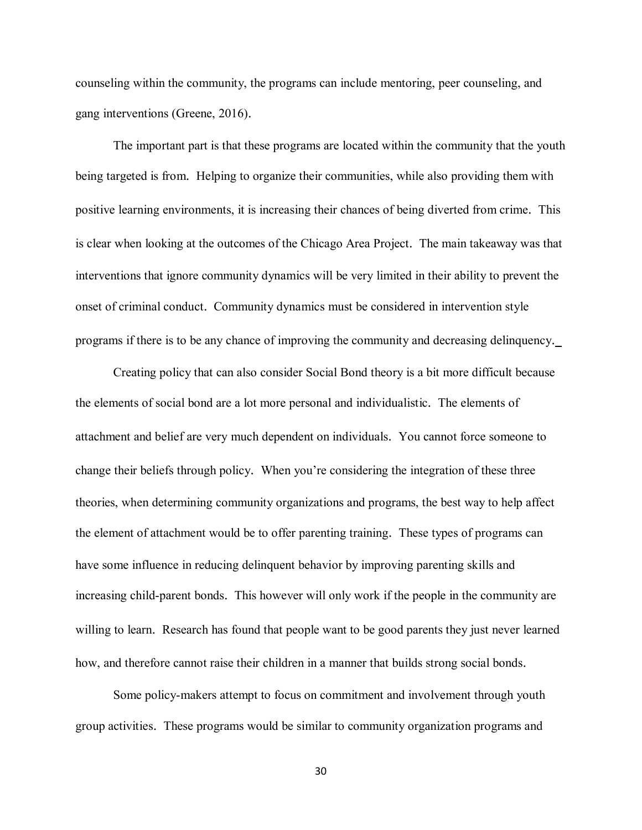counseling within the community, the programs can include mentoring, peer counseling, and gang interventions (Greene, 2016).

The important part is that these programs are located within the community that the youth being targeted is from. Helping to organize their communities, while also providing them with positive learning environments, it is increasing their chances of being diverted from crime. This is clear when looking at the outcomes of the Chicago Area Project. The main takeaway was that interventions that ignore community dynamics will be very limited in their ability to prevent the onset of criminal conduct. Community dynamics must be considered in intervention style programs if there is to be any chance of improving the community and decreasing delinquency.

Creating policy that can also consider Social Bond theory is a bit more difficult because the elements of social bond are a lot more personal and individualistic. The elements of attachment and belief are very much dependent on individuals. You cannot force someone to change their beliefs through policy. When you're considering the integration of these three theories, when determining community organizations and programs, the best way to help affect the element of attachment would be to offer parenting training. These types of programs can have some influence in reducing delinquent behavior by improving parenting skills and increasing child-parent bonds. This however will only work if the people in the community are willing to learn. Research has found that people want to be good parents they just never learned how, and therefore cannot raise their children in a manner that builds strong social bonds.

Some policy-makers attempt to focus on commitment and involvement through youth group activities. These programs would be similar to community organization programs and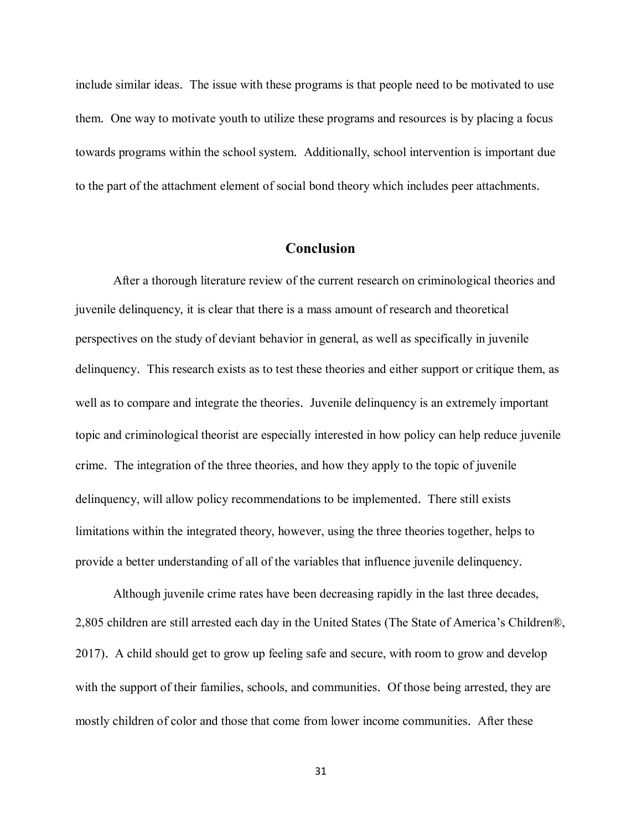include similar ideas. The issue with these programs is that people need to be motivated to use them. One way to motivate youth to utilize these programs and resources is by placing a focus towards programs within the school system. Additionally, school intervention is important due to the part of the attachment element of social bond theory which includes peer attachments.

#### **Conclusion**

After a thorough literature review of the current research on criminological theories and juvenile delinquency, it is clear that there is a mass amount of research and theoretical perspectives on the study of deviant behavior in general, as well as specifically in juvenile delinquency. This research exists as to test these theories and either support or critique them, as well as to compare and integrate the theories. Juvenile delinquency is an extremely important topic and criminological theorist are especially interested in how policy can help reduce juvenile crime. The integration of the three theories, and how they apply to the topic of juvenile delinquency, will allow policy recommendations to be implemented. There still exists limitations within the integrated theory, however, using the three theories together, helps to provide a better understanding of all of the variables that influence juvenile delinquency.

Although juvenile crime rates have been decreasing rapidly in the last three decades, 2,805 children are still arrested each day in the United States (The State of America's Children®, 2017). A child should get to grow up feeling safe and secure, with room to grow and develop with the support of their families, schools, and communities. Of those being arrested, they are mostly children of color and those that come from lower income communities. After these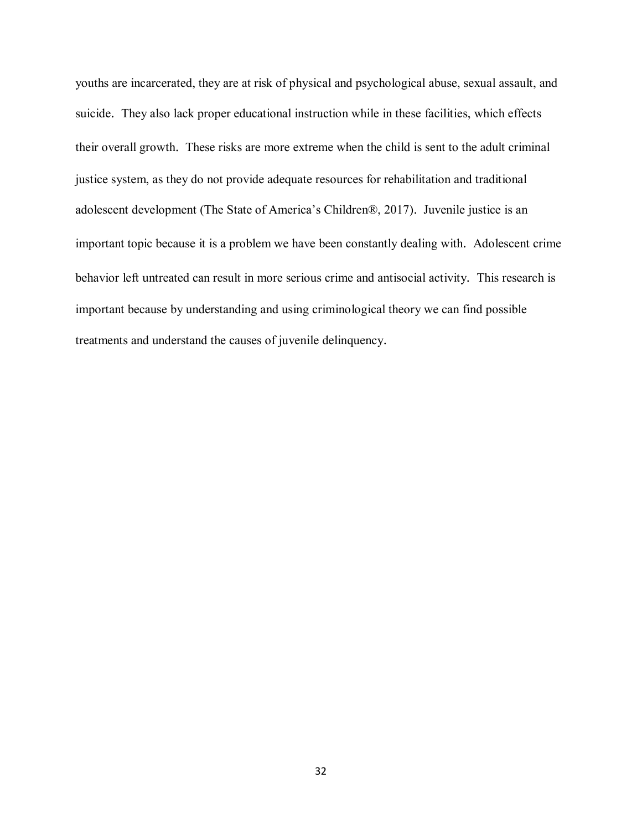youths are incarcerated, they are at risk of physical and psychological abuse, sexual assault, and suicide. They also lack proper educational instruction while in these facilities, which effects their overall growth. These risks are more extreme when the child is sent to the adult criminal justice system, as they do not provide adequate resources for rehabilitation and traditional adolescent development (The State of America's Children®, 2017). Juvenile justice is an important topic because it is a problem we have been constantly dealing with. Adolescent crime behavior left untreated can result in more serious crime and antisocial activity. This research is important because by understanding and using criminological theory we can find possible treatments and understand the causes of juvenile delinquency.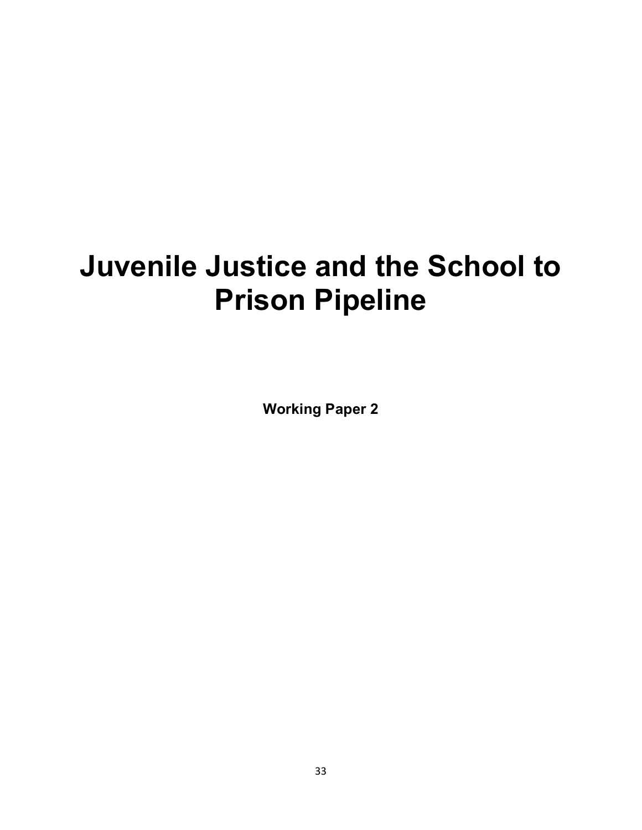# **Juvenile Justice and the School to Prison Pipeline**

**Working Paper 2**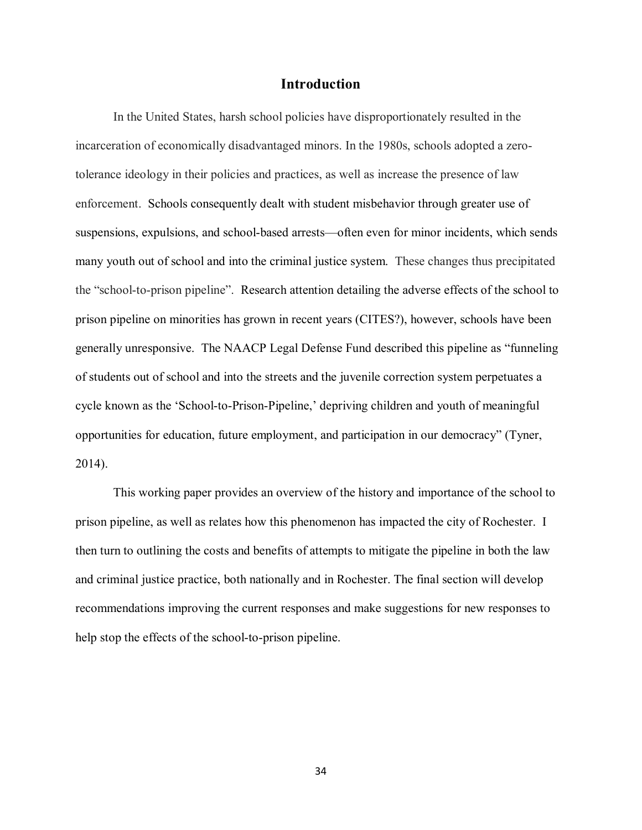#### **Introduction**

In the United States, harsh school policies have disproportionately resulted in the incarceration of economically disadvantaged minors. In the 1980s, schools adopted a zerotolerance ideology in their policies and practices, as well as increase the presence of law enforcement. Schools consequently dealt with student misbehavior through greater use of suspensions, expulsions, and school-based arrests—often even for minor incidents, which sends many youth out of school and into the criminal justice system. These changes thus precipitated the "school-to-prison pipeline". Research attention detailing the adverse effects of the school to prison pipeline on minorities has grown in recent years (CITES?), however, schools have been generally unresponsive. The NAACP Legal Defense Fund described this pipeline as "funneling of students out of school and into the streets and the juvenile correction system perpetuates a cycle known as the 'School-to-Prison-Pipeline,' depriving children and youth of meaningful opportunities for education, future employment, and participation in our democracy" (Tyner, 2014).

This working paper provides an overview of the history and importance of the school to prison pipeline, as well as relates how this phenomenon has impacted the city of Rochester. I then turn to outlining the costs and benefits of attempts to mitigate the pipeline in both the law and criminal justice practice, both nationally and in Rochester. The final section will develop recommendations improving the current responses and make suggestions for new responses to help stop the effects of the school-to-prison pipeline.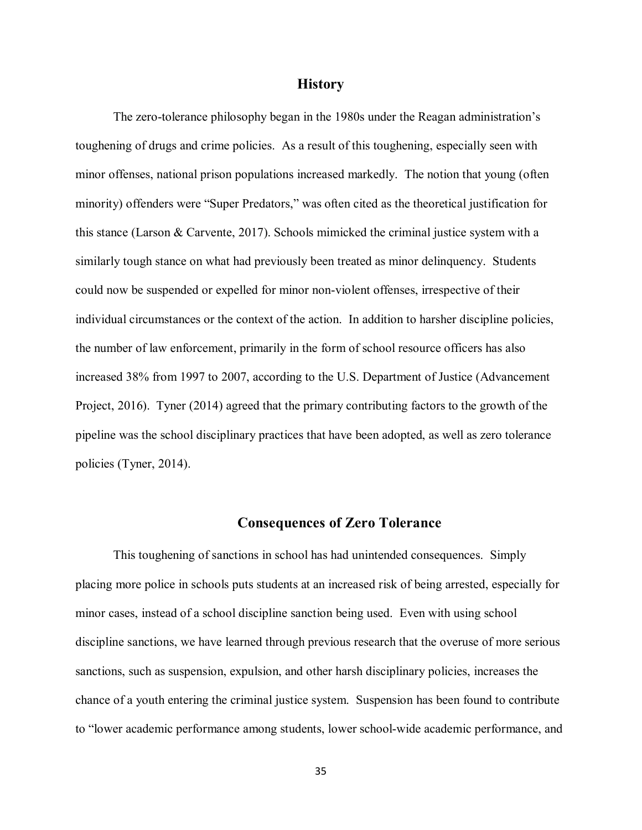#### **History**

The zero-tolerance philosophy began in the 1980s under the Reagan administration's toughening of drugs and crime policies. As a result of this toughening, especially seen with minor offenses, national prison populations increased markedly. The notion that young (often minority) offenders were "Super Predators," was often cited as the theoretical justification for this stance (Larson & Carvente, 2017). Schools mimicked the criminal justice system with a similarly tough stance on what had previously been treated as minor delinquency. Students could now be suspended or expelled for minor non-violent offenses, irrespective of their individual circumstances or the context of the action. In addition to harsher discipline policies, the number of law enforcement, primarily in the form of school resource officers has also increased 38% from 1997 to 2007, according to the U.S. Department of Justice (Advancement Project, 2016). Tyner (2014) agreed that the primary contributing factors to the growth of the pipeline was the school disciplinary practices that have been adopted, as well as zero tolerance policies (Tyner, 2014).

#### **Consequences of Zero Tolerance**

This toughening of sanctions in school has had unintended consequences. Simply placing more police in schools puts students at an increased risk of being arrested, especially for minor cases, instead of a school discipline sanction being used. Even with using school discipline sanctions, we have learned through previous research that the overuse of more serious sanctions, such as suspension, expulsion, and other harsh disciplinary policies, increases the chance of a youth entering the criminal justice system. Suspension has been found to contribute to "lower academic performance among students, lower school-wide academic performance, and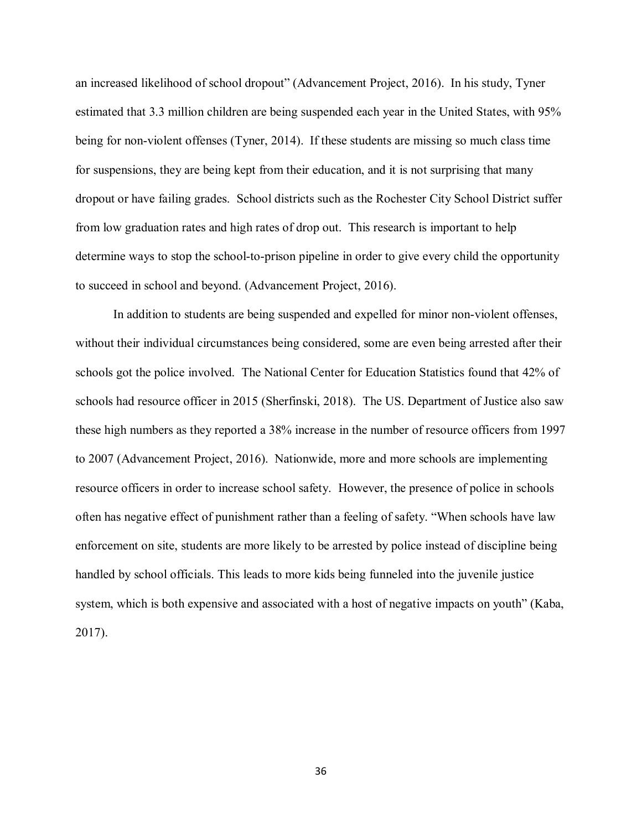an increased likelihood of school dropout" (Advancement Project, 2016). In his study, Tyner estimated that 3.3 million children are being suspended each year in the United States, with 95% being for non-violent offenses (Tyner, 2014). If these students are missing so much class time for suspensions, they are being kept from their education, and it is not surprising that many dropout or have failing grades. School districts such as the Rochester City School District suffer from low graduation rates and high rates of drop out. This research is important to help determine ways to stop the school-to-prison pipeline in order to give every child the opportunity to succeed in school and beyond. (Advancement Project, 2016).

In addition to students are being suspended and expelled for minor non-violent offenses, without their individual circumstances being considered, some are even being arrested after their schools got the police involved. The National Center for Education Statistics found that 42% of schools had resource officer in 2015 (Sherfinski, 2018). The US. Department of Justice also saw these high numbers as they reported a 38% increase in the number of resource officers from 1997 to 2007 (Advancement Project, 2016). Nationwide, more and more schools are implementing resource officers in order to increase school safety. However, the presence of police in schools often has negative effect of punishment rather than a feeling of safety. "When schools have law enforcement on site, students are more likely to be arrested by police instead of discipline being handled by school officials. This leads to more kids being funneled into the juvenile justice system, which is both expensive and associated with a host of negative impacts on youth" (Kaba, 2017).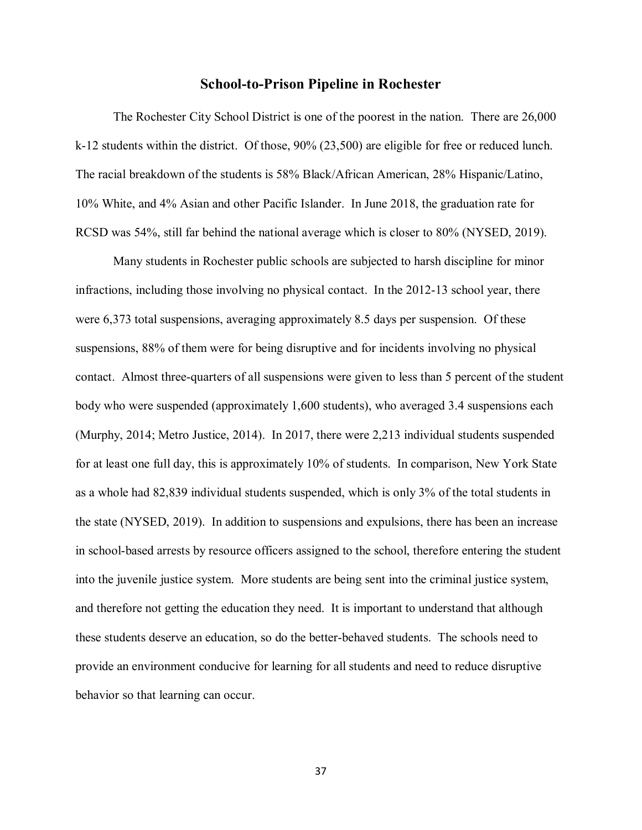## **School-to-Prison Pipeline in Rochester**

The Rochester City School District is one of the poorest in the nation. There are 26,000 k-12 students within the district. Of those, 90% (23,500) are eligible for free or reduced lunch. The racial breakdown of the students is 58% Black/African American, 28% Hispanic/Latino, 10% White, and 4% Asian and other Pacific Islander. In June 2018, the graduation rate for RCSD was 54%, still far behind the national average which is closer to 80% (NYSED, 2019).

Many students in Rochester public schools are subjected to harsh discipline for minor infractions, including those involving no physical contact. In the 2012-13 school year, there were 6,373 total suspensions, averaging approximately 8.5 days per suspension. Of these suspensions, 88% of them were for being disruptive and for incidents involving no physical contact. Almost three-quarters of all suspensions were given to less than 5 percent of the student body who were suspended (approximately 1,600 students), who averaged 3.4 suspensions each (Murphy, 2014; Metro Justice, 2014). In 2017, there were 2,213 individual students suspended for at least one full day, this is approximately 10% of students. In comparison, New York State as a whole had 82,839 individual students suspended, which is only 3% of the total students in the state (NYSED, 2019). In addition to suspensions and expulsions, there has been an increase in school-based arrests by resource officers assigned to the school, therefore entering the student into the juvenile justice system. More students are being sent into the criminal justice system, and therefore not getting the education they need. It is important to understand that although these students deserve an education, so do the better-behaved students. The schools need to provide an environment conducive for learning for all students and need to reduce disruptive behavior so that learning can occur.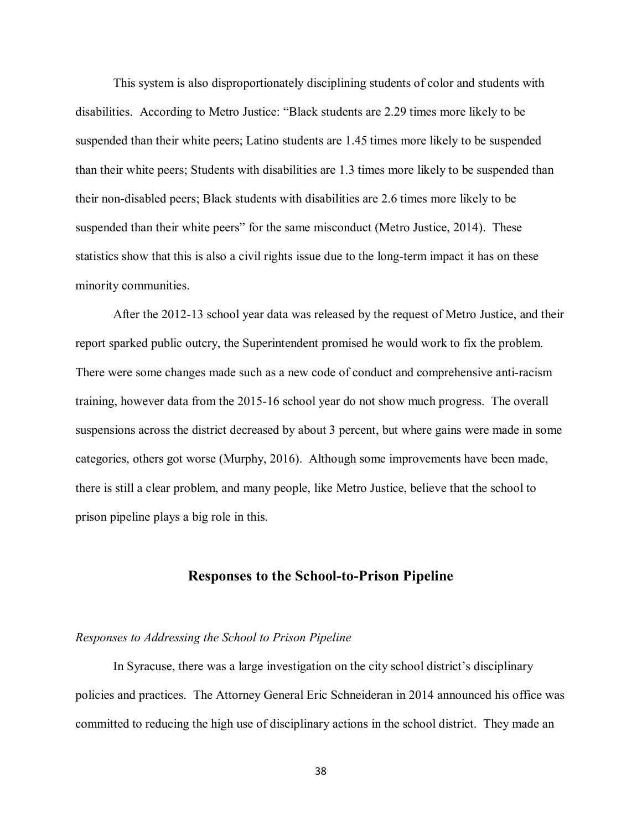This system is also disproportionately disciplining students of color and students with disabilities. According to Metro Justice: "Black students are 2.29 times more likely to be suspended than their white peers; Latino students are 1.45 times more likely to be suspended than their white peers; Students with disabilities are 1.3 times more likely to be suspended than their non-disabled peers; Black students with disabilities are 2.6 times more likely to be suspended than their white peers" for the same misconduct (Metro Justice, 2014). These statistics show that this is also a civil rights issue due to the long-term impact it has on these minority communities.

After the 2012-13 school year data was released by the request of Metro Justice, and their report sparked public outcry, the Superintendent promised he would work to fix the problem. There were some changes made such as a new code of conduct and comprehensive anti-racism training, however data from the 2015-16 school year do not show much progress. The overall suspensions across the district decreased by about 3 percent, but where gains were made in some categories, others got worse (Murphy, 2016). Although some improvements have been made, there is still a clear problem, and many people, like Metro Justice, believe that the school to prison pipeline plays a big role in this.

# **Responses to the School-to-Prison Pipeline**

#### *Responses to Addressing the School to Prison Pipeline*

In Syracuse, there was a large investigation on the city school district's disciplinary policies and practices. The Attorney General Eric Schneideran in 2014 announced his office was committed to reducing the high use of disciplinary actions in the school district. They made an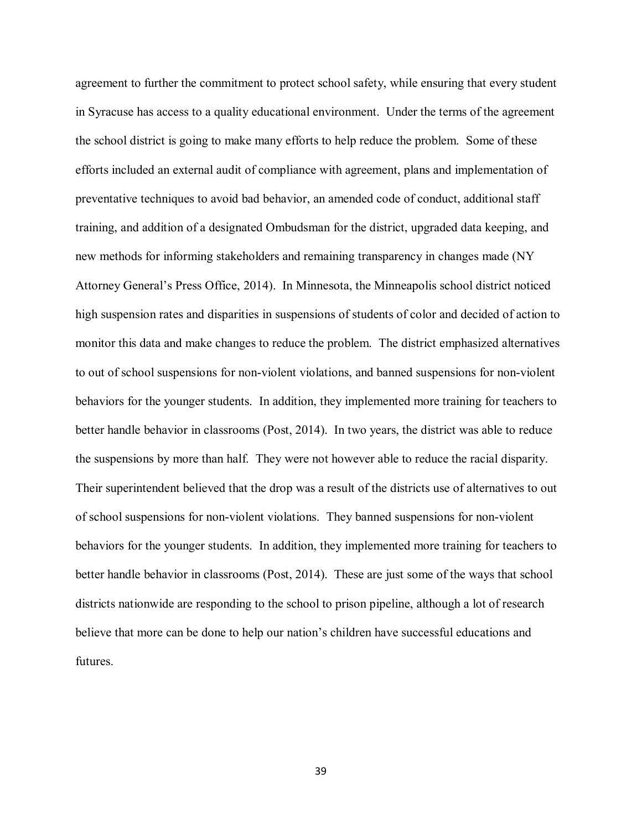agreement to further the commitment to protect school safety, while ensuring that every student in Syracuse has access to a quality educational environment. Under the terms of the agreement the school district is going to make many efforts to help reduce the problem. Some of these efforts included an external audit of compliance with agreement, plans and implementation of preventative techniques to avoid bad behavior, an amended code of conduct, additional staff training, and addition of a designated Ombudsman for the district, upgraded data keeping, and new methods for informing stakeholders and remaining transparency in changes made (NY Attorney General's Press Office, 2014). In Minnesota, the Minneapolis school district noticed high suspension rates and disparities in suspensions of students of color and decided of action to monitor this data and make changes to reduce the problem. The district emphasized alternatives to out of school suspensions for non-violent violations, and banned suspensions for non-violent behaviors for the younger students. In addition, they implemented more training for teachers to better handle behavior in classrooms (Post, 2014). In two years, the district was able to reduce the suspensions by more than half. They were not however able to reduce the racial disparity. Their superintendent believed that the drop was a result of the districts use of alternatives to out of school suspensions for non-violent violations. They banned suspensions for non-violent behaviors for the younger students. In addition, they implemented more training for teachers to better handle behavior in classrooms (Post, 2014). These are just some of the ways that school districts nationwide are responding to the school to prison pipeline, although a lot of research believe that more can be done to help our nation's children have successful educations and futures.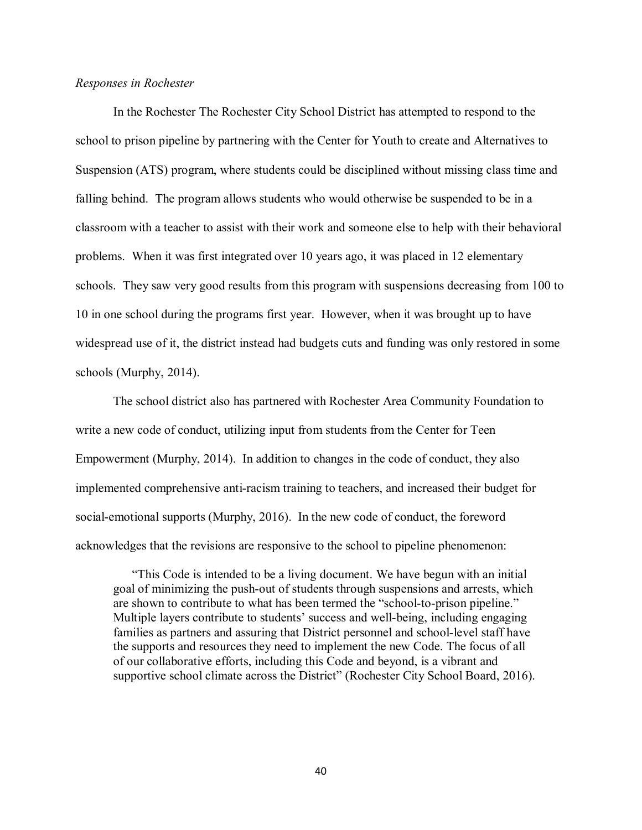# *Responses in Rochester*

In the Rochester The Rochester City School District has attempted to respond to the school to prison pipeline by partnering with the Center for Youth to create and Alternatives to Suspension (ATS) program, where students could be disciplined without missing class time and falling behind. The program allows students who would otherwise be suspended to be in a classroom with a teacher to assist with their work and someone else to help with their behavioral problems. When it was first integrated over 10 years ago, it was placed in 12 elementary schools. They saw very good results from this program with suspensions decreasing from 100 to 10 in one school during the programs first year. However, when it was brought up to have widespread use of it, the district instead had budgets cuts and funding was only restored in some schools (Murphy, 2014).

The school district also has partnered with Rochester Area Community Foundation to write a new code of conduct, utilizing input from students from the Center for Teen Empowerment (Murphy, 2014). In addition to changes in the code of conduct, they also implemented comprehensive anti-racism training to teachers, and increased their budget for social-emotional supports (Murphy, 2016). In the new code of conduct, the foreword acknowledges that the revisions are responsive to the school to pipeline phenomenon:

"This Code is intended to be a living document. We have begun with an initial goal of minimizing the push-out of students through suspensions and arrests, which are shown to contribute to what has been termed the "school-to-prison pipeline." Multiple layers contribute to students' success and well-being, including engaging families as partners and assuring that District personnel and school-level staff have the supports and resources they need to implement the new Code. The focus of all of our collaborative efforts, including this Code and beyond, is a vibrant and supportive school climate across the District" (Rochester City School Board, 2016).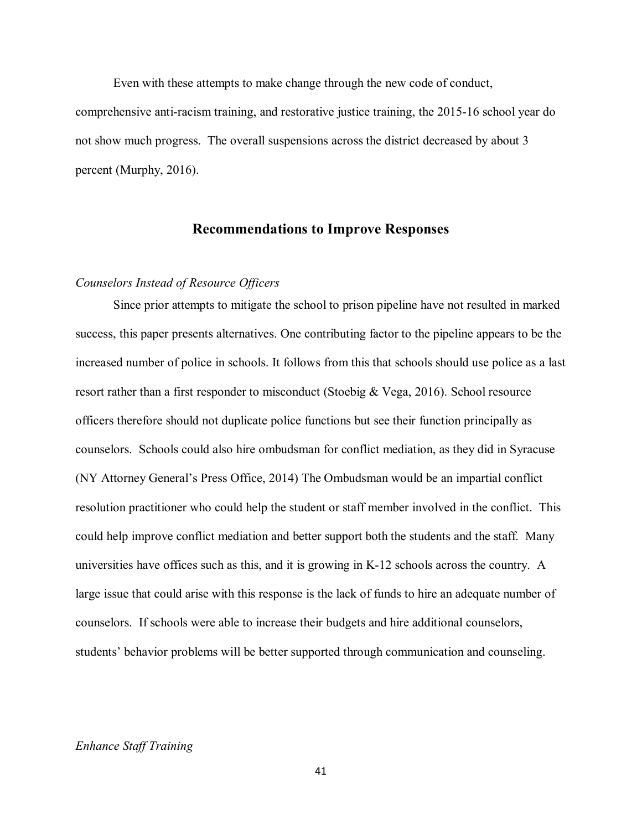Even with these attempts to make change through the new code of conduct, comprehensive anti-racism training, and restorative justice training, the 2015-16 school year do not show much progress. The overall suspensions across the district decreased by about 3 percent (Murphy, 2016).

# **Recommendations to Improve Responses**

# *Counselors Instead of Resource Officers*

Since prior attempts to mitigate the school to prison pipeline have not resulted in marked success, this paper presents alternatives. One contributing factor to the pipeline appears to be the increased number of police in schools. It follows from this that schools should use police as a last resort rather than a first responder to misconduct (Stoebig & Vega, 2016). School resource officers therefore should not duplicate police functions but see their function principally as counselors. Schools could also hire ombudsman for conflict mediation, as they did in Syracuse (NY Attorney General's Press Office, 2014) The Ombudsman would be an impartial conflict resolution practitioner who could help the student or staff member involved in the conflict. This could help improve conflict mediation and better support both the students and the staff. Many universities have offices such as this, and it is growing in K-12 schools across the country. A large issue that could arise with this response is the lack of funds to hire an adequate number of counselors. If schools were able to increase their budgets and hire additional counselors, students' behavior problems will be better supported through communication and counseling.

# *Enhance Staff Training*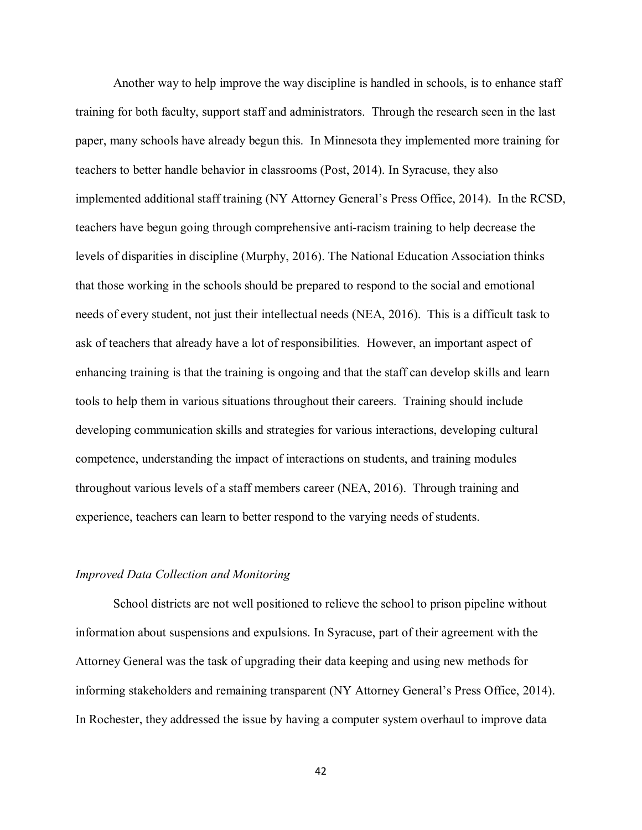Another way to help improve the way discipline is handled in schools, is to enhance staff training for both faculty, support staff and administrators. Through the research seen in the last paper, many schools have already begun this. In Minnesota they implemented more training for teachers to better handle behavior in classrooms (Post, 2014). In Syracuse, they also implemented additional staff training (NY Attorney General's Press Office, 2014). In the RCSD, teachers have begun going through comprehensive anti-racism training to help decrease the levels of disparities in discipline (Murphy, 2016). The National Education Association thinks that those working in the schools should be prepared to respond to the social and emotional needs of every student, not just their intellectual needs (NEA, 2016). This is a difficult task to ask of teachers that already have a lot of responsibilities. However, an important aspect of enhancing training is that the training is ongoing and that the staff can develop skills and learn tools to help them in various situations throughout their careers. Training should include developing communication skills and strategies for various interactions, developing cultural competence, understanding the impact of interactions on students, and training modules throughout various levels of a staff members career (NEA, 2016). Through training and experience, teachers can learn to better respond to the varying needs of students.

#### *Improved Data Collection and Monitoring*

School districts are not well positioned to relieve the school to prison pipeline without information about suspensions and expulsions. In Syracuse, part of their agreement with the Attorney General was the task of upgrading their data keeping and using new methods for informing stakeholders and remaining transparent (NY Attorney General's Press Office, 2014). In Rochester, they addressed the issue by having a computer system overhaul to improve data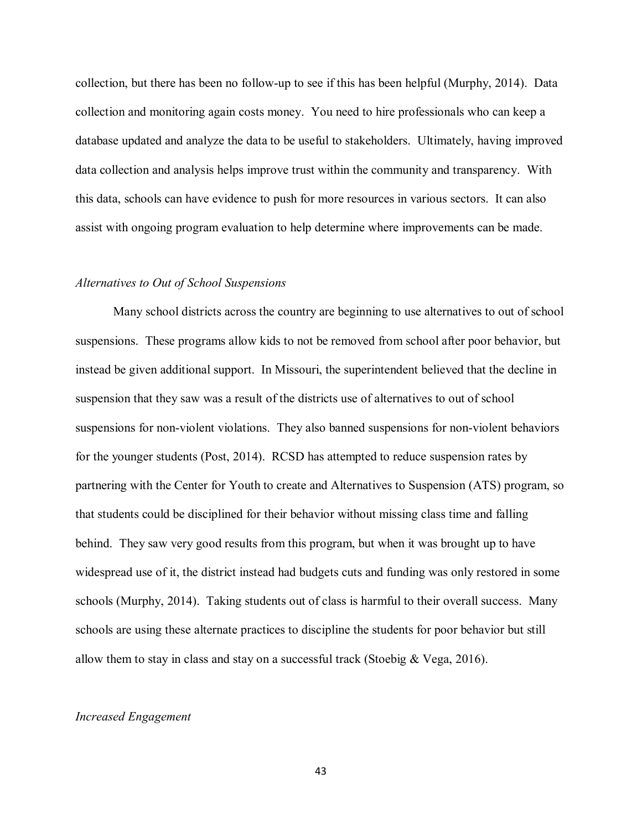collection, but there has been no follow-up to see if this has been helpful (Murphy, 2014). Data collection and monitoring again costs money. You need to hire professionals who can keep a database updated and analyze the data to be useful to stakeholders. Ultimately, having improved data collection and analysis helps improve trust within the community and transparency. With this data, schools can have evidence to push for more resources in various sectors. It can also assist with ongoing program evaluation to help determine where improvements can be made.

## *Alternatives to Out of School Suspensions*

Many school districts across the country are beginning to use alternatives to out of school suspensions. These programs allow kids to not be removed from school after poor behavior, but instead be given additional support. In Missouri, the superintendent believed that the decline in suspension that they saw was a result of the districts use of alternatives to out of school suspensions for non-violent violations. They also banned suspensions for non-violent behaviors for the younger students (Post, 2014). RCSD has attempted to reduce suspension rates by partnering with the Center for Youth to create and Alternatives to Suspension (ATS) program, so that students could be disciplined for their behavior without missing class time and falling behind. They saw very good results from this program, but when it was brought up to have widespread use of it, the district instead had budgets cuts and funding was only restored in some schools (Murphy, 2014). Taking students out of class is harmful to their overall success. Many schools are using these alternate practices to discipline the students for poor behavior but still allow them to stay in class and stay on a successful track (Stoebig  $& Vega, 2016$ ).

## *Increased Engagement*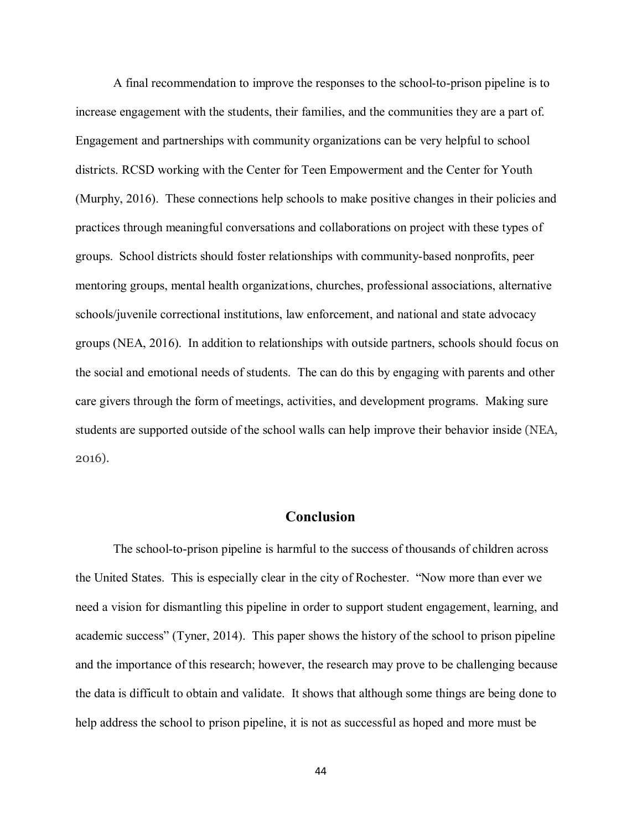A final recommendation to improve the responses to the school-to-prison pipeline is to increase engagement with the students, their families, and the communities they are a part of. Engagement and partnerships with community organizations can be very helpful to school districts. RCSD working with the Center for Teen Empowerment and the Center for Youth (Murphy, 2016). These connections help schools to make positive changes in their policies and practices through meaningful conversations and collaborations on project with these types of groups. School districts should foster relationships with community-based nonprofits, peer mentoring groups, mental health organizations, churches, professional associations, alternative schools/juvenile correctional institutions, law enforcement, and national and state advocacy groups (NEA, 2016). In addition to relationships with outside partners, schools should focus on the social and emotional needs of students. The can do this by engaging with parents and other care givers through the form of meetings, activities, and development programs. Making sure students are supported outside of the school walls can help improve their behavior inside (NEA, 2016).

# **Conclusion**

The school-to-prison pipeline is harmful to the success of thousands of children across the United States. This is especially clear in the city of Rochester. "Now more than ever we need a vision for dismantling this pipeline in order to support student engagement, learning, and academic success" (Tyner, 2014). This paper shows the history of the school to prison pipeline and the importance of this research; however, the research may prove to be challenging because the data is difficult to obtain and validate. It shows that although some things are being done to help address the school to prison pipeline, it is not as successful as hoped and more must be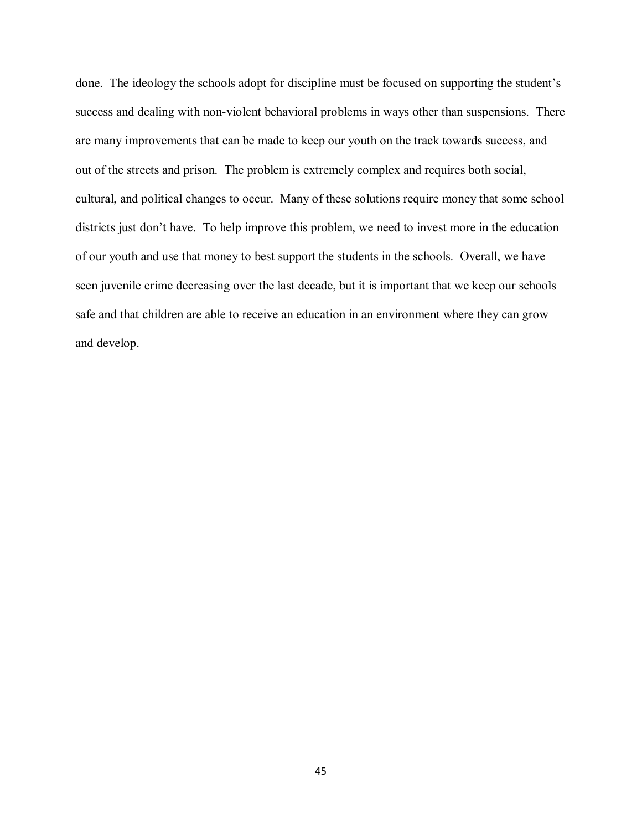done. The ideology the schools adopt for discipline must be focused on supporting the student's success and dealing with non-violent behavioral problems in ways other than suspensions. There are many improvements that can be made to keep our youth on the track towards success, and out of the streets and prison. The problem is extremely complex and requires both social, cultural, and political changes to occur. Many of these solutions require money that some school districts just don't have. To help improve this problem, we need to invest more in the education of our youth and use that money to best support the students in the schools. Overall, we have seen juvenile crime decreasing over the last decade, but it is important that we keep our schools safe and that children are able to receive an education in an environment where they can grow and develop.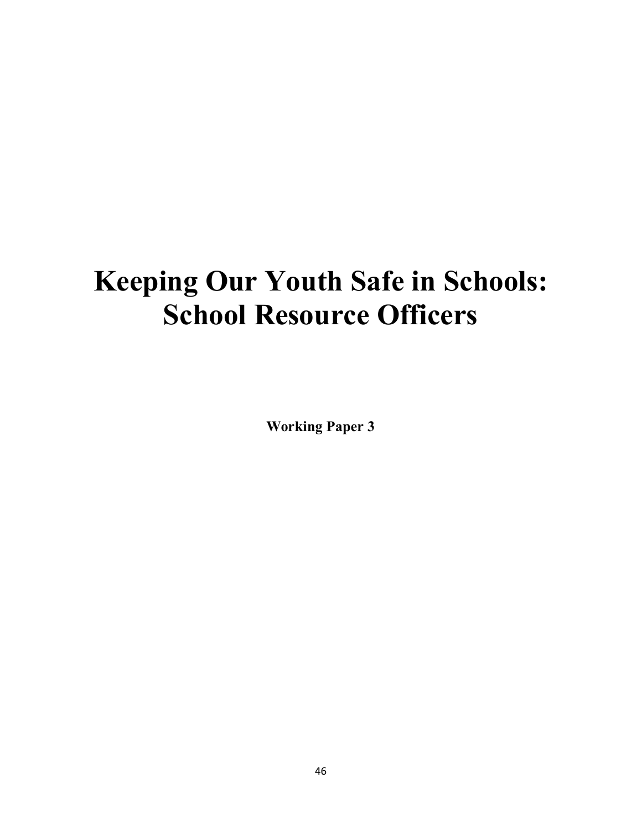# **Keeping Our Youth Safe in Schools: School Resource Officers**

**Working Paper 3**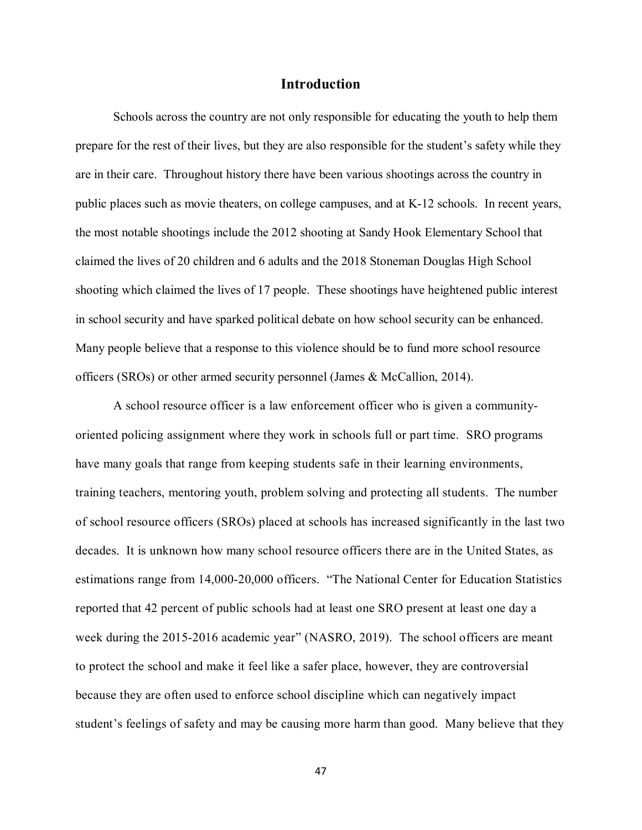## **Introduction**

Schools across the country are not only responsible for educating the youth to help them prepare for the rest of their lives, but they are also responsible for the student's safety while they are in their care. Throughout history there have been various shootings across the country in public places such as movie theaters, on college campuses, and at K-12 schools. In recent years, the most notable shootings include the 2012 shooting at Sandy Hook Elementary School that claimed the lives of 20 children and 6 adults and the 2018 Stoneman Douglas High School shooting which claimed the lives of 17 people. These shootings have heightened public interest in school security and have sparked political debate on how school security can be enhanced. Many people believe that a response to this violence should be to fund more school resource officers (SROs) or other armed security personnel (James & McCallion, 2014).

A school resource officer is a law enforcement officer who is given a communityoriented policing assignment where they work in schools full or part time. SRO programs have many goals that range from keeping students safe in their learning environments, training teachers, mentoring youth, problem solving and protecting all students. The number of school resource officers (SROs) placed at schools has increased significantly in the last two decades. It is unknown how many school resource officers there are in the United States, as estimations range from 14,000-20,000 officers. "The National Center for Education Statistics reported that 42 percent of public schools had at least one SRO present at least one day a week during the 2015-2016 academic year" (NASRO, 2019). The school officers are meant to protect the school and make it feel like a safer place, however, they are controversial because they are often used to enforce school discipline which can negatively impact student's feelings of safety and may be causing more harm than good. Many believe that they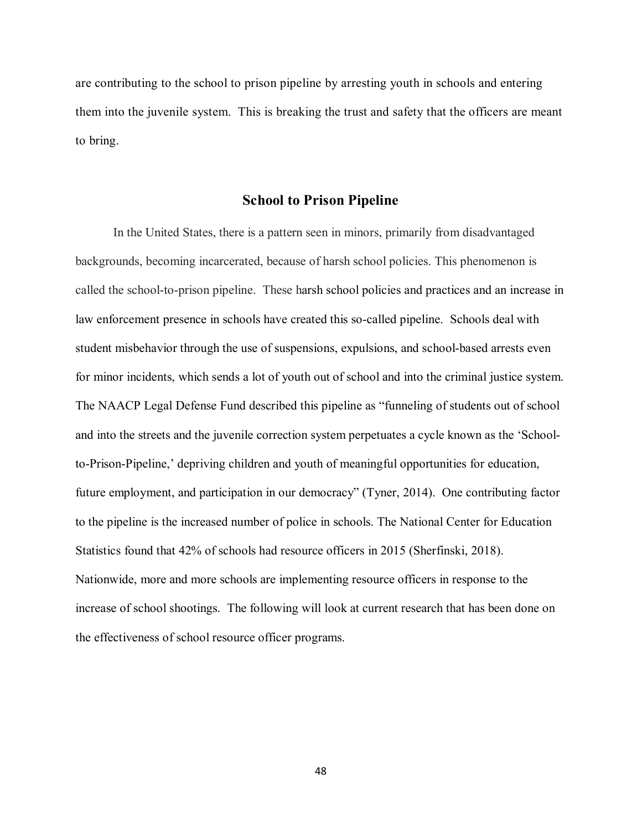are contributing to the school to prison pipeline by arresting youth in schools and entering them into the juvenile system. This is breaking the trust and safety that the officers are meant to bring.

# **School to Prison Pipeline**

In the United States, there is a pattern seen in minors, primarily from disadvantaged backgrounds, becoming incarcerated, because of harsh school policies. This phenomenon is called the school-to-prison pipeline. These harsh school policies and practices and an increase in law enforcement presence in schools have created this so-called pipeline. Schools deal with student misbehavior through the use of suspensions, expulsions, and school-based arrests even for minor incidents, which sends a lot of youth out of school and into the criminal justice system. The NAACP Legal Defense Fund described this pipeline as "funneling of students out of school and into the streets and the juvenile correction system perpetuates a cycle known as the 'Schoolto-Prison-Pipeline,' depriving children and youth of meaningful opportunities for education, future employment, and participation in our democracy" (Tyner, 2014). One contributing factor to the pipeline is the increased number of police in schools. The National Center for Education Statistics found that 42% of schools had resource officers in 2015 (Sherfinski, 2018). Nationwide, more and more schools are implementing resource officers in response to the increase of school shootings. The following will look at current research that has been done on the effectiveness of school resource officer programs.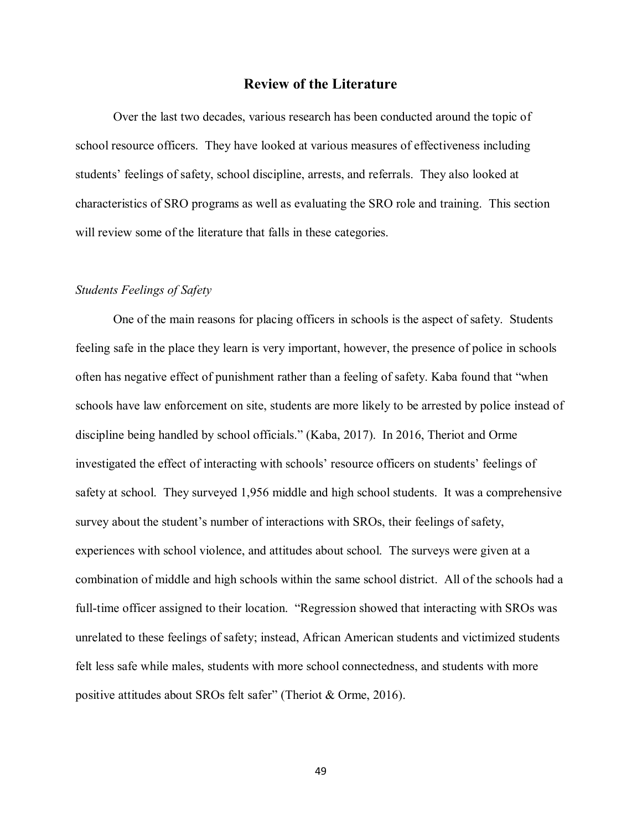# **Review of the Literature**

Over the last two decades, various research has been conducted around the topic of school resource officers. They have looked at various measures of effectiveness including students' feelings of safety, school discipline, arrests, and referrals. They also looked at characteristics of SRO programs as well as evaluating the SRO role and training. This section will review some of the literature that falls in these categories.

## *Students Feelings of Safety*

One of the main reasons for placing officers in schools is the aspect of safety. Students feeling safe in the place they learn is very important, however, the presence of police in schools often has negative effect of punishment rather than a feeling of safety. Kaba found that "when schools have law enforcement on site, students are more likely to be arrested by police instead of discipline being handled by school officials." (Kaba, 2017). In 2016, Theriot and Orme investigated the effect of interacting with schools' resource officers on students' feelings of safety at school. They surveyed 1,956 middle and high school students. It was a comprehensive survey about the student's number of interactions with SROs, their feelings of safety, experiences with school violence, and attitudes about school. The surveys were given at a combination of middle and high schools within the same school district. All of the schools had a full-time officer assigned to their location. "Regression showed that interacting with SROs was unrelated to these feelings of safety; instead, African American students and victimized students felt less safe while males, students with more school connectedness, and students with more positive attitudes about SROs felt safer" (Theriot & Orme, 2016).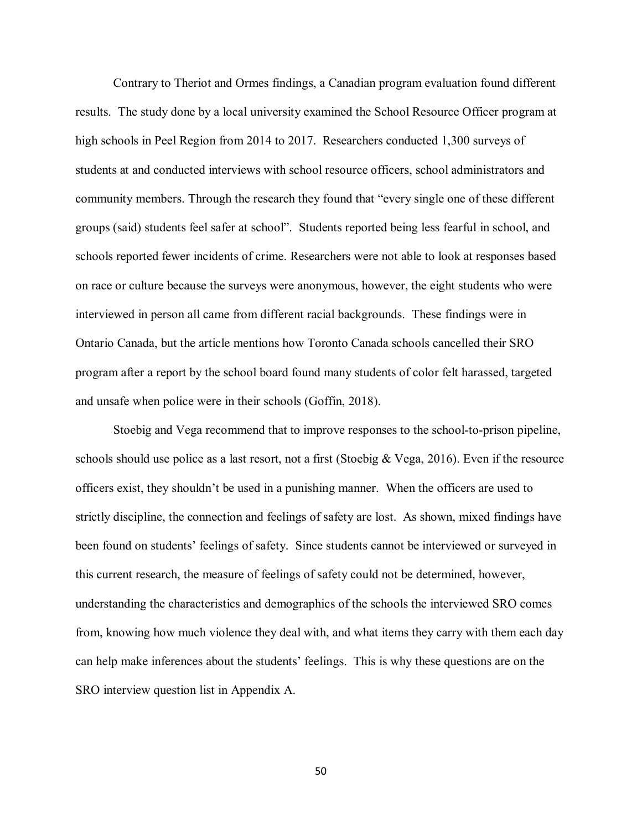Contrary to Theriot and Ormes findings, a Canadian program evaluation found different results. The study done by a local university examined the School Resource Officer program at high schools in Peel Region from 2014 to 2017. Researchers conducted 1,300 surveys of students at and conducted interviews with school resource officers, school administrators and community members. Through the research they found that "every single one of these different groups (said) students feel safer at school". Students reported being less fearful in school, and schools reported fewer incidents of crime. Researchers were not able to look at responses based on race or culture because the surveys were anonymous, however, the eight students who were interviewed in person all came from different racial backgrounds. These findings were in Ontario Canada, but the article mentions how Toronto Canada schools cancelled their SRO program after a report by the school board found many students of color felt harassed, targeted and unsafe when police were in their schools (Goffin, 2018).

Stoebig and Vega recommend that to improve responses to the school-to-prison pipeline, schools should use police as a last resort, not a first (Stoebig & Vega, 2016). Even if the resource officers exist, they shouldn't be used in a punishing manner. When the officers are used to strictly discipline, the connection and feelings of safety are lost. As shown, mixed findings have been found on students' feelings of safety. Since students cannot be interviewed or surveyed in this current research, the measure of feelings of safety could not be determined, however, understanding the characteristics and demographics of the schools the interviewed SRO comes from, knowing how much violence they deal with, and what items they carry with them each day can help make inferences about the students' feelings. This is why these questions are on the SRO interview question list in Appendix A.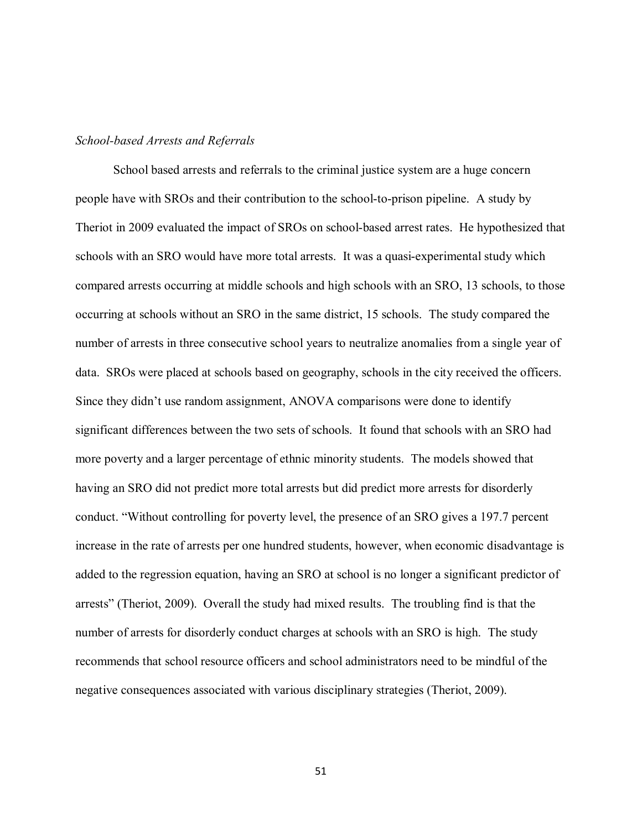#### *School-based Arrests and Referrals*

School based arrests and referrals to the criminal justice system are a huge concern people have with SROs and their contribution to the school-to-prison pipeline. A study by Theriot in 2009 evaluated the impact of SROs on school-based arrest rates. He hypothesized that schools with an SRO would have more total arrests. It was a quasi-experimental study which compared arrests occurring at middle schools and high schools with an SRO, 13 schools, to those occurring at schools without an SRO in the same district, 15 schools. The study compared the number of arrests in three consecutive school years to neutralize anomalies from a single year of data. SROs were placed at schools based on geography, schools in the city received the officers. Since they didn't use random assignment, ANOVA comparisons were done to identify significant differences between the two sets of schools. It found that schools with an SRO had more poverty and a larger percentage of ethnic minority students. The models showed that having an SRO did not predict more total arrests but did predict more arrests for disorderly conduct. "Without controlling for poverty level, the presence of an SRO gives a 197.7 percent increase in the rate of arrests per one hundred students, however, when economic disadvantage is added to the regression equation, having an SRO at school is no longer a significant predictor of arrests" (Theriot, 2009). Overall the study had mixed results. The troubling find is that the number of arrests for disorderly conduct charges at schools with an SRO is high. The study recommends that school resource officers and school administrators need to be mindful of the negative consequences associated with various disciplinary strategies (Theriot, 2009).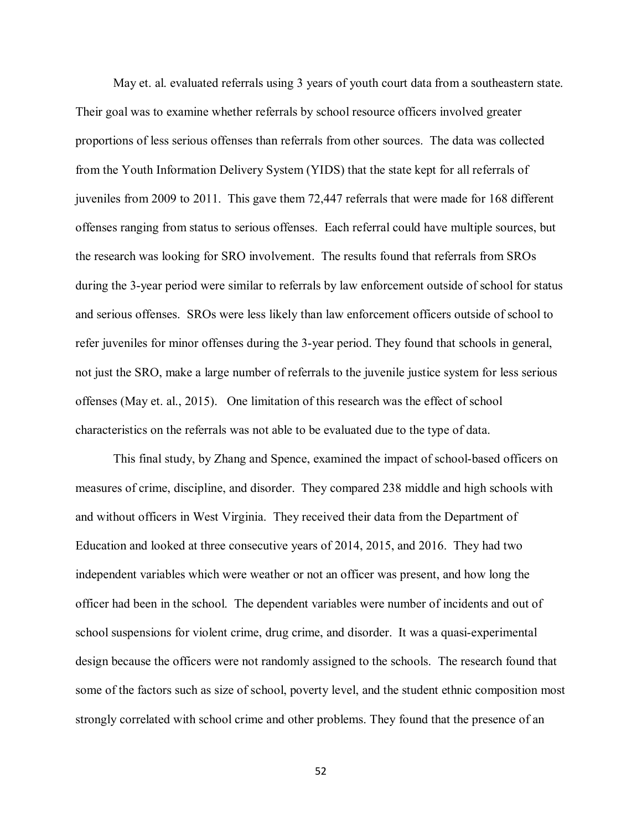May et. al. evaluated referrals using 3 years of youth court data from a southeastern state. Their goal was to examine whether referrals by school resource officers involved greater proportions of less serious offenses than referrals from other sources. The data was collected from the Youth Information Delivery System (YIDS) that the state kept for all referrals of juveniles from 2009 to 2011. This gave them 72,447 referrals that were made for 168 different offenses ranging from status to serious offenses. Each referral could have multiple sources, but the research was looking for SRO involvement. The results found that referrals from SROs during the 3-year period were similar to referrals by law enforcement outside of school for status and serious offenses. SROs were less likely than law enforcement officers outside of school to refer juveniles for minor offenses during the 3-year period. They found that schools in general, not just the SRO, make a large number of referrals to the juvenile justice system for less serious offenses (May et. al., 2015). One limitation of this research was the effect of school characteristics on the referrals was not able to be evaluated due to the type of data.

This final study, by Zhang and Spence, examined the impact of school-based officers on measures of crime, discipline, and disorder. They compared 238 middle and high schools with and without officers in West Virginia. They received their data from the Department of Education and looked at three consecutive years of 2014, 2015, and 2016. They had two independent variables which were weather or not an officer was present, and how long the officer had been in the school. The dependent variables were number of incidents and out of school suspensions for violent crime, drug crime, and disorder. It was a quasi-experimental design because the officers were not randomly assigned to the schools. The research found that some of the factors such as size of school, poverty level, and the student ethnic composition most strongly correlated with school crime and other problems. They found that the presence of an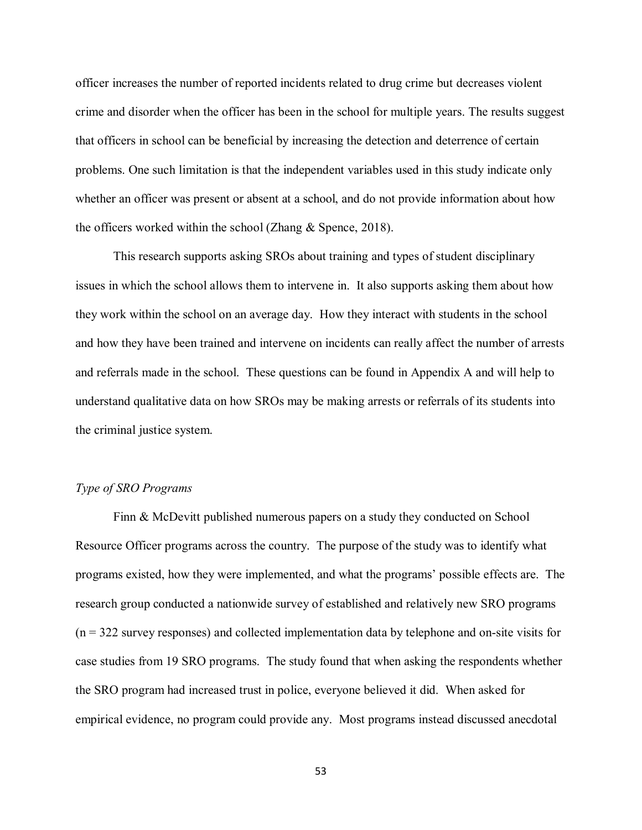officer increases the number of reported incidents related to drug crime but decreases violent crime and disorder when the officer has been in the school for multiple years. The results suggest that officers in school can be beneficial by increasing the detection and deterrence of certain problems. One such limitation is that the independent variables used in this study indicate only whether an officer was present or absent at a school, and do not provide information about how the officers worked within the school (Zhang & Spence, 2018).

This research supports asking SROs about training and types of student disciplinary issues in which the school allows them to intervene in. It also supports asking them about how they work within the school on an average day. How they interact with students in the school and how they have been trained and intervene on incidents can really affect the number of arrests and referrals made in the school. These questions can be found in Appendix A and will help to understand qualitative data on how SROs may be making arrests or referrals of its students into the criminal justice system.

#### *Type of SRO Programs*

Finn & McDevitt published numerous papers on a study they conducted on School Resource Officer programs across the country. The purpose of the study was to identify what programs existed, how they were implemented, and what the programs' possible effects are. The research group conducted a nationwide survey of established and relatively new SRO programs (n = 322 survey responses) and collected implementation data by telephone and on-site visits for case studies from 19 SRO programs. The study found that when asking the respondents whether the SRO program had increased trust in police, everyone believed it did. When asked for empirical evidence, no program could provide any. Most programs instead discussed anecdotal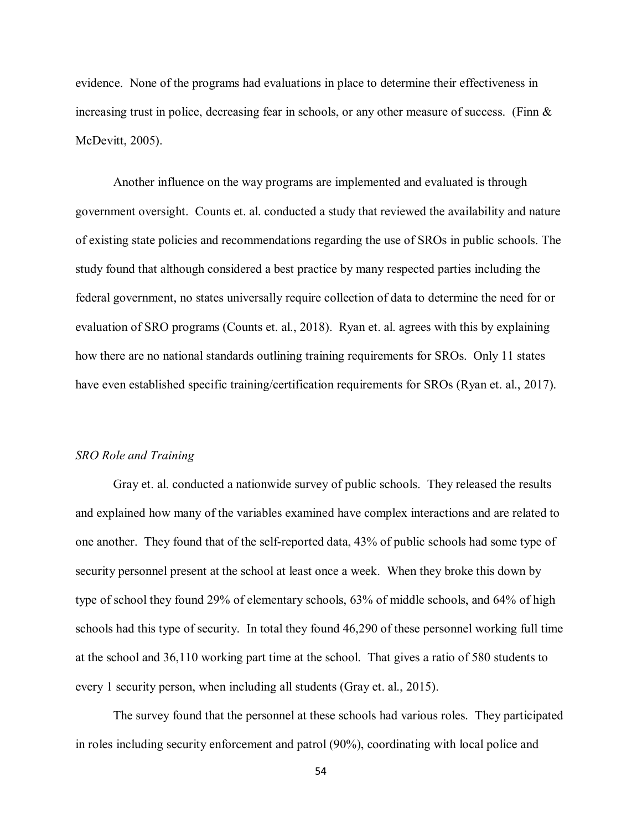evidence. None of the programs had evaluations in place to determine their effectiveness in increasing trust in police, decreasing fear in schools, or any other measure of success. (Finn  $\&$ McDevitt, 2005).

Another influence on the way programs are implemented and evaluated is through government oversight. Counts et. al. conducted a study that reviewed the availability and nature of existing state policies and recommendations regarding the use of SROs in public schools. The study found that although considered a best practice by many respected parties including the federal government, no states universally require collection of data to determine the need for or evaluation of SRO programs (Counts et. al., 2018). Ryan et. al. agrees with this by explaining how there are no national standards outlining training requirements for SROs. Only 11 states have even established specific training/certification requirements for SROs (Ryan et. al., 2017).

## *SRO Role and Training*

Gray et. al. conducted a nationwide survey of public schools. They released the results and explained how many of the variables examined have complex interactions and are related to one another. They found that of the self-reported data, 43% of public schools had some type of security personnel present at the school at least once a week. When they broke this down by type of school they found 29% of elementary schools, 63% of middle schools, and 64% of high schools had this type of security. In total they found 46,290 of these personnel working full time at the school and 36,110 working part time at the school. That gives a ratio of 580 students to every 1 security person, when including all students (Gray et. al., 2015).

The survey found that the personnel at these schools had various roles. They participated in roles including security enforcement and patrol (90%), coordinating with local police and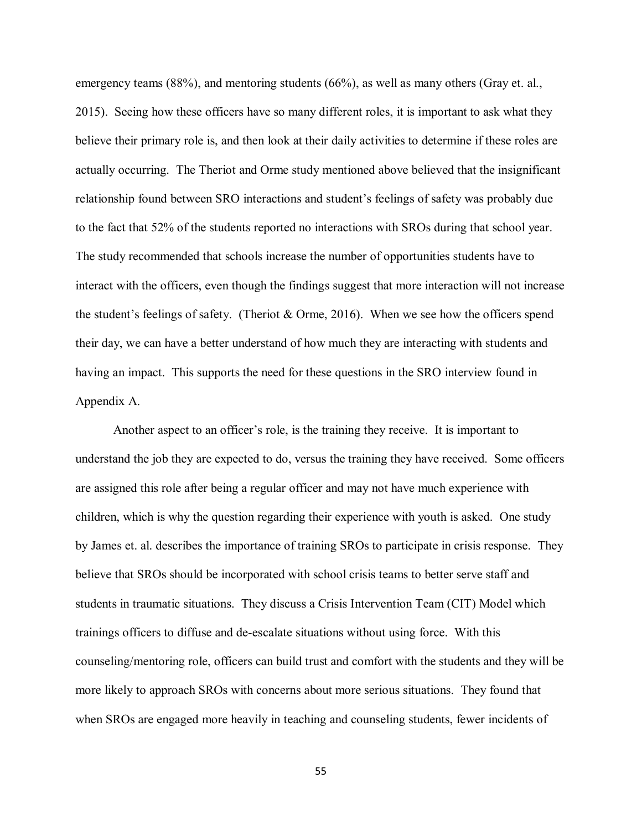emergency teams (88%), and mentoring students (66%), as well as many others (Gray et. al., 2015). Seeing how these officers have so many different roles, it is important to ask what they believe their primary role is, and then look at their daily activities to determine if these roles are actually occurring. The Theriot and Orme study mentioned above believed that the insignificant relationship found between SRO interactions and student's feelings of safety was probably due to the fact that 52% of the students reported no interactions with SROs during that school year. The study recommended that schools increase the number of opportunities students have to interact with the officers, even though the findings suggest that more interaction will not increase the student's feelings of safety. (Theriot & Orme, 2016). When we see how the officers spend their day, we can have a better understand of how much they are interacting with students and having an impact. This supports the need for these questions in the SRO interview found in Appendix A.

Another aspect to an officer's role, is the training they receive. It is important to understand the job they are expected to do, versus the training they have received. Some officers are assigned this role after being a regular officer and may not have much experience with children, which is why the question regarding their experience with youth is asked. One study by James et. al. describes the importance of training SROs to participate in crisis response. They believe that SROs should be incorporated with school crisis teams to better serve staff and students in traumatic situations. They discuss a Crisis Intervention Team (CIT) Model which trainings officers to diffuse and de-escalate situations without using force. With this counseling/mentoring role, officers can build trust and comfort with the students and they will be more likely to approach SROs with concerns about more serious situations. They found that when SROs are engaged more heavily in teaching and counseling students, fewer incidents of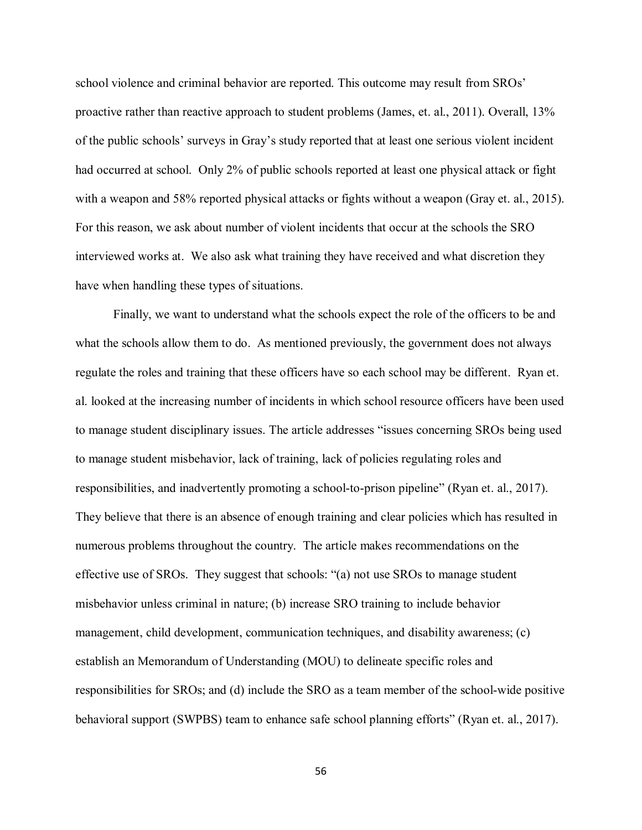school violence and criminal behavior are reported. This outcome may result from SROs' proactive rather than reactive approach to student problems (James, et. al., 2011). Overall, 13% of the public schools' surveys in Gray's study reported that at least one serious violent incident had occurred at school. Only 2% of public schools reported at least one physical attack or fight with a weapon and 58% reported physical attacks or fights without a weapon (Gray et. al., 2015). For this reason, we ask about number of violent incidents that occur at the schools the SRO interviewed works at. We also ask what training they have received and what discretion they have when handling these types of situations.

Finally, we want to understand what the schools expect the role of the officers to be and what the schools allow them to do. As mentioned previously, the government does not always regulate the roles and training that these officers have so each school may be different. Ryan et. al. looked at the increasing number of incidents in which school resource officers have been used to manage student disciplinary issues. The article addresses "issues concerning SROs being used to manage student misbehavior, lack of training, lack of policies regulating roles and responsibilities, and inadvertently promoting a school-to-prison pipeline" (Ryan et. al., 2017). They believe that there is an absence of enough training and clear policies which has resulted in numerous problems throughout the country. The article makes recommendations on the effective use of SROs. They suggest that schools: "(a) not use SROs to manage student misbehavior unless criminal in nature; (b) increase SRO training to include behavior management, child development, communication techniques, and disability awareness; (c) establish an Memorandum of Understanding (MOU) to delineate specific roles and responsibilities for SROs; and (d) include the SRO as a team member of the school-wide positive behavioral support (SWPBS) team to enhance safe school planning efforts" (Ryan et. al., 2017).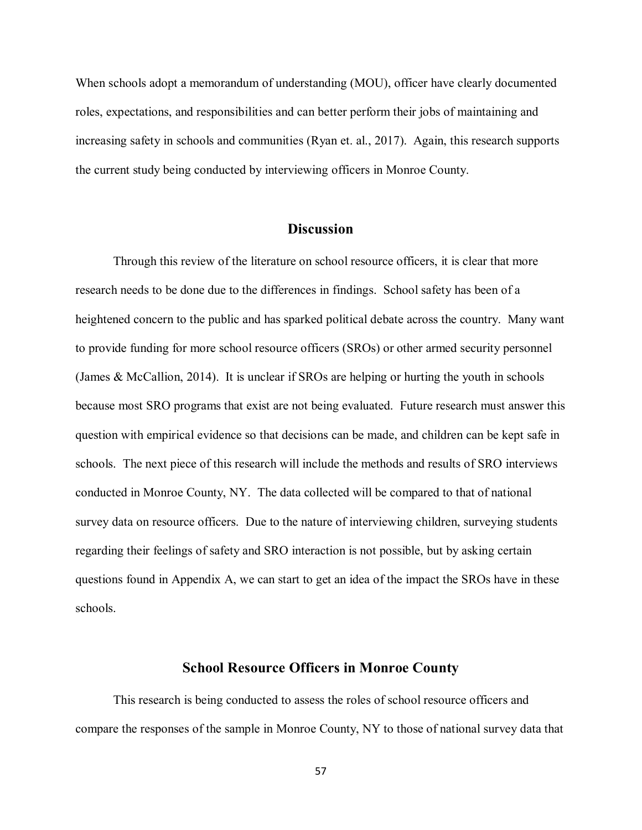When schools adopt a memorandum of understanding (MOU), officer have clearly documented roles, expectations, and responsibilities and can better perform their jobs of maintaining and increasing safety in schools and communities (Ryan et. al., 2017). Again, this research supports the current study being conducted by interviewing officers in Monroe County.

# **Discussion**

Through this review of the literature on school resource officers, it is clear that more research needs to be done due to the differences in findings. School safety has been of a heightened concern to the public and has sparked political debate across the country. Many want to provide funding for more school resource officers (SROs) or other armed security personnel (James & McCallion, 2014). It is unclear if SROs are helping or hurting the youth in schools because most SRO programs that exist are not being evaluated. Future research must answer this question with empirical evidence so that decisions can be made, and children can be kept safe in schools. The next piece of this research will include the methods and results of SRO interviews conducted in Monroe County, NY. The data collected will be compared to that of national survey data on resource officers. Due to the nature of interviewing children, surveying students regarding their feelings of safety and SRO interaction is not possible, but by asking certain questions found in Appendix A, we can start to get an idea of the impact the SROs have in these schools.

### **School Resource Officers in Monroe County**

This research is being conducted to assess the roles of school resource officers and compare the responses of the sample in Monroe County, NY to those of national survey data that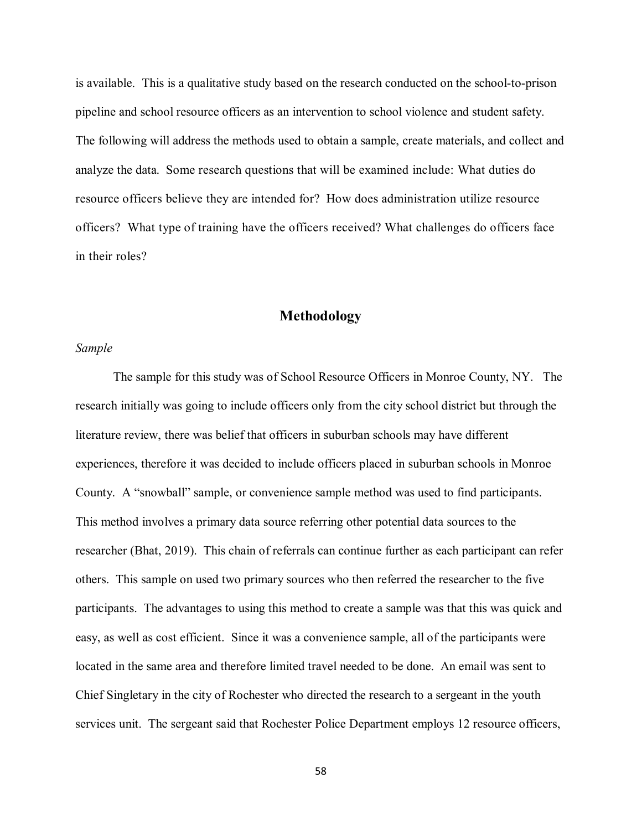is available. This is a qualitative study based on the research conducted on the school-to-prison pipeline and school resource officers as an intervention to school violence and student safety. The following will address the methods used to obtain a sample, create materials, and collect and analyze the data. Some research questions that will be examined include: What duties do resource officers believe they are intended for? How does administration utilize resource officers? What type of training have the officers received? What challenges do officers face in their roles?

# **Methodology**

# *Sample*

The sample for this study was of School Resource Officers in Monroe County, NY. The research initially was going to include officers only from the city school district but through the literature review, there was belief that officers in suburban schools may have different experiences, therefore it was decided to include officers placed in suburban schools in Monroe County. A "snowball" sample, or convenience sample method was used to find participants. This method involves a primary data source referring other potential data sources to the researcher (Bhat, 2019). This chain of referrals can continue further as each participant can refer others. This sample on used two primary sources who then referred the researcher to the five participants. The advantages to using this method to create a sample was that this was quick and easy, as well as cost efficient. Since it was a convenience sample, all of the participants were located in the same area and therefore limited travel needed to be done. An email was sent to Chief Singletary in the city of Rochester who directed the research to a sergeant in the youth services unit. The sergeant said that Rochester Police Department employs 12 resource officers,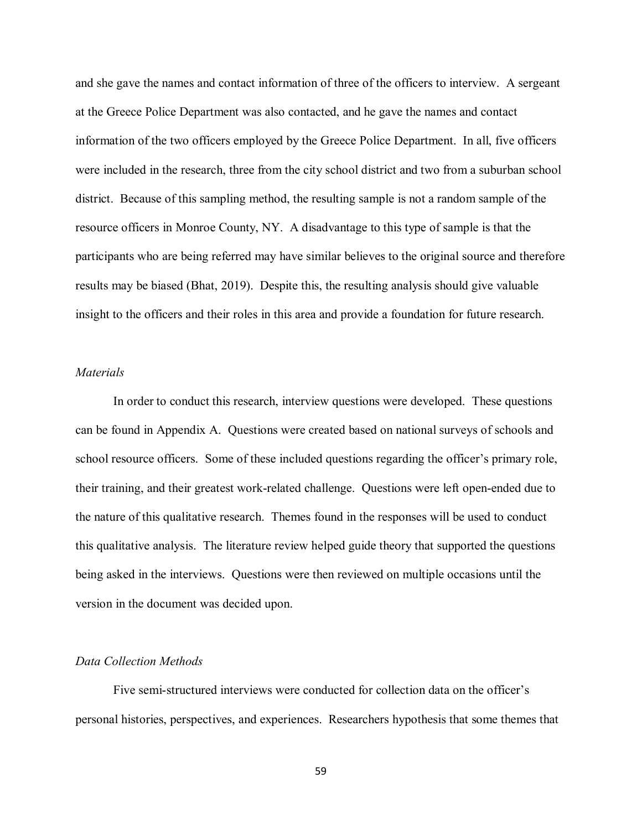and she gave the names and contact information of three of the officers to interview. A sergeant at the Greece Police Department was also contacted, and he gave the names and contact information of the two officers employed by the Greece Police Department. In all, five officers were included in the research, three from the city school district and two from a suburban school district. Because of this sampling method, the resulting sample is not a random sample of the resource officers in Monroe County, NY. A disadvantage to this type of sample is that the participants who are being referred may have similar believes to the original source and therefore results may be biased (Bhat, 2019). Despite this, the resulting analysis should give valuable insight to the officers and their roles in this area and provide a foundation for future research.

## *Materials*

In order to conduct this research, interview questions were developed. These questions can be found in Appendix A. Questions were created based on national surveys of schools and school resource officers. Some of these included questions regarding the officer's primary role, their training, and their greatest work-related challenge. Questions were left open-ended due to the nature of this qualitative research. Themes found in the responses will be used to conduct this qualitative analysis. The literature review helped guide theory that supported the questions being asked in the interviews. Questions were then reviewed on multiple occasions until the version in the document was decided upon.

#### *Data Collection Methods*

Five semi-structured interviews were conducted for collection data on the officer's personal histories, perspectives, and experiences. Researchers hypothesis that some themes that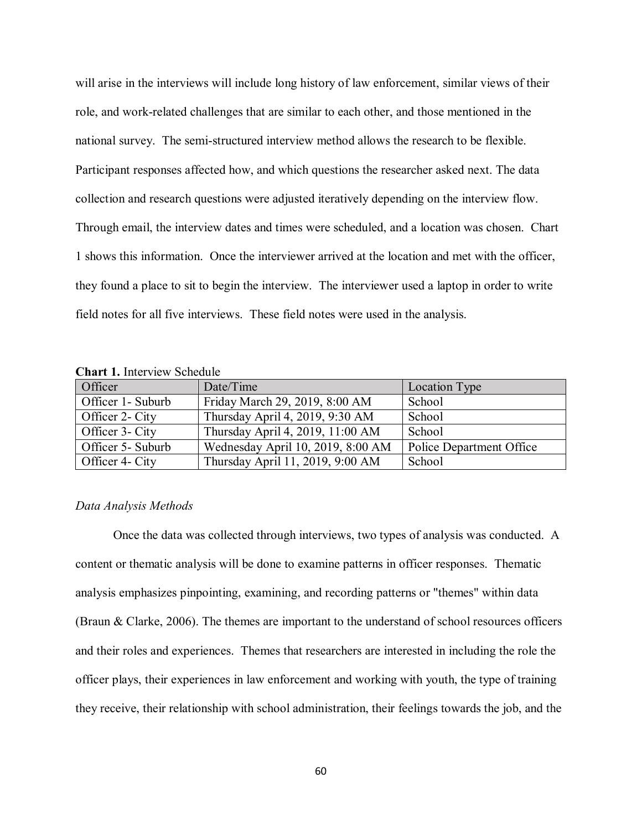will arise in the interviews will include long history of law enforcement, similar views of their role, and work-related challenges that are similar to each other, and those mentioned in the national survey. The semi-structured interview method allows the research to be flexible. Participant responses affected how, and which questions the researcher asked next. The data collection and research questions were adjusted iteratively depending on the interview flow. Through email, the interview dates and times were scheduled, and a location was chosen. Chart 1 shows this information. Once the interviewer arrived at the location and met with the officer, they found a place to sit to begin the interview. The interviewer used a laptop in order to write field notes for all five interviews. These field notes were used in the analysis.

| Officer           | Date/Time                         | Location Type                   |
|-------------------|-----------------------------------|---------------------------------|
| Officer 1- Suburb | Friday March 29, 2019, 8:00 AM    | School                          |
| Officer 2- City   | Thursday April 4, 2019, 9:30 AM   | School                          |
| Officer 3- City   | Thursday April 4, 2019, 11:00 AM  | School                          |
| Officer 5- Suburb | Wednesday April 10, 2019, 8:00 AM | <b>Police Department Office</b> |
| Officer 4- City   | Thursday April 11, 2019, 9:00 AM  | School                          |

**Chart 1.** Interview Schedule

#### *Data Analysis Methods*

Once the data was collected through interviews, two types of analysis was conducted. A content or thematic analysis will be done to examine patterns in officer responses. Thematic analysis emphasizes pinpointing, examining, and recording patterns or "themes" within data (Braun & Clarke, 2006). The themes are important to the understand of school resources officers and their roles and experiences. Themes that researchers are interested in including the role the officer plays, their experiences in law enforcement and working with youth, the type of training they receive, their relationship with school administration, their feelings towards the job, and the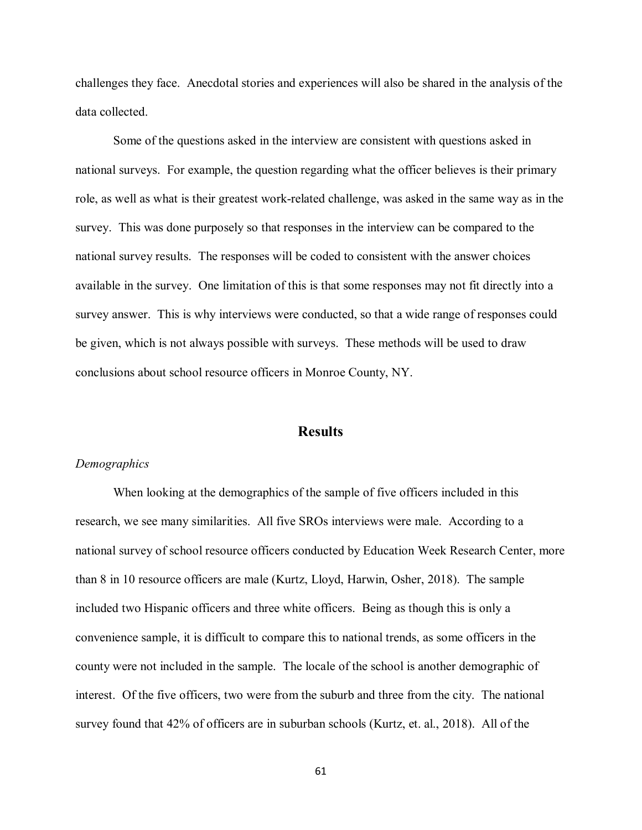challenges they face. Anecdotal stories and experiences will also be shared in the analysis of the data collected.

Some of the questions asked in the interview are consistent with questions asked in national surveys. For example, the question regarding what the officer believes is their primary role, as well as what is their greatest work-related challenge, was asked in the same way as in the survey. This was done purposely so that responses in the interview can be compared to the national survey results. The responses will be coded to consistent with the answer choices available in the survey. One limitation of this is that some responses may not fit directly into a survey answer. This is why interviews were conducted, so that a wide range of responses could be given, which is not always possible with surveys. These methods will be used to draw conclusions about school resource officers in Monroe County, NY.

# **Results**

### *Demographics*

When looking at the demographics of the sample of five officers included in this research, we see many similarities. All five SROs interviews were male. According to a national survey of school resource officers conducted by Education Week Research Center, more than 8 in 10 resource officers are male (Kurtz, Lloyd, Harwin, Osher, 2018). The sample included two Hispanic officers and three white officers. Being as though this is only a convenience sample, it is difficult to compare this to national trends, as some officers in the county were not included in the sample. The locale of the school is another demographic of interest. Of the five officers, two were from the suburb and three from the city. The national survey found that 42% of officers are in suburban schools (Kurtz, et. al., 2018). All of the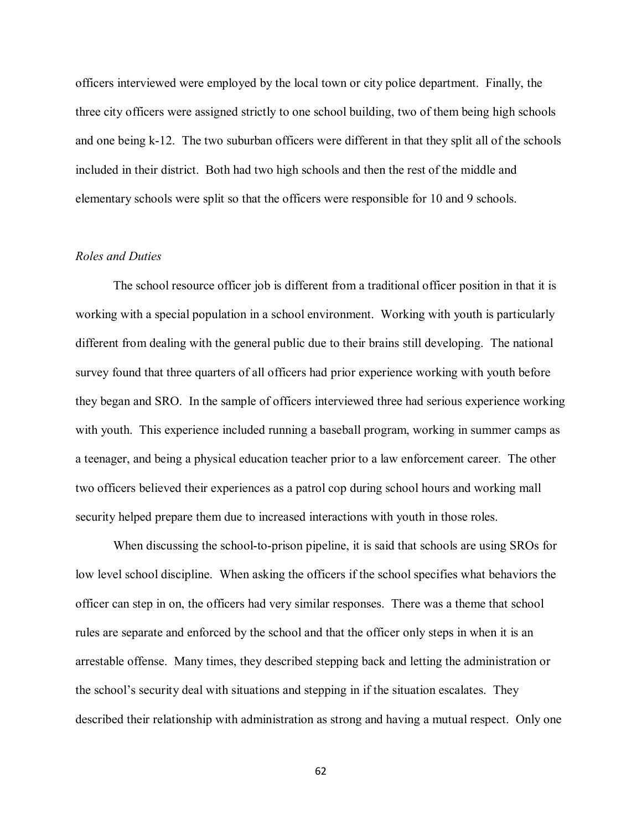officers interviewed were employed by the local town or city police department. Finally, the three city officers were assigned strictly to one school building, two of them being high schools and one being k-12. The two suburban officers were different in that they split all of the schools included in their district. Both had two high schools and then the rest of the middle and elementary schools were split so that the officers were responsible for 10 and 9 schools.

# *Roles and Duties*

The school resource officer job is different from a traditional officer position in that it is working with a special population in a school environment. Working with youth is particularly different from dealing with the general public due to their brains still developing. The national survey found that three quarters of all officers had prior experience working with youth before they began and SRO. In the sample of officers interviewed three had serious experience working with youth. This experience included running a baseball program, working in summer camps as a teenager, and being a physical education teacher prior to a law enforcement career. The other two officers believed their experiences as a patrol cop during school hours and working mall security helped prepare them due to increased interactions with youth in those roles.

When discussing the school-to-prison pipeline, it is said that schools are using SROs for low level school discipline. When asking the officers if the school specifies what behaviors the officer can step in on, the officers had very similar responses. There was a theme that school rules are separate and enforced by the school and that the officer only steps in when it is an arrestable offense. Many times, they described stepping back and letting the administration or the school's security deal with situations and stepping in if the situation escalates. They described their relationship with administration as strong and having a mutual respect. Only one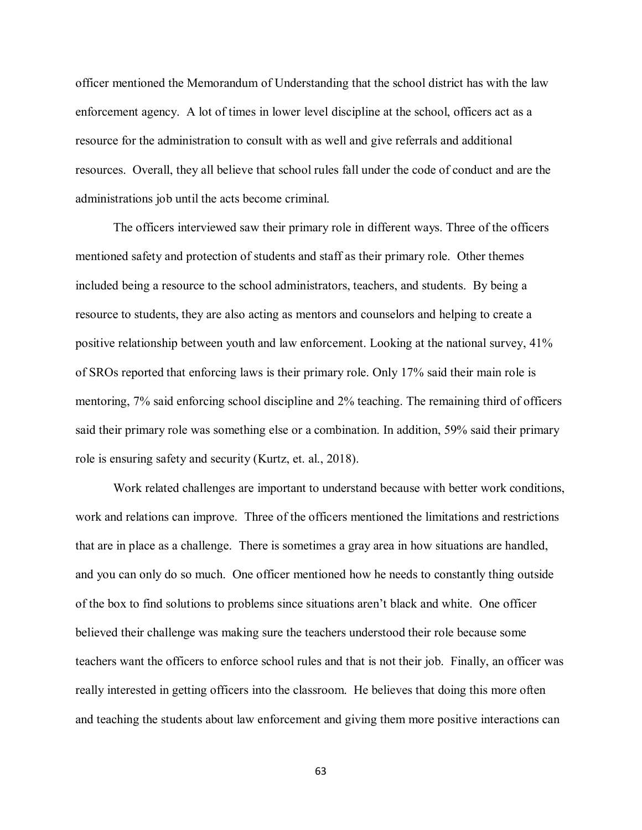officer mentioned the Memorandum of Understanding that the school district has with the law enforcement agency. A lot of times in lower level discipline at the school, officers act as a resource for the administration to consult with as well and give referrals and additional resources. Overall, they all believe that school rules fall under the code of conduct and are the administrations job until the acts become criminal.

The officers interviewed saw their primary role in different ways. Three of the officers mentioned safety and protection of students and staff as their primary role. Other themes included being a resource to the school administrators, teachers, and students. By being a resource to students, they are also acting as mentors and counselors and helping to create a positive relationship between youth and law enforcement. Looking at the national survey, 41% of SROs reported that enforcing laws is their primary role. Only 17% said their main role is mentoring, 7% said enforcing school discipline and 2% teaching. The remaining third of officers said their primary role was something else or a combination. In addition, 59% said their primary role is ensuring safety and security (Kurtz, et. al., 2018).

Work related challenges are important to understand because with better work conditions, work and relations can improve. Three of the officers mentioned the limitations and restrictions that are in place as a challenge. There is sometimes a gray area in how situations are handled, and you can only do so much. One officer mentioned how he needs to constantly thing outside of the box to find solutions to problems since situations aren't black and white. One officer believed their challenge was making sure the teachers understood their role because some teachers want the officers to enforce school rules and that is not their job. Finally, an officer was really interested in getting officers into the classroom. He believes that doing this more often and teaching the students about law enforcement and giving them more positive interactions can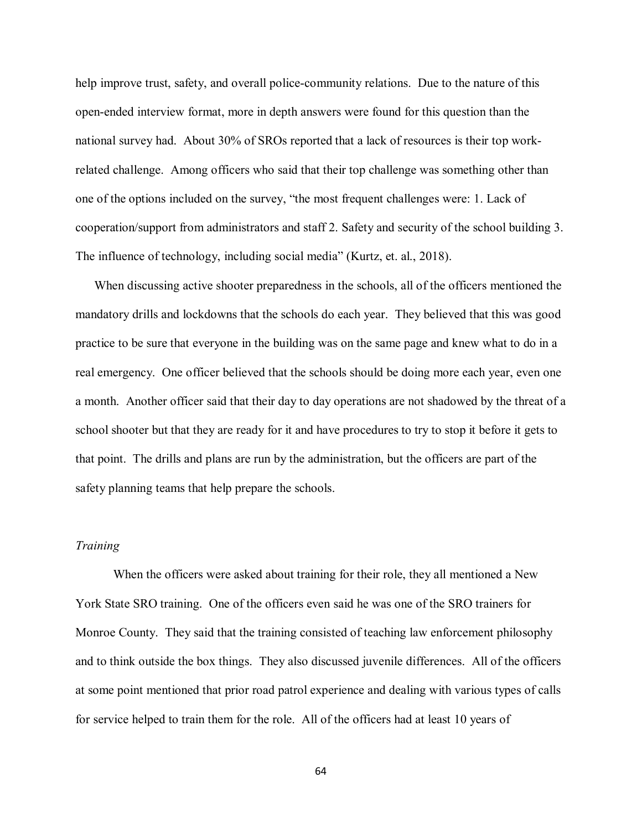help improve trust, safety, and overall police-community relations. Due to the nature of this open-ended interview format, more in depth answers were found for this question than the national survey had. About 30% of SROs reported that a lack of resources is their top workrelated challenge. Among officers who said that their top challenge was something other than one of the options included on the survey, "the most frequent challenges were: 1. Lack of cooperation/support from administrators and staff 2. Safety and security of the school building 3. The influence of technology, including social media" (Kurtz, et. al., 2018).

When discussing active shooter preparedness in the schools, all of the officers mentioned the mandatory drills and lockdowns that the schools do each year. They believed that this was good practice to be sure that everyone in the building was on the same page and knew what to do in a real emergency. One officer believed that the schools should be doing more each year, even one a month. Another officer said that their day to day operations are not shadowed by the threat of a school shooter but that they are ready for it and have procedures to try to stop it before it gets to that point. The drills and plans are run by the administration, but the officers are part of the safety planning teams that help prepare the schools.

#### *Training*

When the officers were asked about training for their role, they all mentioned a New York State SRO training. One of the officers even said he was one of the SRO trainers for Monroe County. They said that the training consisted of teaching law enforcement philosophy and to think outside the box things. They also discussed juvenile differences. All of the officers at some point mentioned that prior road patrol experience and dealing with various types of calls for service helped to train them for the role. All of the officers had at least 10 years of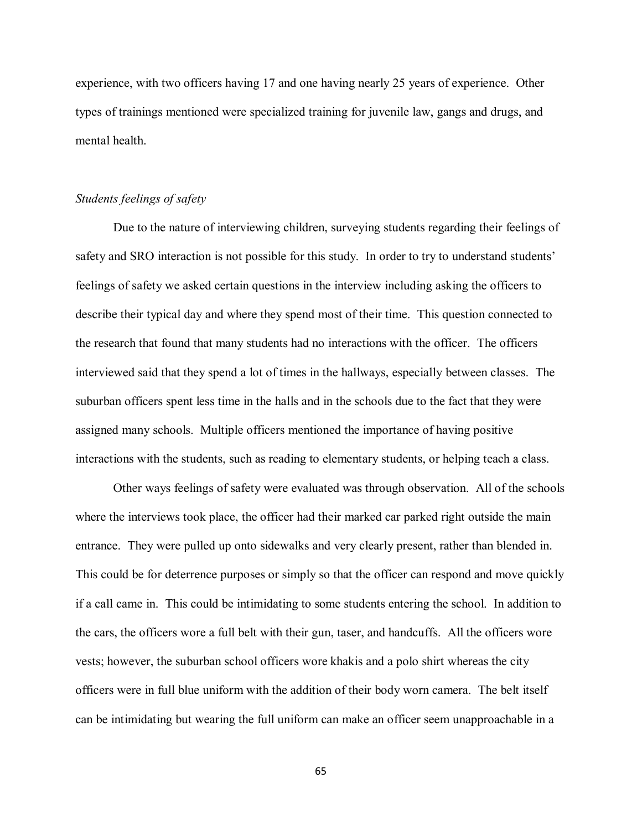experience, with two officers having 17 and one having nearly 25 years of experience. Other types of trainings mentioned were specialized training for juvenile law, gangs and drugs, and mental health.

#### *Students feelings of safety*

Due to the nature of interviewing children, surveying students regarding their feelings of safety and SRO interaction is not possible for this study. In order to try to understand students' feelings of safety we asked certain questions in the interview including asking the officers to describe their typical day and where they spend most of their time. This question connected to the research that found that many students had no interactions with the officer. The officers interviewed said that they spend a lot of times in the hallways, especially between classes. The suburban officers spent less time in the halls and in the schools due to the fact that they were assigned many schools. Multiple officers mentioned the importance of having positive interactions with the students, such as reading to elementary students, or helping teach a class.

Other ways feelings of safety were evaluated was through observation. All of the schools where the interviews took place, the officer had their marked car parked right outside the main entrance. They were pulled up onto sidewalks and very clearly present, rather than blended in. This could be for deterrence purposes or simply so that the officer can respond and move quickly if a call came in. This could be intimidating to some students entering the school. In addition to the cars, the officers wore a full belt with their gun, taser, and handcuffs. All the officers wore vests; however, the suburban school officers wore khakis and a polo shirt whereas the city officers were in full blue uniform with the addition of their body worn camera. The belt itself can be intimidating but wearing the full uniform can make an officer seem unapproachable in a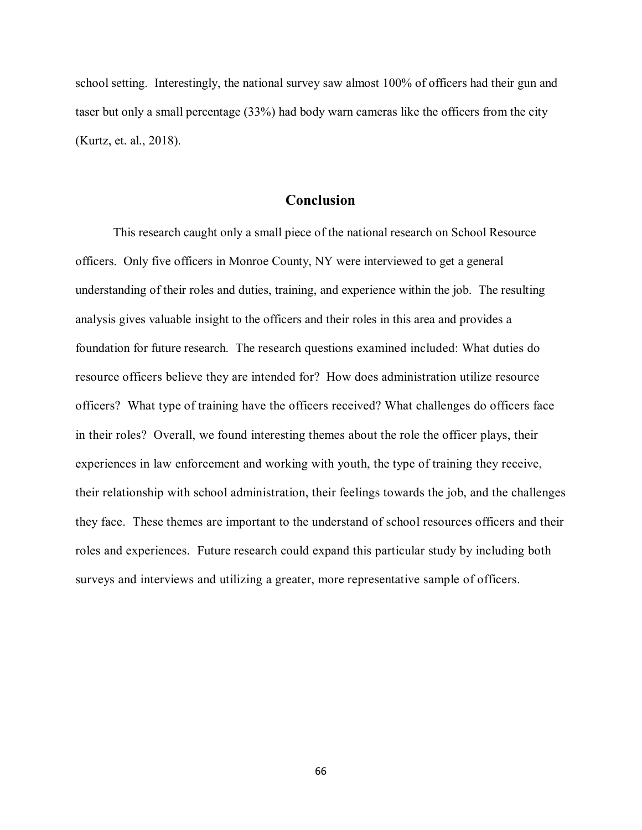school setting. Interestingly, the national survey saw almost 100% of officers had their gun and taser but only a small percentage (33%) had body warn cameras like the officers from the city (Kurtz, et. al., 2018).

# **Conclusion**

This research caught only a small piece of the national research on School Resource officers. Only five officers in Monroe County, NY were interviewed to get a general understanding of their roles and duties, training, and experience within the job. The resulting analysis gives valuable insight to the officers and their roles in this area and provides a foundation for future research. The research questions examined included: What duties do resource officers believe they are intended for? How does administration utilize resource officers? What type of training have the officers received? What challenges do officers face in their roles? Overall, we found interesting themes about the role the officer plays, their experiences in law enforcement and working with youth, the type of training they receive, their relationship with school administration, their feelings towards the job, and the challenges they face. These themes are important to the understand of school resources officers and their roles and experiences. Future research could expand this particular study by including both surveys and interviews and utilizing a greater, more representative sample of officers.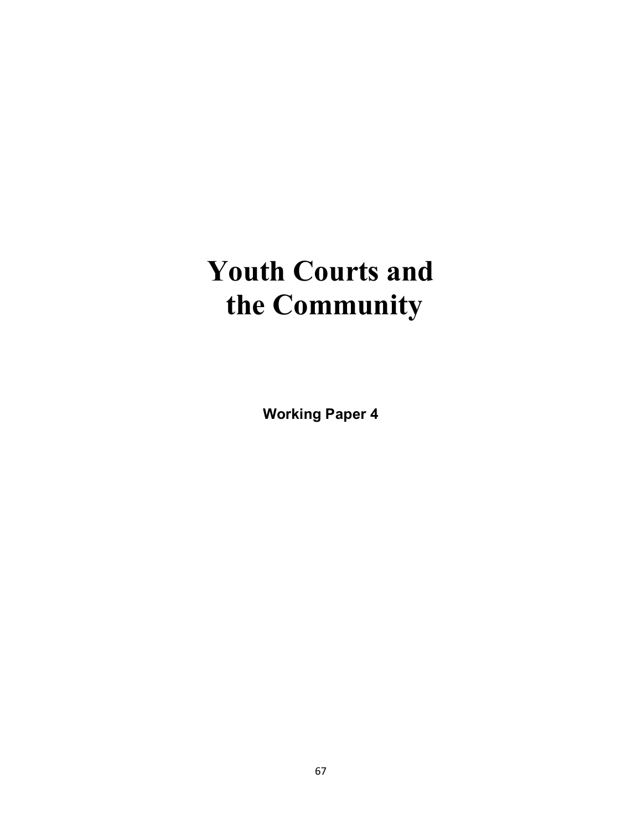# **Youth Courts and the Community**

**Working Paper 4**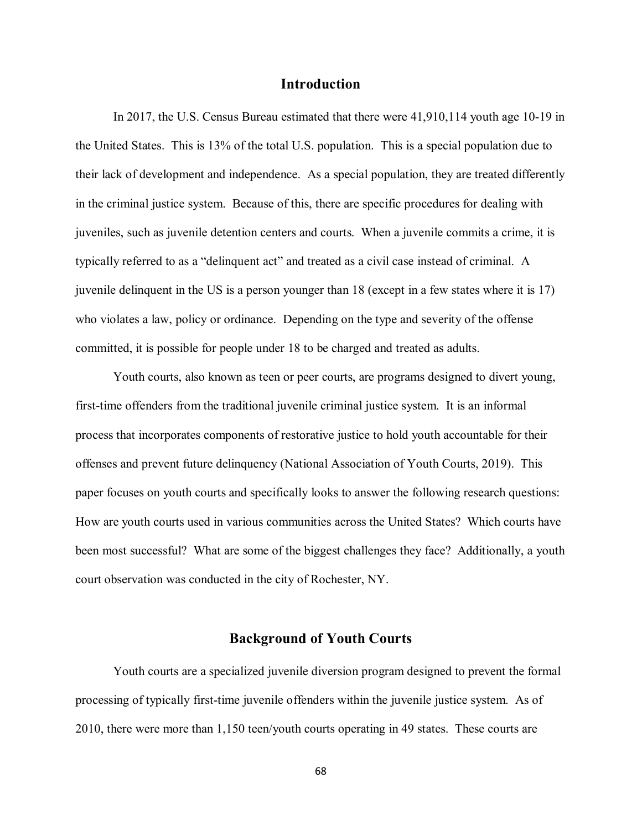# **Introduction**

In 2017, the U.S. Census Bureau estimated that there were 41,910,114 youth age 10-19 in the United States. This is 13% of the total U.S. population. This is a special population due to their lack of development and independence. As a special population, they are treated differently in the criminal justice system. Because of this, there are specific procedures for dealing with juveniles, such as juvenile detention centers and courts. When a juvenile commits a crime, it is typically referred to as a "delinquent act" and treated as a civil case instead of criminal. A juvenile delinquent in the US is a person younger than 18 (except in a few states where it is 17) who violates a law, policy or ordinance. Depending on the type and severity of the offense committed, it is possible for people under 18 to be charged and treated as adults.

Youth courts, also known as teen or peer courts, are programs designed to divert young, first-time offenders from the traditional juvenile criminal justice system. It is an informal process that incorporates components of restorative justice to hold youth accountable for their offenses and prevent future delinquency (National Association of Youth Courts, 2019). This paper focuses on youth courts and specifically looks to answer the following research questions: How are youth courts used in various communities across the United States? Which courts have been most successful? What are some of the biggest challenges they face? Additionally, a youth court observation was conducted in the city of Rochester, NY.

# **Background of Youth Courts**

Youth courts are a specialized juvenile diversion program designed to prevent the formal processing of typically first-time juvenile offenders within the juvenile justice system. As of 2010, there were more than 1,150 teen/youth courts operating in 49 states. These courts are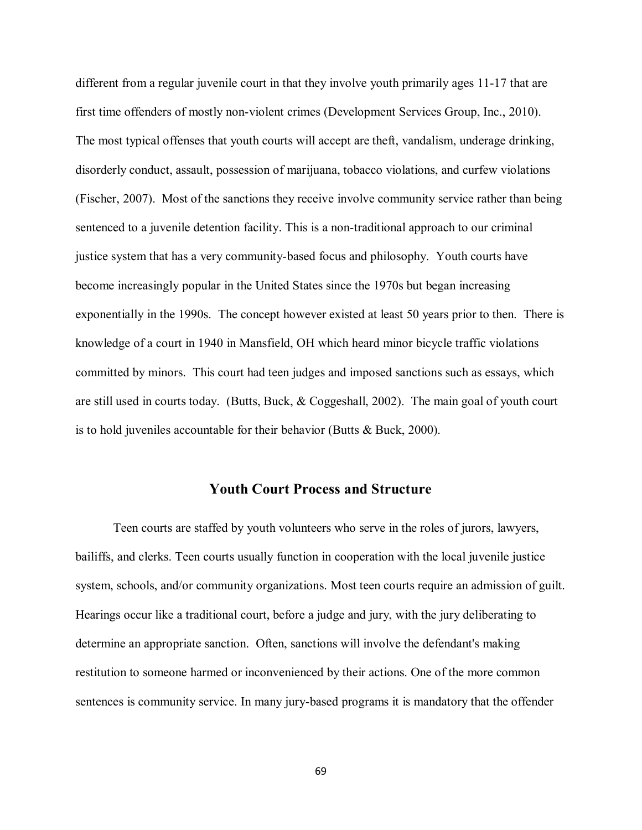different from a regular juvenile court in that they involve youth primarily ages 11-17 that are first time offenders of mostly non-violent crimes (Development Services Group, Inc., 2010). The most typical offenses that youth courts will accept are theft, vandalism, underage drinking, disorderly conduct, assault, possession of marijuana, tobacco violations, and curfew violations (Fischer, 2007). Most of the sanctions they receive involve community service rather than being sentenced to a juvenile detention facility. This is a non-traditional approach to our criminal justice system that has a very community-based focus and philosophy. Youth courts have become increasingly popular in the United States since the 1970s but began increasing exponentially in the 1990s. The concept however existed at least 50 years prior to then. There is knowledge of a court in 1940 in Mansfield, OH which heard minor bicycle traffic violations committed by minors. This court had teen judges and imposed sanctions such as essays, which are still used in courts today. (Butts, Buck, & Coggeshall, 2002). The main goal of youth court is to hold juveniles accountable for their behavior (Butts & Buck, 2000).

# **Youth Court Process and Structure**

Teen courts are staffed by youth [volunteers](https://en.wikipedia.org/wiki/Volunteering) who serve in the roles of jurors, lawyers, [bailiffs,](https://en.wikipedia.org/wiki/Bailiff) and [clerks.](https://en.wikipedia.org/wiki/Court_clerk) Teen courts usually function in cooperation with the local juvenile justice system, schools, and/or community organizations. Most teen courts require an admission of guilt. Hearings occur like a traditional court, before a judge and jury, with the jury deliberating to determine an appropriate sanction. Often, sanctions will involve the defendant's making [restitution](https://en.wikipedia.org/wiki/Restitution) to someone harmed or inconvenienced by their actions. One of the more common sentences is community service. In many jury-based programs it is mandatory that the offender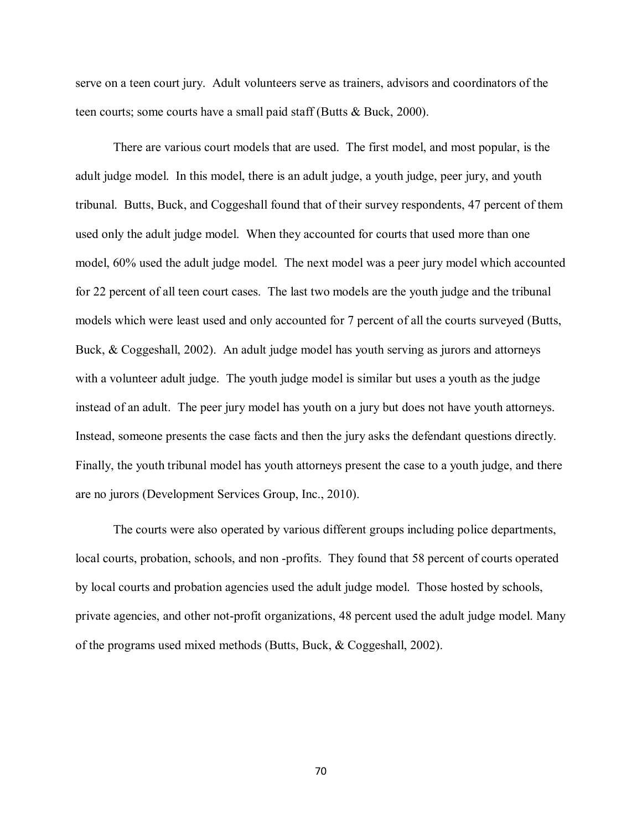serve on a teen court jury. Adult volunteers serve as trainers, advisors and coordinators of the teen courts; some courts have a small paid staff (Butts & Buck, 2000).

There are various court models that are used. The first model, and most popular, is the adult judge model. In this model, there is an adult judge, a youth judge, peer jury, and youth tribunal. Butts, Buck, and Coggeshall found that of their survey respondents, 47 percent of them used only the adult judge model. When they accounted for courts that used more than one model, 60% used the adult judge model. The next model was a peer jury model which accounted for 22 percent of all teen court cases. The last two models are the youth judge and the tribunal models which were least used and only accounted for 7 percent of all the courts surveyed (Butts, Buck, & Coggeshall, 2002). An adult judge model has youth serving as jurors and attorneys with a volunteer adult judge. The youth judge model is similar but uses a youth as the judge instead of an adult. The peer jury model has youth on a jury but does not have youth attorneys. Instead, someone presents the case facts and then the jury asks the defendant questions directly. Finally, the youth tribunal model has youth attorneys present the case to a youth judge, and there are no jurors (Development Services Group, Inc., 2010).

The courts were also operated by various different groups including police departments, local courts, probation, schools, and non -profits. They found that 58 percent of courts operated by local courts and probation agencies used the adult judge model. Those hosted by schools, private agencies, and other not-profit organizations, 48 percent used the adult judge model. Many of the programs used mixed methods (Butts, Buck, & Coggeshall, 2002).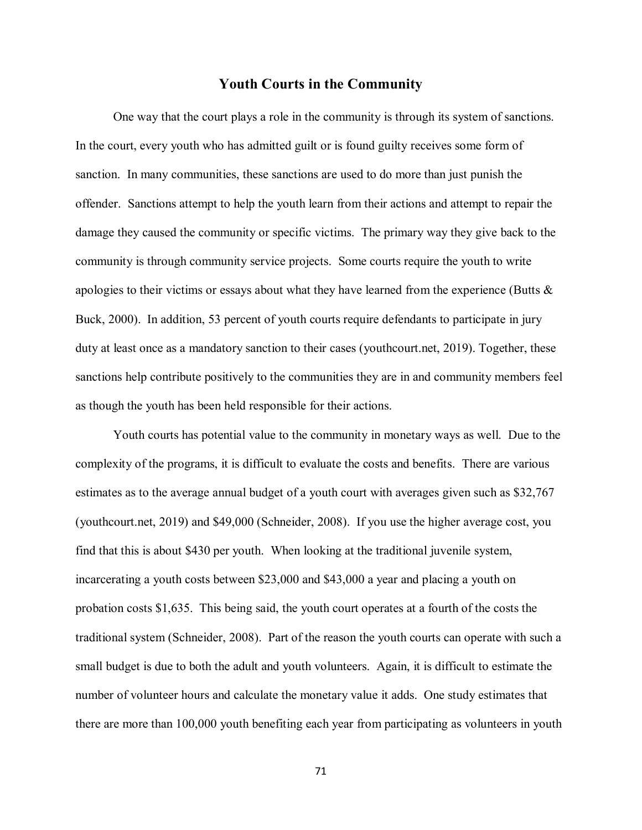# **Youth Courts in the Community**

One way that the court plays a role in the community is through its system of sanctions. In the court, every youth who has admitted guilt or is found guilty receives some form of sanction. In many communities, these sanctions are used to do more than just punish the offender. Sanctions attempt to help the youth learn from their actions and attempt to repair the damage they caused the community or specific victims. The primary way they give back to the community is through community service projects. Some courts require the youth to write apologies to their victims or essays about what they have learned from the experience (Butts & Buck, 2000). In addition, 53 percent of youth courts require defendants to participate in jury duty at least once as a mandatory sanction to their cases (youthcourt.net, 2019). Together, these sanctions help contribute positively to the communities they are in and community members feel as though the youth has been held responsible for their actions.

Youth courts has potential value to the community in monetary ways as well. Due to the complexity of the programs, it is difficult to evaluate the costs and benefits. There are various estimates as to the average annual budget of a youth court with averages given such as \$32,767 (youthcourt.net, 2019) and \$49,000 (Schneider, 2008). If you use the higher average cost, you find that this is about \$430 per youth. When looking at the traditional juvenile system, incarcerating a youth costs between \$23,000 and \$43,000 a year and placing a youth on probation costs \$1,635. This being said, the youth court operates at a fourth of the costs the traditional system (Schneider, 2008). Part of the reason the youth courts can operate with such a small budget is due to both the adult and youth volunteers. Again, it is difficult to estimate the number of volunteer hours and calculate the monetary value it adds. One study estimates that there are more than 100,000 youth benefiting each year from participating as volunteers in youth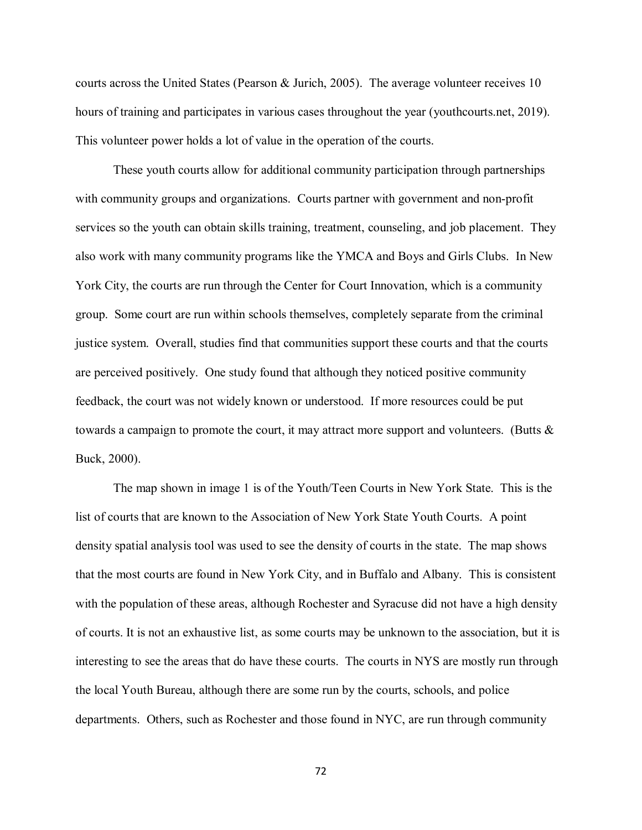courts across the United States (Pearson & Jurich, 2005). The average volunteer receives 10 hours of training and participates in various cases throughout the year (youthcourts.net, 2019). This volunteer power holds a lot of value in the operation of the courts.

These youth courts allow for additional community participation through partnerships with community groups and organizations. Courts partner with government and non-profit services so the youth can obtain skills training, treatment, counseling, and job placement. They also work with many community programs like the YMCA and Boys and Girls Clubs. In New York City, the courts are run through the Center for Court Innovation, which is a community group. Some court are run within schools themselves, completely separate from the criminal justice system. Overall, studies find that communities support these courts and that the courts are perceived positively. One study found that although they noticed positive community feedback, the court was not widely known or understood. If more resources could be put towards a campaign to promote the court, it may attract more support and volunteers. (Butts & Buck, 2000).

The map shown in image 1 is of the Youth/Teen Courts in New York State. This is the list of courts that are known to the Association of New York State Youth Courts. A point density spatial analysis tool was used to see the density of courts in the state. The map shows that the most courts are found in New York City, and in Buffalo and Albany. This is consistent with the population of these areas, although Rochester and Syracuse did not have a high density of courts. It is not an exhaustive list, as some courts may be unknown to the association, but it is interesting to see the areas that do have these courts. The courts in NYS are mostly run through the local Youth Bureau, although there are some run by the courts, schools, and police departments. Others, such as Rochester and those found in NYC, are run through community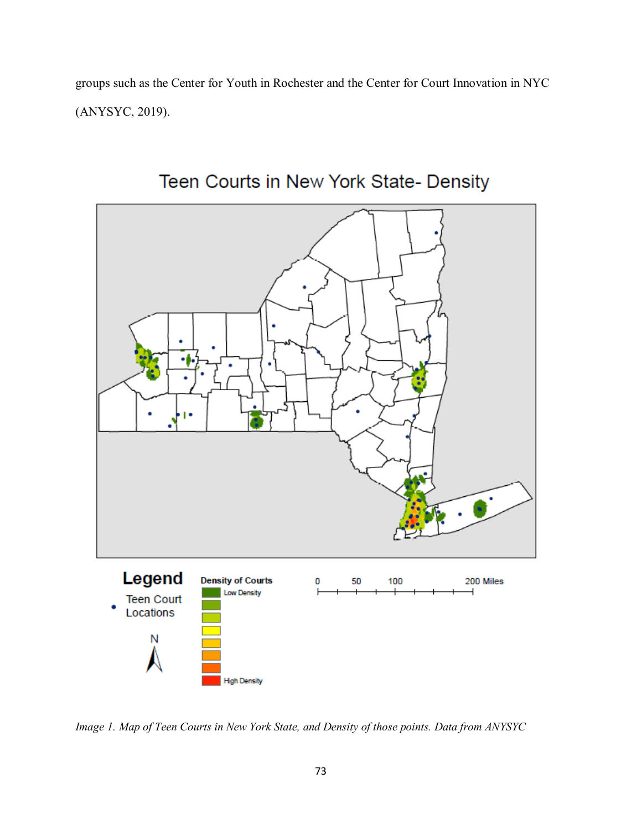groups such as the Center for Youth in Rochester and the Center for Court Innovation in NYC (ANYSYC, 2019).



# Teen Courts in New York State- Density

*Image 1. Map of Teen Courts in New York State, and Density of those points. Data from ANYSYC*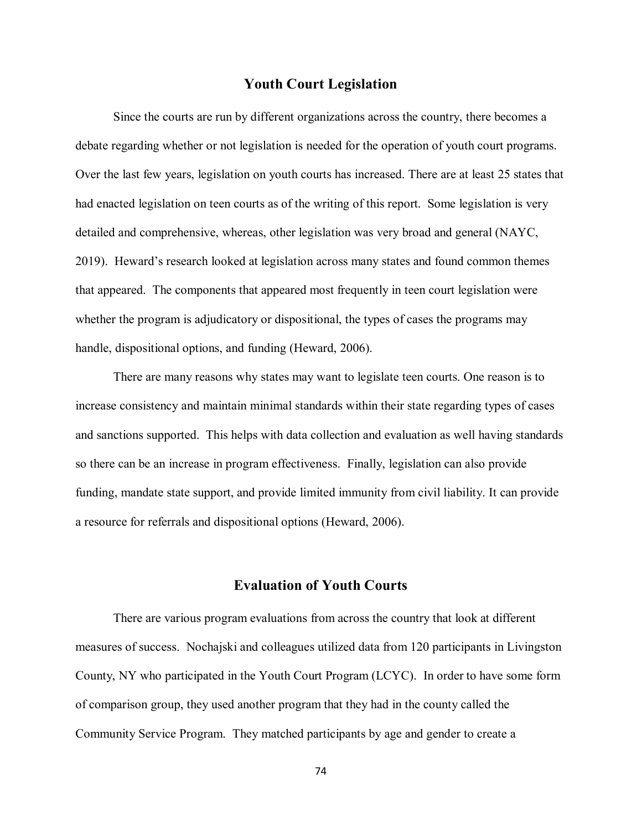#### **Youth Court Legislation**

Since the courts are run by different organizations across the country, there becomes a debate regarding whether or not legislation is needed for the operation of youth court programs. Over the last few years, legislation on youth courts has increased. There are at least 25 states that had enacted legislation on teen courts as of the writing of this report. Some legislation is very detailed and comprehensive, whereas, other legislation was very broad and general (NAYC, 2019). Heward's research looked at legislation across many states and found common themes that appeared. The components that appeared most frequently in teen court legislation were whether the program is adjudicatory or dispositional, the types of cases the programs may handle, dispositional options, and funding (Heward, 2006).

There are many reasons why states may want to legislate teen courts. One reason is to increase consistency and maintain minimal standards within their state regarding types of cases and sanctions supported. This helps with data collection and evaluation as well having standards so there can be an increase in program effectiveness. Finally, legislation can also provide funding, mandate state support, and provide limited immunity from civil liability. It can provide a resource for referrals and dispositional options (Heward, 2006).

## **Evaluation of Youth Courts**

There are various program evaluations from across the country that look at different measures of success. Nochajski and colleagues utilized data from 120 participants in Livingston County, NY who participated in the Youth Court Program (LCYC). In order to have some form of comparison group, they used another program that they had in the county called the Community Service Program. They matched participants by age and gender to create a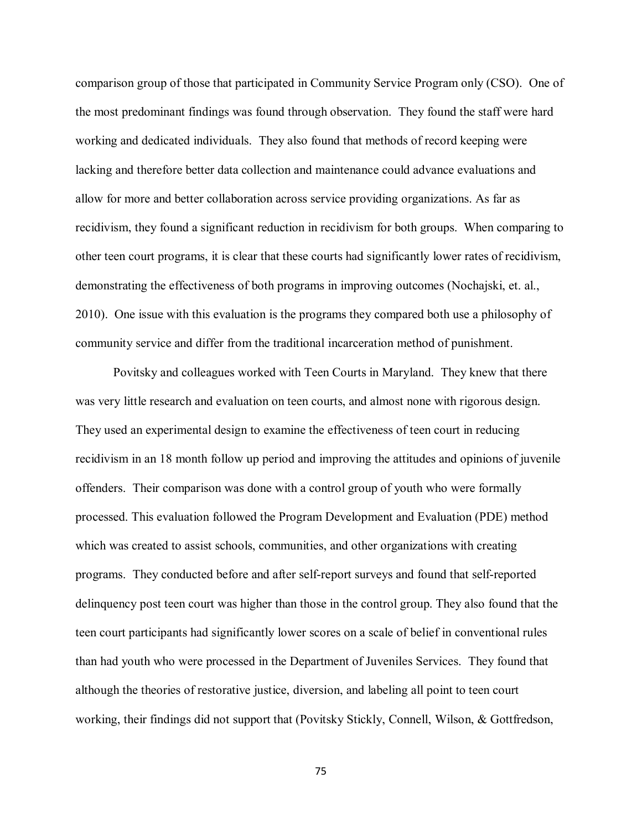comparison group of those that participated in Community Service Program only (CSO). One of the most predominant findings was found through observation. They found the staff were hard working and dedicated individuals. They also found that methods of record keeping were lacking and therefore better data collection and maintenance could advance evaluations and allow for more and better collaboration across service providing organizations. As far as recidivism, they found a significant reduction in recidivism for both groups. When comparing to other teen court programs, it is clear that these courts had significantly lower rates of recidivism, demonstrating the effectiveness of both programs in improving outcomes (Nochajski, et. al., 2010). One issue with this evaluation is the programs they compared both use a philosophy of community service and differ from the traditional incarceration method of punishment.

Povitsky and colleagues worked with Teen Courts in Maryland. They knew that there was very little research and evaluation on teen courts, and almost none with rigorous design. They used an experimental design to examine the effectiveness of teen court in reducing recidivism in an 18 month follow up period and improving the attitudes and opinions of juvenile offenders. Their comparison was done with a control group of youth who were formally processed. This evaluation followed the Program Development and Evaluation (PDE) method which was created to assist schools, communities, and other organizations with creating programs. They conducted before and after self-report surveys and found that self-reported delinquency post teen court was higher than those in the control group. They also found that the teen court participants had significantly lower scores on a scale of belief in conventional rules than had youth who were processed in the Department of Juveniles Services. They found that although the theories of restorative justice, diversion, and labeling all point to teen court working, their findings did not support that (Povitsky Stickly, Connell, Wilson, & Gottfredson,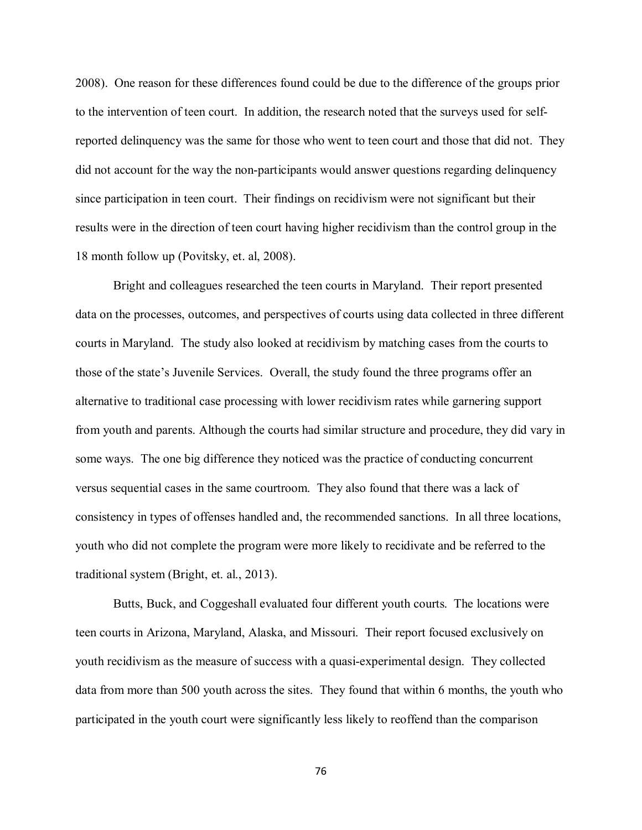2008). One reason for these differences found could be due to the difference of the groups prior to the intervention of teen court. In addition, the research noted that the surveys used for selfreported delinquency was the same for those who went to teen court and those that did not. They did not account for the way the non-participants would answer questions regarding delinquency since participation in teen court. Their findings on recidivism were not significant but their results were in the direction of teen court having higher recidivism than the control group in the 18 month follow up (Povitsky, et. al, 2008).

Bright and colleagues researched the teen courts in Maryland. Their report presented data on the processes, outcomes, and perspectives of courts using data collected in three different courts in Maryland. The study also looked at recidivism by matching cases from the courts to those of the state's Juvenile Services. Overall, the study found the three programs offer an alternative to traditional case processing with lower recidivism rates while garnering support from youth and parents. Although the courts had similar structure and procedure, they did vary in some ways. The one big difference they noticed was the practice of conducting concurrent versus sequential cases in the same courtroom. They also found that there was a lack of consistency in types of offenses handled and, the recommended sanctions. In all three locations, youth who did not complete the program were more likely to recidivate and be referred to the traditional system (Bright, et. al., 2013).

Butts, Buck, and Coggeshall evaluated four different youth courts. The locations were teen courts in Arizona, Maryland, Alaska, and Missouri. Their report focused exclusively on youth recidivism as the measure of success with a quasi-experimental design. They collected data from more than 500 youth across the sites. They found that within 6 months, the youth who participated in the youth court were significantly less likely to reoffend than the comparison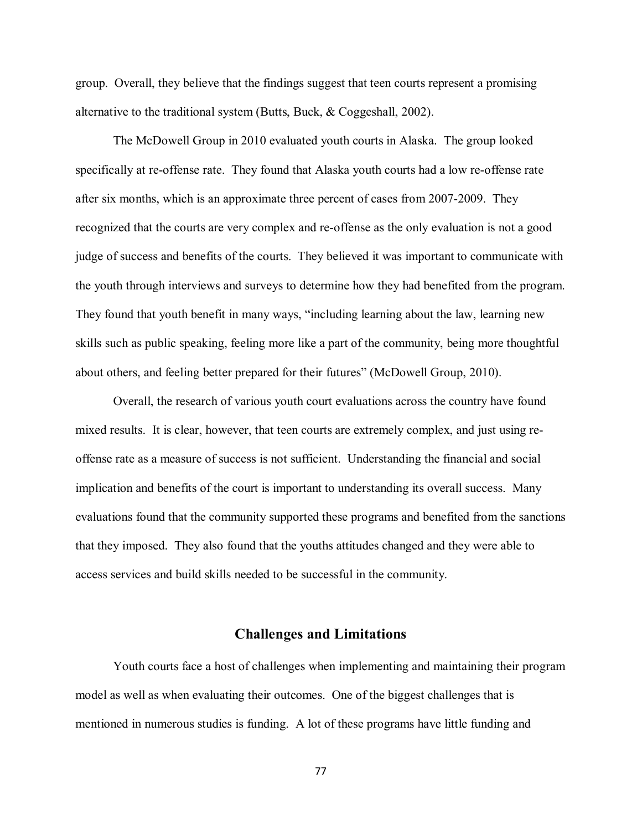group. Overall, they believe that the findings suggest that teen courts represent a promising alternative to the traditional system (Butts, Buck, & Coggeshall, 2002).

The McDowell Group in 2010 evaluated youth courts in Alaska. The group looked specifically at re-offense rate. They found that Alaska youth courts had a low re-offense rate after six months, which is an approximate three percent of cases from 2007-2009. They recognized that the courts are very complex and re-offense as the only evaluation is not a good judge of success and benefits of the courts. They believed it was important to communicate with the youth through interviews and surveys to determine how they had benefited from the program. They found that youth benefit in many ways, "including learning about the law, learning new skills such as public speaking, feeling more like a part of the community, being more thoughtful about others, and feeling better prepared for their futures" (McDowell Group, 2010).

Overall, the research of various youth court evaluations across the country have found mixed results. It is clear, however, that teen courts are extremely complex, and just using reoffense rate as a measure of success is not sufficient. Understanding the financial and social implication and benefits of the court is important to understanding its overall success. Many evaluations found that the community supported these programs and benefited from the sanctions that they imposed. They also found that the youths attitudes changed and they were able to access services and build skills needed to be successful in the community.

#### **Challenges and Limitations**

Youth courts face a host of challenges when implementing and maintaining their program model as well as when evaluating their outcomes. One of the biggest challenges that is mentioned in numerous studies is funding. A lot of these programs have little funding and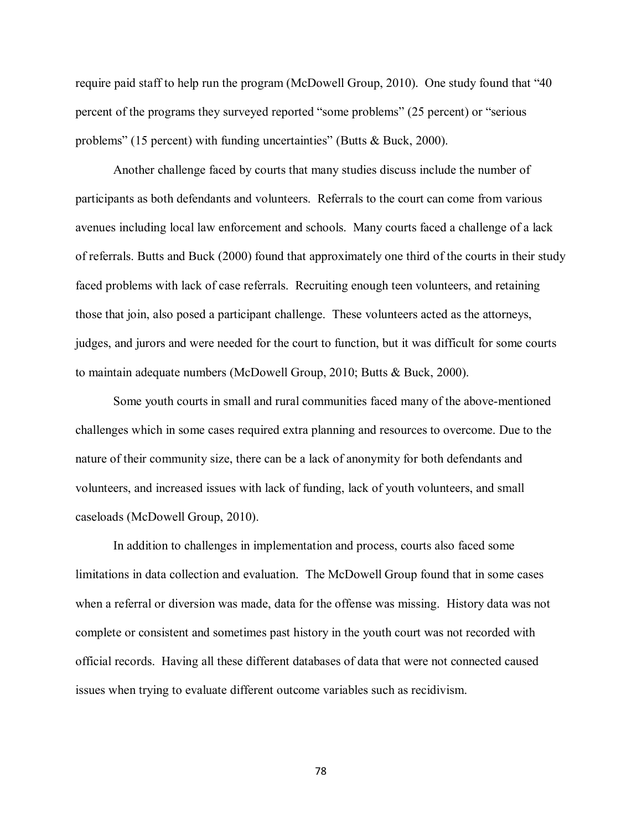require paid staff to help run the program (McDowell Group, 2010). One study found that "40 percent of the programs they surveyed reported "some problems" (25 percent) or "serious problems" (15 percent) with funding uncertainties" (Butts & Buck, 2000).

Another challenge faced by courts that many studies discuss include the number of participants as both defendants and volunteers. Referrals to the court can come from various avenues including local law enforcement and schools. Many courts faced a challenge of a lack of referrals. Butts and Buck (2000) found that approximately one third of the courts in their study faced problems with lack of case referrals. Recruiting enough teen volunteers, and retaining those that join, also posed a participant challenge. These volunteers acted as the attorneys, judges, and jurors and were needed for the court to function, but it was difficult for some courts to maintain adequate numbers (McDowell Group, 2010; Butts & Buck, 2000).

Some youth courts in small and rural communities faced many of the above-mentioned challenges which in some cases required extra planning and resources to overcome. Due to the nature of their community size, there can be a lack of anonymity for both defendants and volunteers, and increased issues with lack of funding, lack of youth volunteers, and small caseloads (McDowell Group, 2010).

In addition to challenges in implementation and process, courts also faced some limitations in data collection and evaluation. The McDowell Group found that in some cases when a referral or diversion was made, data for the offense was missing. History data was not complete or consistent and sometimes past history in the youth court was not recorded with official records. Having all these different databases of data that were not connected caused issues when trying to evaluate different outcome variables such as recidivism.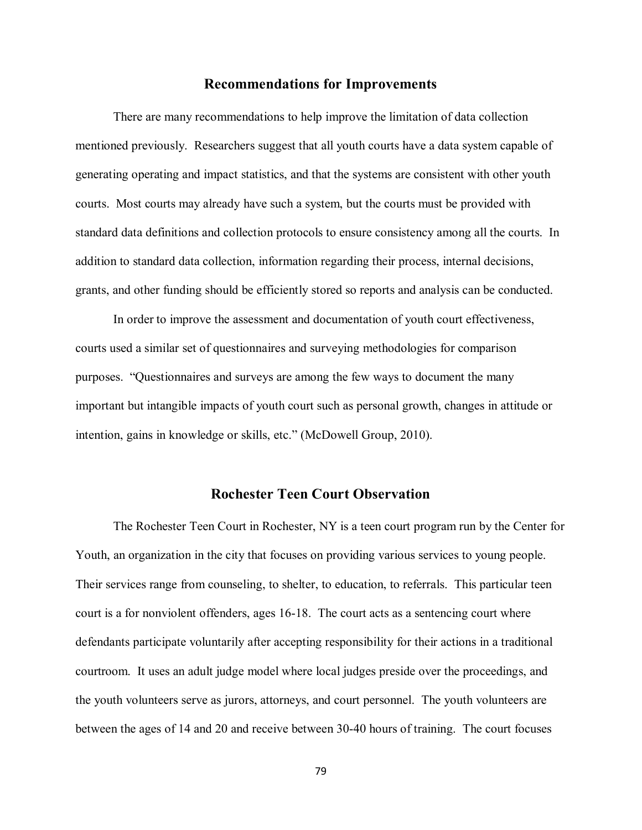#### **Recommendations for Improvements**

There are many recommendations to help improve the limitation of data collection mentioned previously. Researchers suggest that all youth courts have a data system capable of generating operating and impact statistics, and that the systems are consistent with other youth courts. Most courts may already have such a system, but the courts must be provided with standard data definitions and collection protocols to ensure consistency among all the courts. In addition to standard data collection, information regarding their process, internal decisions, grants, and other funding should be efficiently stored so reports and analysis can be conducted.

In order to improve the assessment and documentation of youth court effectiveness, courts used a similar set of questionnaires and surveying methodologies for comparison purposes. "Questionnaires and surveys are among the few ways to document the many important but intangible impacts of youth court such as personal growth, changes in attitude or intention, gains in knowledge or skills, etc." (McDowell Group, 2010).

## **Rochester Teen Court Observation**

The Rochester Teen Court in Rochester, NY is a teen court program run by the Center for Youth, an organization in the city that focuses on providing various services to young people. Their services range from counseling, to shelter, to education, to referrals. This particular teen court is a for nonviolent offenders, ages 16-18. The court acts as a sentencing court where defendants participate voluntarily after accepting responsibility for their actions in a traditional courtroom. It uses an adult judge model where local judges preside over the proceedings, and the youth volunteers serve as jurors, attorneys, and court personnel. The youth volunteers are between the ages of 14 and 20 and receive between 30-40 hours of training. The court focuses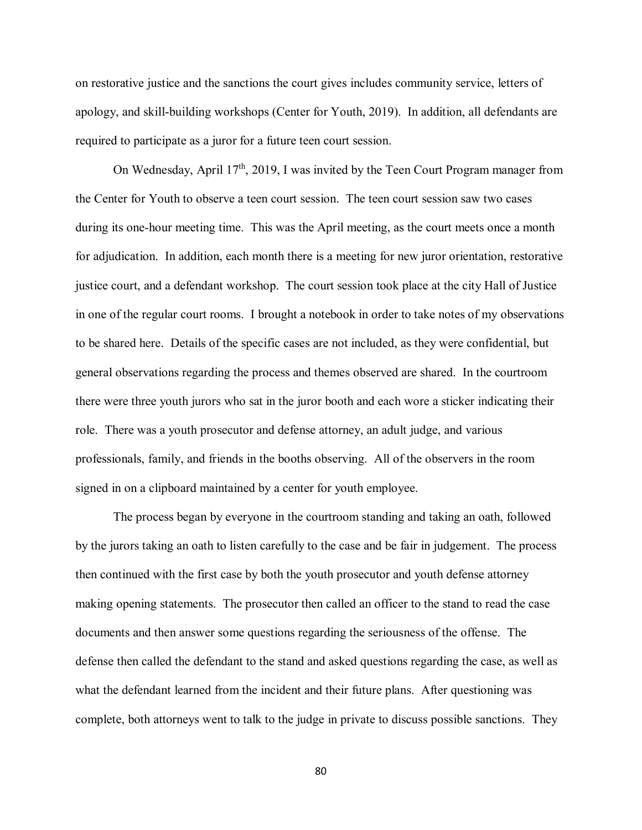on restorative justice and the sanctions the court gives includes community service, letters of apology, and skill-building workshops (Center for Youth, 2019). In addition, all defendants are required to participate as a juror for a future teen court session.

On Wednesday, April  $17<sup>th</sup>$ , 2019, I was invited by the Teen Court Program manager from the Center for Youth to observe a teen court session. The teen court session saw two cases during its one-hour meeting time. This was the April meeting, as the court meets once a month for adjudication. In addition, each month there is a meeting for new juror orientation, restorative justice court, and a defendant workshop. The court session took place at the city Hall of Justice in one of the regular court rooms. I brought a notebook in order to take notes of my observations to be shared here. Details of the specific cases are not included, as they were confidential, but general observations regarding the process and themes observed are shared. In the courtroom there were three youth jurors who sat in the juror booth and each wore a sticker indicating their role. There was a youth prosecutor and defense attorney, an adult judge, and various professionals, family, and friends in the booths observing. All of the observers in the room signed in on a clipboard maintained by a center for youth employee.

The process began by everyone in the courtroom standing and taking an oath, followed by the jurors taking an oath to listen carefully to the case and be fair in judgement. The process then continued with the first case by both the youth prosecutor and youth defense attorney making opening statements. The prosecutor then called an officer to the stand to read the case documents and then answer some questions regarding the seriousness of the offense. The defense then called the defendant to the stand and asked questions regarding the case, as well as what the defendant learned from the incident and their future plans. After questioning was complete, both attorneys went to talk to the judge in private to discuss possible sanctions. They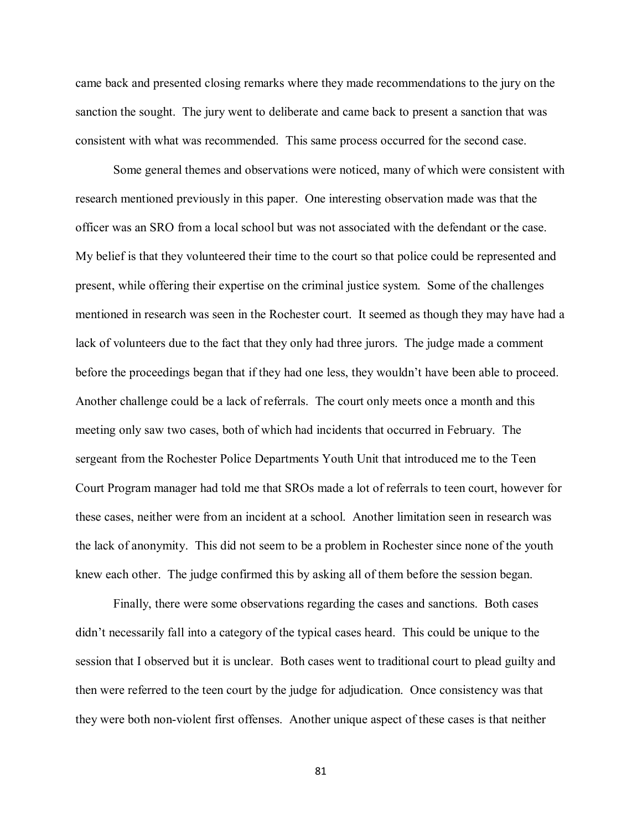came back and presented closing remarks where they made recommendations to the jury on the sanction the sought. The jury went to deliberate and came back to present a sanction that was consistent with what was recommended. This same process occurred for the second case.

Some general themes and observations were noticed, many of which were consistent with research mentioned previously in this paper. One interesting observation made was that the officer was an SRO from a local school but was not associated with the defendant or the case. My belief is that they volunteered their time to the court so that police could be represented and present, while offering their expertise on the criminal justice system. Some of the challenges mentioned in research was seen in the Rochester court. It seemed as though they may have had a lack of volunteers due to the fact that they only had three jurors. The judge made a comment before the proceedings began that if they had one less, they wouldn't have been able to proceed. Another challenge could be a lack of referrals. The court only meets once a month and this meeting only saw two cases, both of which had incidents that occurred in February. The sergeant from the Rochester Police Departments Youth Unit that introduced me to the Teen Court Program manager had told me that SROs made a lot of referrals to teen court, however for these cases, neither were from an incident at a school. Another limitation seen in research was the lack of anonymity. This did not seem to be a problem in Rochester since none of the youth knew each other. The judge confirmed this by asking all of them before the session began.

Finally, there were some observations regarding the cases and sanctions. Both cases didn't necessarily fall into a category of the typical cases heard. This could be unique to the session that I observed but it is unclear. Both cases went to traditional court to plead guilty and then were referred to the teen court by the judge for adjudication. Once consistency was that they were both non-violent first offenses. Another unique aspect of these cases is that neither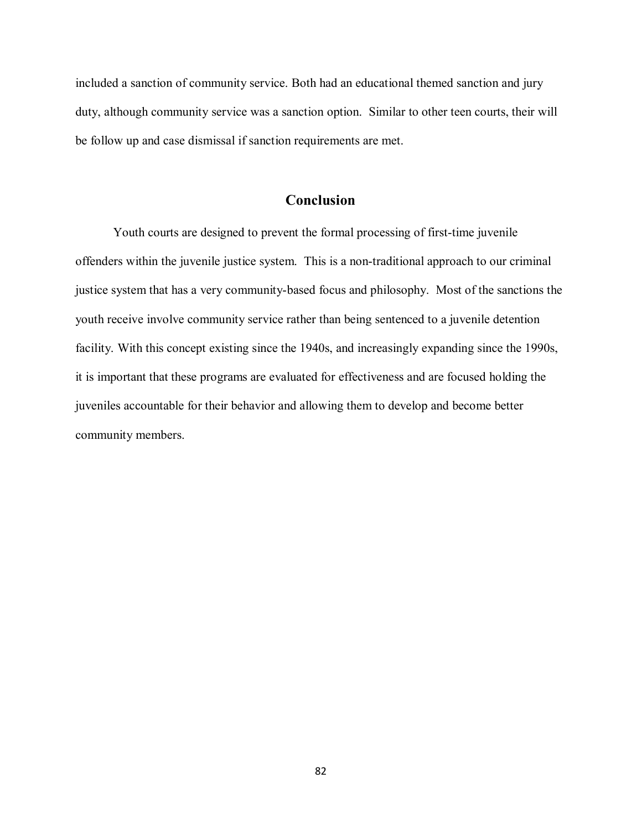included a sanction of community service. Both had an educational themed sanction and jury duty, although community service was a sanction option. Similar to other teen courts, their will be follow up and case dismissal if sanction requirements are met.

# **Conclusion**

Youth courts are designed to prevent the formal processing of first-time juvenile offenders within the juvenile justice system. This is a non-traditional approach to our criminal justice system that has a very community-based focus and philosophy. Most of the sanctions the youth receive involve community service rather than being sentenced to a juvenile detention facility. With this concept existing since the 1940s, and increasingly expanding since the 1990s, it is important that these programs are evaluated for effectiveness and are focused holding the juveniles accountable for their behavior and allowing them to develop and become better community members.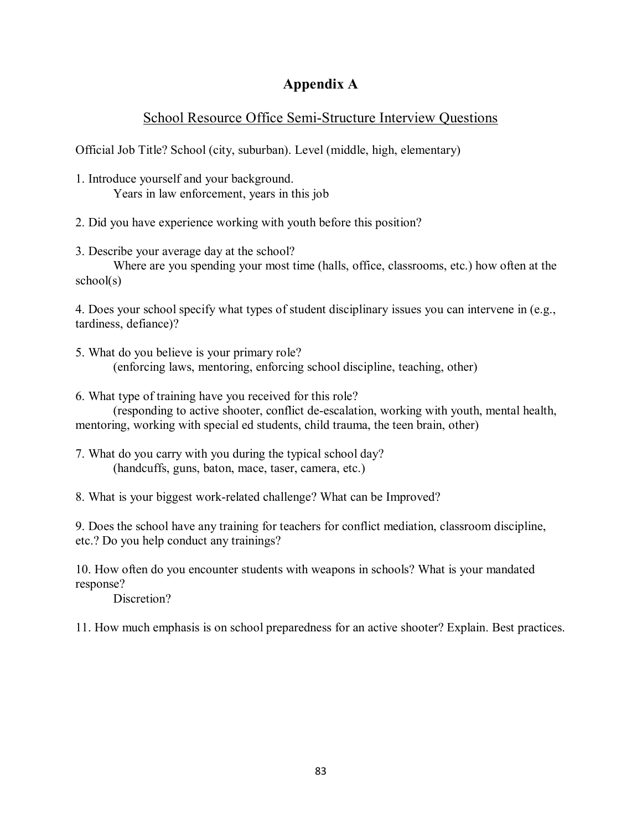# **Appendix A**

# School Resource Office Semi-Structure Interview Questions

Official Job Title? School (city, suburban). Level (middle, high, elementary)

- 1. Introduce yourself and your background. Years in law enforcement, years in this job
- 2. Did you have experience working with youth before this position?
- 3. Describe your average day at the school?

Where are you spending your most time (halls, office, classrooms, etc.) how often at the school(s)

4. Does your school specify what types of student disciplinary issues you can intervene in (e.g., tardiness, defiance)?

5. What do you believe is your primary role? (enforcing laws, mentoring, enforcing school discipline, teaching, other)

6. What type of training have you received for this role?

(responding to active shooter, conflict de-escalation, working with youth, mental health, mentoring, working with special ed students, child trauma, the teen brain, other)

7. What do you carry with you during the typical school day? (handcuffs, guns, baton, mace, taser, camera, etc.)

8. What is your biggest work-related challenge? What can be Improved?

9. Does the school have any training for teachers for conflict mediation, classroom discipline, etc.? Do you help conduct any trainings?

10. How often do you encounter students with weapons in schools? What is your mandated response?

Discretion?

11. How much emphasis is on school preparedness for an active shooter? Explain. Best practices.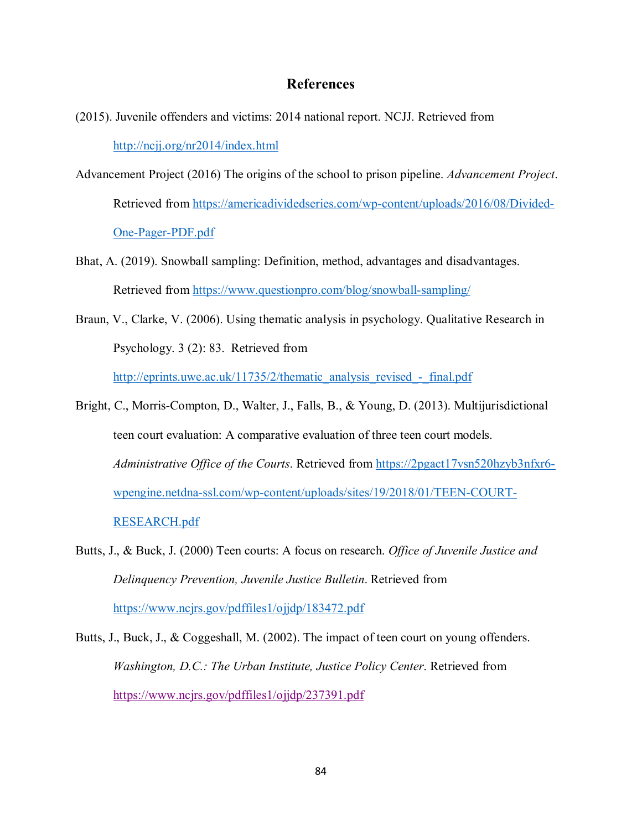### **References**

- (2015). Juvenile offenders and victims: 2014 national report. NCJJ. Retrieved from <http://ncjj.org/nr2014/index.html>
- Advancement Project (2016) The origins of the school to prison pipeline. *Advancement Project*. Retrieved from [https://americadividedseries.com/wp-content/uploads/2016/08/Divided-](https://americadividedseries.com/wp-content/uploads/2016/08/Divided-One-Pager-PDF.pdf)[One-Pager-PDF.pdf](https://americadividedseries.com/wp-content/uploads/2016/08/Divided-One-Pager-PDF.pdf)
- Bhat, A. (2019). Snowball sampling: Definition, method, advantages and disadvantages. Retrieved from<https://www.questionpro.com/blog/snowball-sampling/>
- Braun, V., Clarke, V. (2006). Using thematic analysis in psychology. Qualitative Research in Psychology. 3 (2): 83. Retrieved from

http://eprints.uwe.ac.uk/11735/2/thematic\_analysis\_revised - final.pdf

- Bright, C., Morris-Compton, D., Walter, J., Falls, B., & Young, D. (2013). Multijurisdictional teen court evaluation: A comparative evaluation of three teen court models. *Administrative Office of the Courts*. Retrieved from [https://2pgact17vsn520hzyb3nfxr6](https://2pgact17vsn520hzyb3nfxr6-wpengine.netdna-ssl.com/wp-content/uploads/sites/19/2018/01/TEEN-COURT-RESEARCH.pdf) [wpengine.netdna-ssl.com/wp-content/uploads/sites/19/2018/01/TEEN-COURT-](https://2pgact17vsn520hzyb3nfxr6-wpengine.netdna-ssl.com/wp-content/uploads/sites/19/2018/01/TEEN-COURT-RESEARCH.pdf)[RESEARCH.pdf](https://2pgact17vsn520hzyb3nfxr6-wpengine.netdna-ssl.com/wp-content/uploads/sites/19/2018/01/TEEN-COURT-RESEARCH.pdf)
- Butts, J., & Buck, J. (2000) Teen courts: A focus on research. *Office of Juvenile Justice and Delinquency Prevention, Juvenile Justice Bulletin*. Retrieved from <https://www.ncjrs.gov/pdffiles1/ojjdp/183472.pdf>
- Butts, J., Buck, J., & Coggeshall, M. (2002). The impact of teen court on young offenders. *Washington, D.C.: The Urban Institute, Justice Policy Center*. Retrieved from <https://www.ncjrs.gov/pdffiles1/ojjdp/237391.pdf>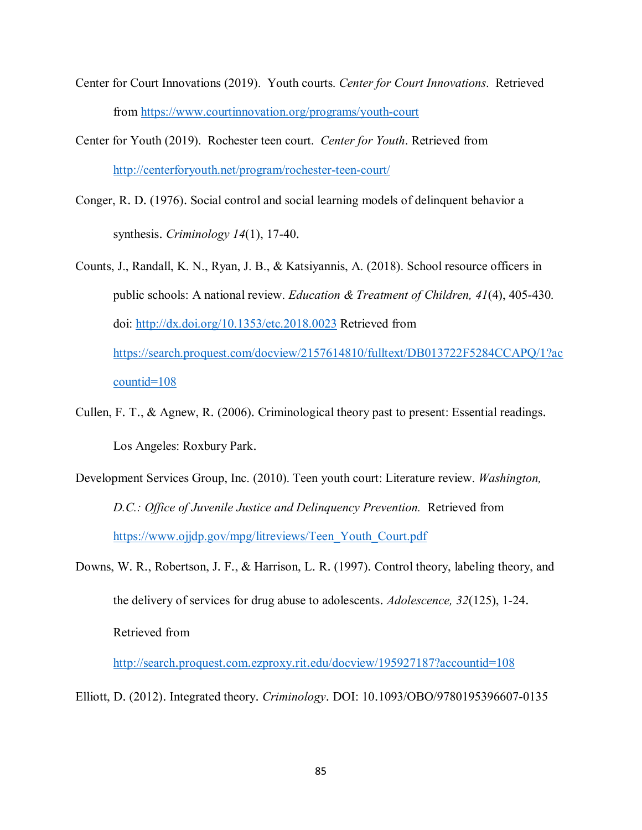- Center for Court Innovations (2019). Youth courts. *Center for Court Innovations*. Retrieved from<https://www.courtinnovation.org/programs/youth-court>
- Center for Youth (2019). Rochester teen court. *Center for Youth*. Retrieved from <http://centerforyouth.net/program/rochester-teen-court/>
- Conger, R. D. (1976). Social control and social learning models of delinquent behavior a synthesis. *Criminology 14*(1), 17-40.
- Counts, J., Randall, K. N., Ryan, J. B., & Katsiyannis, A. (2018). School resource officers in public schools: A national review. *Education & Treatment of Children, 41*(4), 405-430. doi:<http://dx.doi.org/10.1353/etc.2018.0023> Retrieved from [https://search.proquest.com/docview/2157614810/fulltext/DB013722F5284CCAPQ/1?ac](https://search.proquest.com/docview/2157614810/fulltext/DB013722F5284CCAPQ/1?accountid=108) [countid=108](https://search.proquest.com/docview/2157614810/fulltext/DB013722F5284CCAPQ/1?accountid=108)
- Cullen, F. T., & Agnew, R. (2006). Criminological theory past to present: Essential readings. Los Angeles: Roxbury Park.
- Development Services Group, Inc. (2010). Teen youth court: Literature review. *Washington, D.C.: Office of Juvenile Justice and Delinquency Prevention.* Retrieved from [https://www.ojjdp.gov/mpg/litreviews/Teen\\_Youth\\_Court.pdf](https://www.ojjdp.gov/mpg/litreviews/Teen_Youth_Court.pdf)
- Downs, W. R., Robertson, J. F., & Harrison, L. R. (1997). Control theory, labeling theory, and the delivery of services for drug abuse to adolescents. *Adolescence, 32*(125), 1-24. Retrieved from

<http://search.proquest.com.ezproxy.rit.edu/docview/195927187?accountid=108>

Elliott, D. (2012). Integrated theory. *Criminology*. DOI: 10.1093/OBO/9780195396607-0135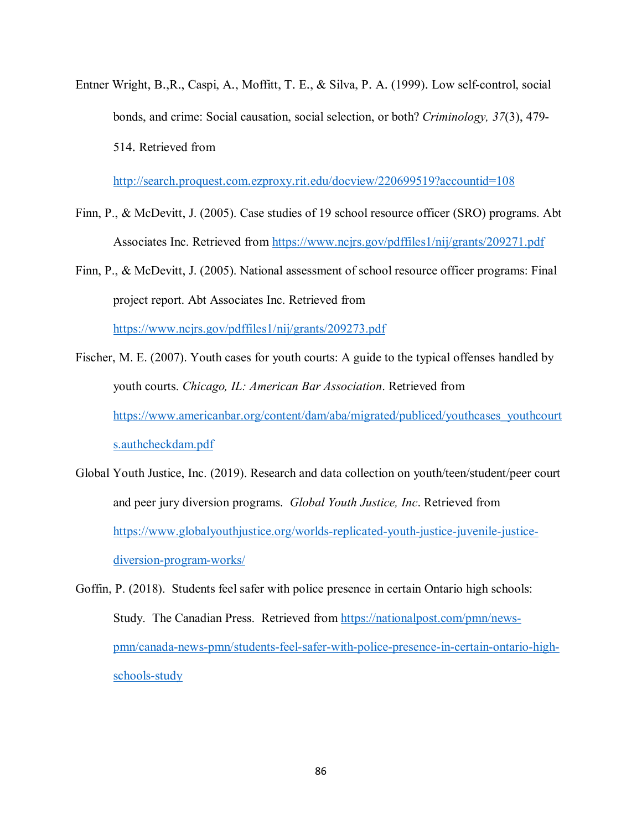Entner Wright, B.,R., Caspi, A., Moffitt, T. E., & Silva, P. A. (1999). Low self-control, social bonds, and crime: Social causation, social selection, or both? *Criminology, 37*(3), 479- 514. Retrieved from

<http://search.proquest.com.ezproxy.rit.edu/docview/220699519?accountid=108>

- Finn, P., & McDevitt, J. (2005). Case studies of 19 school resource officer (SRO) programs. Abt Associates Inc. Retrieved from<https://www.ncjrs.gov/pdffiles1/nij/grants/209271.pdf>
- Finn, P., & McDevitt, J. (2005). National assessment of school resource officer programs: Final project report. Abt Associates Inc. Retrieved from <https://www.ncjrs.gov/pdffiles1/nij/grants/209273.pdf>
- Fischer, M. E. (2007). Youth cases for youth courts: A guide to the typical offenses handled by youth courts. *Chicago, IL: American Bar Association*. Retrieved from [https://www.americanbar.org/content/dam/aba/migrated/publiced/youthcases\\_youthcourt](https://www.americanbar.org/content/dam/aba/migrated/publiced/youthcases_youthcourts.authcheckdam.pdf) [s.authcheckdam.pdf](https://www.americanbar.org/content/dam/aba/migrated/publiced/youthcases_youthcourts.authcheckdam.pdf)
- Global Youth Justice, Inc. (2019). Research and data collection on youth/teen/student/peer court and peer jury diversion programs. *Global Youth Justice, Inc*. Retrieved from [https://www.globalyouthjustice.org/worlds-replicated-youth-justice-juvenile-justice](https://www.globalyouthjustice.org/worlds-replicated-youth-justice-juvenile-justice-diversion-program-works/)[diversion-program-works/](https://www.globalyouthjustice.org/worlds-replicated-youth-justice-juvenile-justice-diversion-program-works/)
- Goffin, P. (2018). Students feel safer with police presence in certain Ontario high schools: Study. The Canadian Press. Retrieved from [https://nationalpost.com/pmn/news](https://nationalpost.com/pmn/news-pmn/canada-news-pmn/students-feel-safer-with-police-presence-in-certain-ontario-high-schools-study)[pmn/canada-news-pmn/students-feel-safer-with-police-presence-in-certain-ontario-high](https://nationalpost.com/pmn/news-pmn/canada-news-pmn/students-feel-safer-with-police-presence-in-certain-ontario-high-schools-study)[schools-study](https://nationalpost.com/pmn/news-pmn/canada-news-pmn/students-feel-safer-with-police-presence-in-certain-ontario-high-schools-study)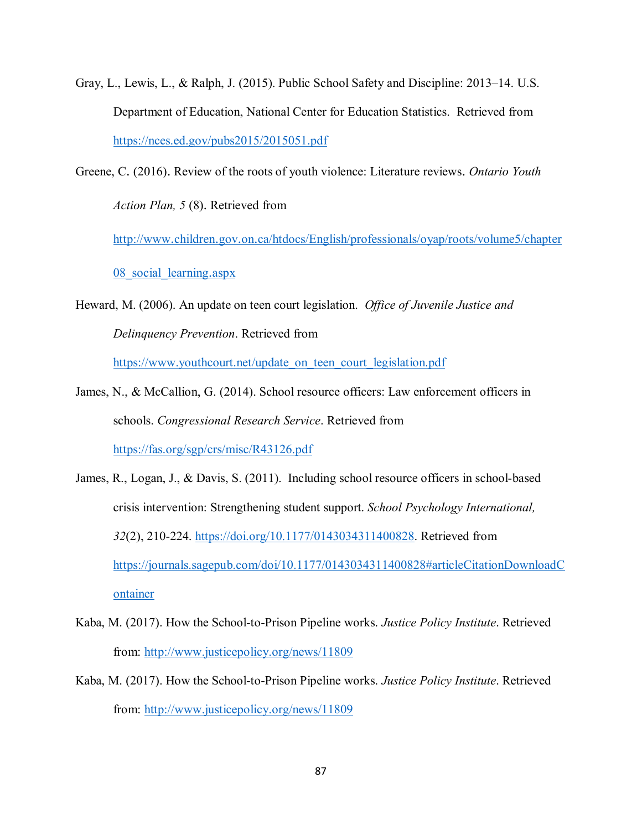- Gray, L., Lewis, L., & Ralph, J. (2015). Public School Safety and Discipline: 2013–14. U.S. Department of Education, National Center for Education Statistics. Retrieved from <https://nces.ed.gov/pubs2015/2015051.pdf>
- Greene, C. (2016). Review of the roots of youth violence: Literature reviews. *Ontario Youth Action Plan, 5* (8). Retrieved from

[http://www.children.gov.on.ca/htdocs/English/professionals/oyap/roots/volume5/chapter](http://www.children.gov.on.ca/htdocs/English/professionals/oyap/roots/volume5/chapter08_social_learning.aspx)

08 social learning.aspx

Heward, M. (2006). An update on teen court legislation. *Office of Juvenile Justice and Delinquency Prevention*. Retrieved from

[https://www.youthcourt.net/update\\_on\\_teen\\_court\\_legislation.pdf](https://www.youthcourt.net/update_on_teen_court_legislation.pdf)

- James, N., & McCallion, G. (2014). School resource officers: Law enforcement officers in schools. *Congressional Research Service*. Retrieved from <https://fas.org/sgp/crs/misc/R43126.pdf>
- James, R., Logan, J., & Davis, S. (2011). Including school resource officers in school-based crisis intervention: Strengthening student support. *School Psychology International, 32*(2), 210-224. [https://doi.org/10.1177/0143034311400828.](https://doi.org/10.1177/0143034311400828) Retrieved from [https://journals.sagepub.com/doi/10.1177/0143034311400828#articleCitationDownloadC](https://journals.sagepub.com/doi/10.1177/0143034311400828#articleCitationDownloadContainer) [ontainer](https://journals.sagepub.com/doi/10.1177/0143034311400828#articleCitationDownloadContainer)
- Kaba, M. (2017). How the School-to-Prison Pipeline works. *Justice Policy Institute*. Retrieved from:<http://www.justicepolicy.org/news/11809>
- Kaba, M. (2017). How the School-to-Prison Pipeline works. *Justice Policy Institute*. Retrieved from:<http://www.justicepolicy.org/news/11809>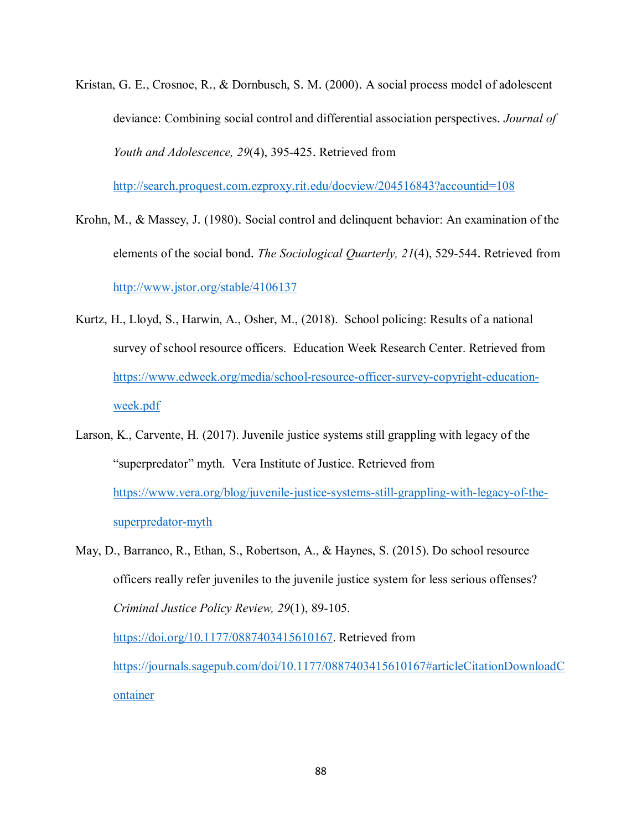Kristan, G. E., Crosnoe, R., & Dornbusch, S. M. (2000). A social process model of adolescent deviance: Combining social control and differential association perspectives. *Journal of Youth and Adolescence, 29*(4), 395-425. Retrieved from

<http://search.proquest.com.ezproxy.rit.edu/docview/204516843?accountid=108>

- Krohn, M., & Massey, J. (1980). Social control and delinquent behavior: An examination of the elements of the social bond. *The Sociological Quarterly, 21*(4), 529-544. Retrieved from <http://www.jstor.org/stable/4106137>
- Kurtz, H., Lloyd, S., Harwin, A., Osher, M., (2018). School policing: Results of a national survey of school resource officers. Education Week Research Center. Retrieved from [https://www.edweek.org/media/school-resource-officer-survey-copyright-education](https://www.edweek.org/media/school-resource-officer-survey-copyright-education-week.pdf)[week.pdf](https://www.edweek.org/media/school-resource-officer-survey-copyright-education-week.pdf)
- Larson, K., Carvente, H. (2017). Juvenile justice systems still grappling with legacy of the "superpredator" myth. Vera Institute of Justice. Retrieved from [https://www.vera.org/blog/juvenile-justice-systems-still-grappling-with-legacy-of-the](https://www.vera.org/blog/juvenile-justice-systems-still-grappling-with-legacy-of-the-superpredator-myth)[superpredator-myth](https://www.vera.org/blog/juvenile-justice-systems-still-grappling-with-legacy-of-the-superpredator-myth)
- May, D., Barranco, R., Ethan, S., Robertson, A., & Haynes, S. (2015). Do school resource officers really refer juveniles to the juvenile justice system for less serious offenses? *Criminal Justice Policy Review, 29*(1), 89-105. [https://doi.org/10.1177/0887403415610167.](https://doi.org/10.1177/0887403415610167) Retrieved from [https://journals.sagepub.com/doi/10.1177/0887403415610167#articleCitationDownloadC](https://journals.sagepub.com/doi/10.1177/0887403415610167#articleCitationDownloadContainer)

[ontainer](https://journals.sagepub.com/doi/10.1177/0887403415610167#articleCitationDownloadContainer)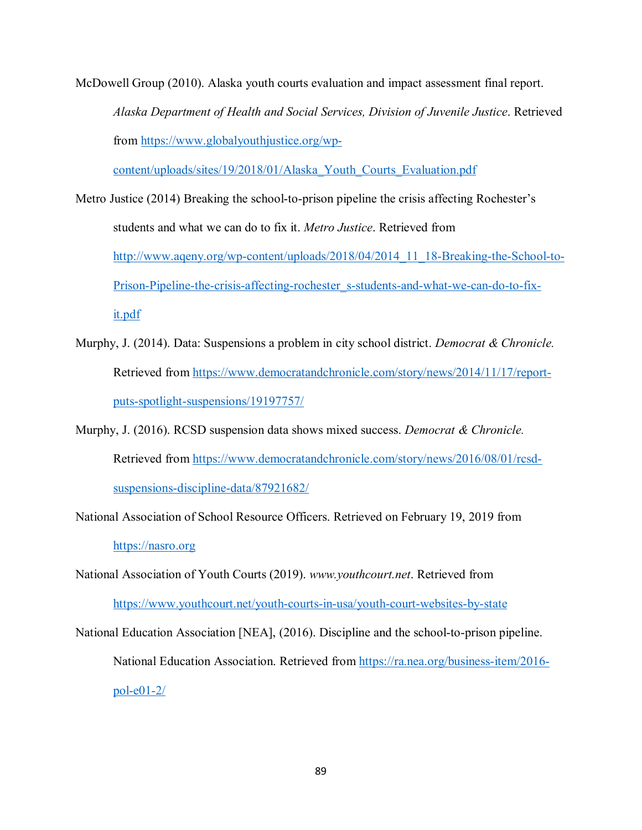McDowell Group (2010). Alaska youth courts evaluation and impact assessment final report. *Alaska Department of Health and Social Services, Division of Juvenile Justice*. Retrieved from [https://www.globalyouthjustice.org/wp-](https://www.globalyouthjustice.org/wp-content/uploads/sites/19/2018/01/Alaska_Youth_Courts_Evaluation.pdf)

[content/uploads/sites/19/2018/01/Alaska\\_Youth\\_Courts\\_Evaluation.pdf](https://www.globalyouthjustice.org/wp-content/uploads/sites/19/2018/01/Alaska_Youth_Courts_Evaluation.pdf)

- Metro Justice (2014) Breaking the school-to-prison pipeline the crisis affecting Rochester's students and what we can do to fix it. *Metro Justice*. Retrieved from [http://www.aqeny.org/wp-content/uploads/2018/04/2014\\_11\\_18-Breaking-the-School-to-](http://www.aqeny.org/wp-content/uploads/2018/04/2014_11_18-Breaking-the-School-to-Prison-Pipeline-the-crisis-affecting-rochester_s-students-and-what-we-can-do-to-fix-it.pdf)[Prison-Pipeline-the-crisis-affecting-rochester\\_s-students-and-what-we-can-do-to-fix](http://www.aqeny.org/wp-content/uploads/2018/04/2014_11_18-Breaking-the-School-to-Prison-Pipeline-the-crisis-affecting-rochester_s-students-and-what-we-can-do-to-fix-it.pdf)[it.pdf](http://www.aqeny.org/wp-content/uploads/2018/04/2014_11_18-Breaking-the-School-to-Prison-Pipeline-the-crisis-affecting-rochester_s-students-and-what-we-can-do-to-fix-it.pdf)
- Murphy, J. (2014). Data: Suspensions a problem in city school district. *Democrat & Chronicle.* Retrieved from [https://www.democratandchronicle.com/story/news/2014/11/17/report](https://www.democratandchronicle.com/story/news/2014/11/17/report-puts-spotlight-suspensions/19197757/)[puts-spotlight-suspensions/19197757/](https://www.democratandchronicle.com/story/news/2014/11/17/report-puts-spotlight-suspensions/19197757/)
- Murphy, J. (2016). RCSD suspension data shows mixed success. *Democrat & Chronicle.* Retrieved from [https://www.democratandchronicle.com/story/news/2016/08/01/rcsd](https://www.democratandchronicle.com/story/news/2016/08/01/rcsd-suspensions-discipline-data/87921682/)[suspensions-discipline-data/87921682/](https://www.democratandchronicle.com/story/news/2016/08/01/rcsd-suspensions-discipline-data/87921682/)
- National Association of School Resource Officers. Retrieved on February 19, 2019 from [https://nasro.org](https://nasro.org/)

National Association of Youth Courts (2019). *www.youthcourt.net*. Retrieved from <https://www.youthcourt.net/youth-courts-in-usa/youth-court-websites-by-state>

National Education Association [NEA], (2016). Discipline and the school-to-prison pipeline. National Education Association. Retrieved from [https://ra.nea.org/business-item/2016](https://ra.nea.org/business-item/2016-pol-e01-2/) [pol-e01-2/](https://ra.nea.org/business-item/2016-pol-e01-2/)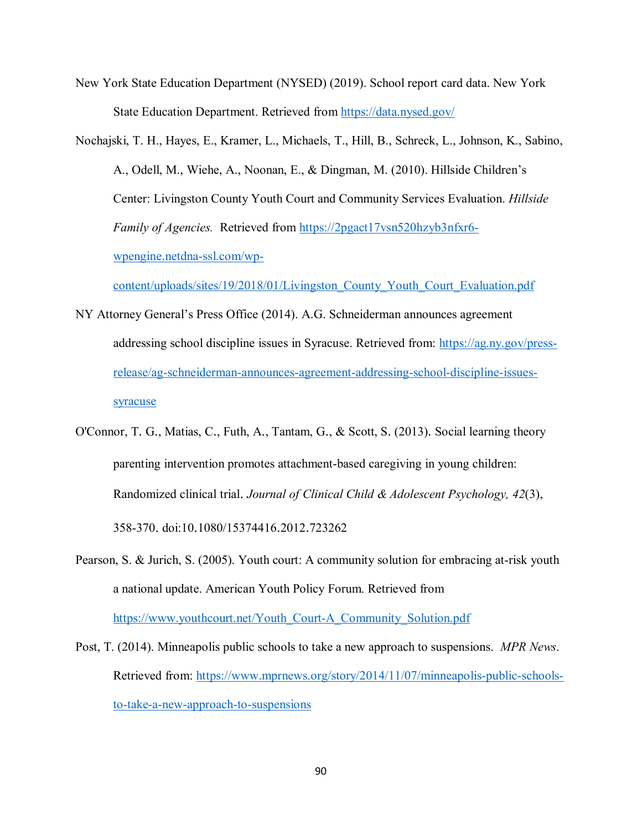- New York State Education Department (NYSED) (2019). School report card data. New York State Education Department. Retrieved from<https://data.nysed.gov/>
- Nochajski, T. H., Hayes, E., Kramer, L., Michaels, T., Hill, B., Schreck, L., Johnson, K., Sabino, A., Odell, M., Wiehe, A., Noonan, E., & Dingman, M. (2010). Hillside Children's Center: Livingston County Youth Court and Community Services Evaluation. *Hillside Family of Agencies.* Retrieved from [https://2pgact17vsn520hzyb3nfxr6](https://2pgact17vsn520hzyb3nfxr6-wpengine.netdna-ssl.com/wp-content/uploads/sites/19/2018/01/Livingston_County_Youth_Court_Evaluation.pdf) [wpengine.netdna-ssl.com/wp-](https://2pgact17vsn520hzyb3nfxr6-wpengine.netdna-ssl.com/wp-content/uploads/sites/19/2018/01/Livingston_County_Youth_Court_Evaluation.pdf)

[content/uploads/sites/19/2018/01/Livingston\\_County\\_Youth\\_Court\\_Evaluation.pdf](https://2pgact17vsn520hzyb3nfxr6-wpengine.netdna-ssl.com/wp-content/uploads/sites/19/2018/01/Livingston_County_Youth_Court_Evaluation.pdf)

- NY Attorney General's Press Office (2014). A.G. Schneiderman announces agreement addressing school discipline issues in Syracuse. Retrieved from: [https://ag.ny.gov/press](https://ag.ny.gov/press-release/ag-schneiderman-announces-agreement-addressing-school-discipline-issues-syracuse)[release/ag-schneiderman-announces-agreement-addressing-school-discipline-issues](https://ag.ny.gov/press-release/ag-schneiderman-announces-agreement-addressing-school-discipline-issues-syracuse)[syracuse](https://ag.ny.gov/press-release/ag-schneiderman-announces-agreement-addressing-school-discipline-issues-syracuse)
- O'Connor, T. G., Matias, C., Futh, A., Tantam, G., & Scott, S. (2013). Social learning theory parenting intervention promotes attachment-based caregiving in young children: Randomized clinical trial. *Journal of Clinical Child & Adolescent Psychology, 42*(3), 358-370. doi:10.1080/15374416.2012.723262
- Pearson, S. & Jurich, S. (2005). Youth court: A community solution for embracing at-risk youth a national update. American Youth Policy Forum. Retrieved from [https://www.youthcourt.net/Youth\\_Court-A\\_Community\\_Solution.pdf](https://www.youthcourt.net/Youth_Court-A_Community_Solution.pdf)
- Post, T. (2014). Minneapolis public schools to take a new approach to suspensions. *MPR News*. Retrieved from: [https://www.mprnews.org/story/2014/11/07/minneapolis-public-schools](https://www.mprnews.org/story/2014/11/07/minneapolis-public-schools-to-take-a-new-approach-to-suspensions)[to-take-a-new-approach-to-suspensions](https://www.mprnews.org/story/2014/11/07/minneapolis-public-schools-to-take-a-new-approach-to-suspensions)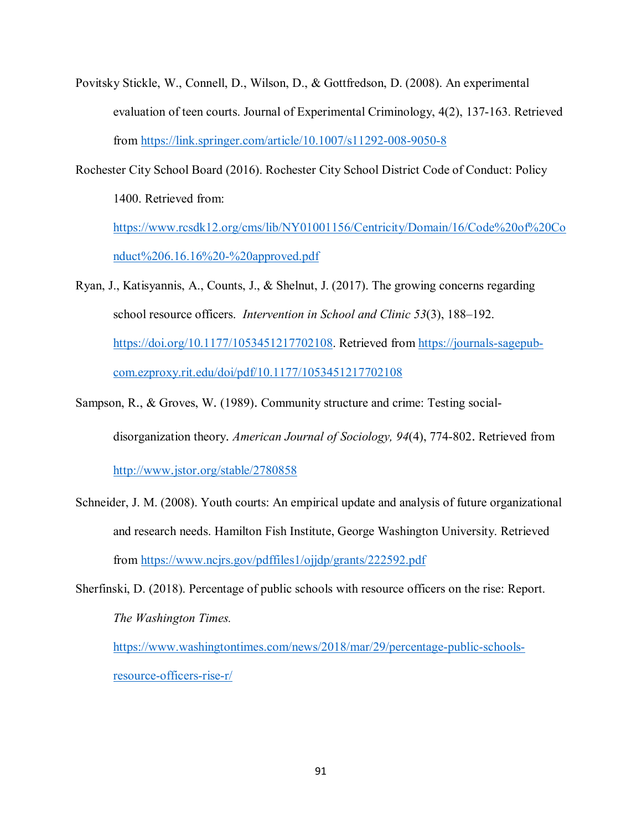- Povitsky Stickle, W., Connell, D., Wilson, D., & Gottfredson, D. (2008). An experimental evaluation of teen courts. Journal of Experimental Criminology, 4(2), 137-163. Retrieved from<https://link.springer.com/article/10.1007/s11292-008-9050-8>
- Rochester City School Board (2016). Rochester City School District Code of Conduct: Policy 1400. Retrieved from: [https://www.rcsdk12.org/cms/lib/NY01001156/Centricity/Domain/16/Code%20of%20Co](https://www.rcsdk12.org/cms/lib/NY01001156/Centricity/Domain/16/Code%20of%20Conduct%206.16.16%20-%20approved.pdf) [nduct%206.16.16%20-%20approved.pdf](https://www.rcsdk12.org/cms/lib/NY01001156/Centricity/Domain/16/Code%20of%20Conduct%206.16.16%20-%20approved.pdf)
- Ryan, J., Katisyannis, A., Counts, J., & Shelnut, J. (2017). The growing concerns regarding school resource officers. *Intervention in School and Clinic 53*(3), 188–192. [https://doi.org/10.1177/1053451217702108.](https://doi.org/10.1177/1053451217702108) Retrieved from [https://journals-sagepub](https://journals-sagepub-com.ezproxy.rit.edu/doi/pdf/10.1177/1053451217702108)[com.ezproxy.rit.edu/doi/pdf/10.1177/1053451217702108](https://journals-sagepub-com.ezproxy.rit.edu/doi/pdf/10.1177/1053451217702108)

Sampson, R., & Groves, W. (1989). Community structure and crime: Testing social-

disorganization theory. *American Journal of Sociology, 94*(4), 774-802. Retrieved from

<http://www.jstor.org/stable/2780858>

- Schneider, J. M. (2008). Youth courts: An empirical update and analysis of future organizational and research needs. Hamilton Fish Institute, George Washington University. Retrieved from<https://www.ncjrs.gov/pdffiles1/ojjdp/grants/222592.pdf>
- Sherfinski, D. (2018). Percentage of public schools with resource officers on the rise: Report. *The Washington Times.*

[https://www.washingtontimes.com/news/2018/mar/29/percentage-public-schools](https://www.washingtontimes.com/news/2018/mar/29/percentage-public-schools-resource-officers-rise-r/)[resource-officers-rise-r/](https://www.washingtontimes.com/news/2018/mar/29/percentage-public-schools-resource-officers-rise-r/)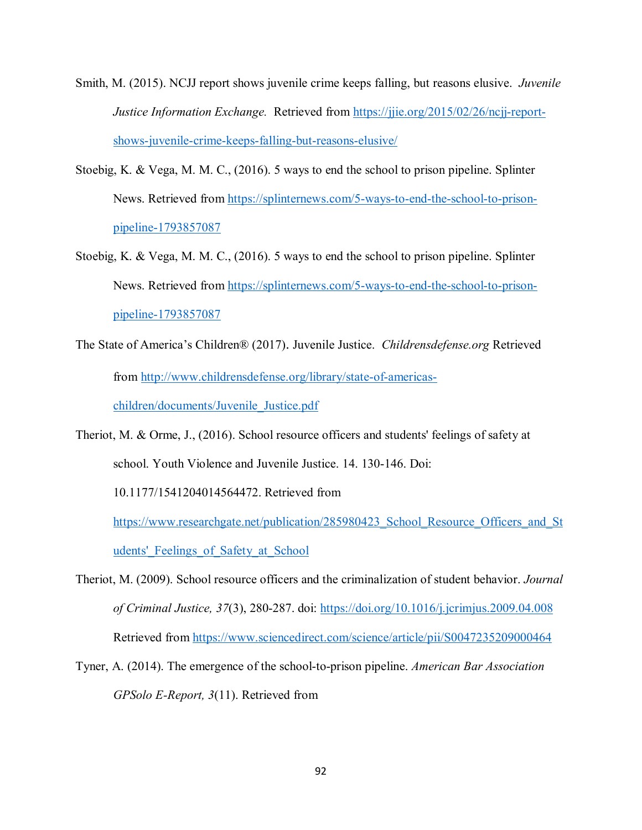- Smith, M. (2015). NCJJ report shows juvenile crime keeps falling, but reasons elusive. *Juvenile Justice Information Exchange.* Retrieved from [https://jjie.org/2015/02/26/ncjj-report](https://jjie.org/2015/02/26/ncjj-report-shows-juvenile-crime-keeps-falling-but-reasons-elusive/)[shows-juvenile-crime-keeps-falling-but-reasons-elusive/](https://jjie.org/2015/02/26/ncjj-report-shows-juvenile-crime-keeps-falling-but-reasons-elusive/)
- Stoebig, K. & Vega, M. M. C., (2016). 5 ways to end the school to prison pipeline. Splinter News. Retrieved from [https://splinternews.com/5-ways-to-end-the-school-to-prison](https://splinternews.com/5-ways-to-end-the-school-to-prison-pipeline-1793857087)[pipeline-1793857087](https://splinternews.com/5-ways-to-end-the-school-to-prison-pipeline-1793857087)
- Stoebig, K. & Vega, M. M. C., (2016). 5 ways to end the school to prison pipeline. Splinter News. Retrieved from [https://splinternews.com/5-ways-to-end-the-school-to-prison](https://splinternews.com/5-ways-to-end-the-school-to-prison-pipeline-1793857087)[pipeline-1793857087](https://splinternews.com/5-ways-to-end-the-school-to-prison-pipeline-1793857087)
- The State of America's Children® (2017). Juvenile Justice. *Childrensdefense.org* Retrieved from [http://www.childrensdefense.org/library/state-of-americas](http://www.childrensdefense.org/library/state-of-americas-children/documents/Juvenile_Justice.pdf)[children/documents/Juvenile\\_Justice.pdf](http://www.childrensdefense.org/library/state-of-americas-children/documents/Juvenile_Justice.pdf)
- Theriot, M. & Orme, J., (2016). School resource officers and students' feelings of safety at school. Youth Violence and Juvenile Justice. 14. 130-146. Doi:

10.1177/1541204014564472. Retrieved from

https://www.researchgate.net/publication/285980423 School Resource Officers and St udents' Feelings of Safety at School

- Theriot, M. (2009). School resource officers and the criminalization of student behavior. *Journal of Criminal Justice, 37*(3), 280-287. doi:<https://doi.org/10.1016/j.jcrimjus.2009.04.008> Retrieved from<https://www.sciencedirect.com/science/article/pii/S0047235209000464>
- Tyner, A. (2014). The emergence of the school-to-prison pipeline. *American Bar Association GPSolo E-Report, 3*(11). Retrieved from